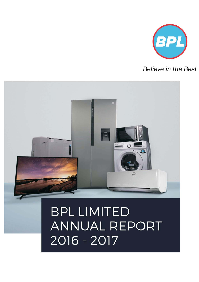

### Believe in the Best



# **BPL LIMITED** ANNUAL REPORT 2016 - 2017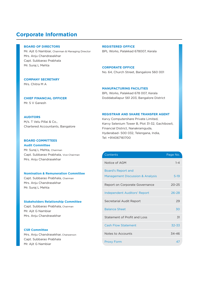### **Corporate Information**

#### **BOARD OF DIRECTORS**

Mr. Ajit G Nambiar, Chairman & Managing Director Mrs. Anju Chandrasekhar Capt. Subbarao Prabhala Mr. Suraj L Mehta

#### **COMPANY SECRETARY**

Mrs. Chitra M A

### **CHIEF FINANCIAL OFFICER**

Mr. S V Ganesh

#### **AUDITORS**

M/s. T Velu Pillai & Co., Chartered Accountants, Bangalore

#### **BOARD COMMITTEES Audit Committee**

Mr. Suraj L Mehta, Chairman Capt. Subbarao Prabhala, Vice-Chairman Mrs. Anju Chandrasekhar

#### **Nomination & Remuneration Committee**

Capt. Subbarao Prabhala, Chairman Mrs. Anju Chandrasekhar Mr. Suraj L Mehta

#### **Stakeholders Relationship Committee**

Mr. Ajit G Nambiar Mrs. Anju Chandrasekhar Capt. Subbarao Prabhala, Chairman

#### **CSR Committee**

Mrs. Anju Chandrasekhar, Chairperson Capt. Subbarao Prabhala Mr. Ajit G Nambiar

**REGISTERED OFFICE** BPL Works, Palakkad 678007, Kerala

### **CORPORATE OFFICE**

No. 64, Church Street, Bangalore 560 001

#### **MANUFACTURING FACILITIES**

BPL Works, Palakkad 678 007, Kerala Doddaballapur 561 203, Bangalore District

#### **REGISTRAR AND SHARE TRANSFER AGENT**

Karvy Computershare Private Limited, Karvy Selenium Tower B, Plot 31-32, Gachibowli, Financial District, Nanakramguda, Hyderabad- 500 032, Telengana, India, Tel: +914067161700

| Contents                                                          | Page No.  |
|-------------------------------------------------------------------|-----------|
| Notice of AGM                                                     | $1 - 4$   |
| Board's Report and<br><b>Management Discussion &amp; Analysis</b> | $5-19$    |
| Report on Corporate Governance                                    | $20 - 25$ |
| Independent Auditors' Report                                      | $26 - 28$ |
| Secretarial Audit Report                                          | 29        |
| <b>Balance Sheet</b>                                              | 30        |
| Statement of Profit and Loss                                      | 31        |
| <b>Cash Flow Statement</b>                                        | $32 - 33$ |
| Notes to Accounts                                                 | 34-46     |
| <b>Proxy Form</b>                                                 | 47        |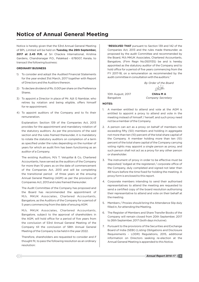Notice is hereby given that the 53rd Annual General Meeting of BPL Limited will be held on **Tuesday, the 26th September,** 2017 at 2.45 P.M. at Sri Chackra International, Krishna Gardens, Chandranagar P.O., Palakkad - 678007, Kerala, to transact the following business:

#### **ORDINARY BUSINESS**

- 1) To consider and adopt the Audited Financial Statements for the year ended 31st March, 2017 together with Report of Directors and the Auditors thereon.
- 2) To declare dividend of Rs. 0.001 per share on the Preference Shares.
- 3) To appoint a Director in place of Mr. Ajit G Nambiar, who retires by rotation and being eligible, offers himself for re-appointment.
- 4) To appoint auditors of the Company and to fix their remuneration.

Explanation: Section 139 of the Companies Act, 2013 provides for the appointment and mandatory rotation of the statutory auditors. As per the provisions of the said section and the rules framed thereunder, it is mandatory to rotate the statutory auditors on completion of a term as specified under the rules depending on the number of years for which an audit firm has been functioning as an auditor of a Company.

The existing Auditors, M/s T. Velupillai & Co, Chartered Accountants, have served as the auditors of the Company for more than 10 years as on the date of commencement of the Companies Act, 2013 and will be completing the transitional period of three years at the ensuing Annual General Meeting (AGM) as per the provisions of Companies Act, 2013 and rules framed thereunder.

The Audit Committee of the Company has proposed and the Board has recommended the appointment of M/s. MKUK Associates, Chartered Accountants, Bangalore, as the Auditors of the Company for a period of 5 years commencing from the date of ensuing AGM.

M/s. MKUK Associates, Chartered Accountants, Bangalore, subject to the approval of shareholders in the AGM, will hold office for a period of five years from the conclusion of 53rd Annual General Meeting of the Company till the conclusion of 58th Annual General Meeting of the Company to be held in the year 2022.

Therefore, shareholders are requested to consider and if thought fit, to pass the following resolution as an ordinary resolution:

"RESOLVED THAT pursuant to Section 139 and 142 of the Companies Act, 2013 and the rules made thereunder, as proposed by the audit Committee and recommended by the Board, M/s MKUK Associates, Chartered Accountants, Bangalore, (Firm Regn No.050113S) be and is hereby appointed as the statutory auditor of the Company and to hold office for a period of five years commencing from the FY 2017-18, on a remuneration as recommended by the audit committee in consultation with the auditors."

> *By Order of the Board*  $ck$  lea

10th August, 2017 Bangalore

**Chitra M A** *Company Secretary*

#### **NOTES:**

- 1. A member entitled to attend and vote at the AGM is entitled to appoint a proxy to attend and vote in the meeting instead of himself / herself, and such proxy need not be a member of the Company.
- 2. A person can act as a proxy on behalf of members not exceeding fifty (50) members and holding in aggregate not more than ten (10) percent of the total share capital of the Company. A member holding more than ten (10) percent of the total share capital of the Company carrying voting rights may appoint a single person as proxy, and such person shall not act as a proxy for any other person or shareholder.
- 3. The instrument of proxy in order to be effective must be deposited/ lodged at the registered / corporate office of the Company, duly completed and signed not later than 48 hours before the time fixed for holding the meeting. A proxy form is enclosed to this report.
- 4. Corporate members intending to send their authorised representatives to attend the meeting are requested to send a certified copy of the board resolution authorising their representative to attend and vote on their behalf at the meeting.
- 5. Members / Proxies should bring the Attendance Slip duly filled in, for attending the Meeting.
- 6. The Register of Members and Share Transfer Books of the Company will remain closed from 20th September, 2017 to 26th September, 2017 (both days inclusive).
- 7. Pursuant to the provisions of the Securities and Exchange Board of India (SEBI) (Listing Obligations and Disclosure Requirements - LODR) Regulations, 2015, additional information on Directors seeking re-election at the Annual General Meeting is appended to this Notice.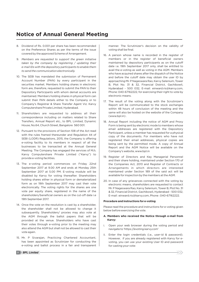- 8. Dividend of Rs. 0.001 per share has been recommended on the Preference Shares as per the terms of the issue covered by the approved Scheme of Arrangement.
- 9. *Members are requested to support the green initiative taken by the company by registering / updating their e-mail IDs with the depository participants to enable them to send the communication electronically.*
- 10. The SEBI has mandated the submission of Permanent Account Number (PAN) by every participant in the securities market. Members holding shares in electronic form are, therefore, requested to submit the PAN to their Depository Participants with whom demat accounts are maintained. Members holding shares in physical form can submit their PAN details either to the Company or to Company's Registrar & Share Transfer Agent Viz. Karvy Computershare Private Limited, Hyderabad.
- 11. Shareholders are requested to address all their correspondence including on matters related to Share Transfers, Annual Report etc., to BPL Limited, Dynamic House, No.64, Church Street, Bangalore 560 001.
- 12. Pursuant to the provisions of Section 108 of the Act read with the rules framed thereunder and Regulation 44 of SEBI (LODR) Regulations, 2015, the Company is offering e-voting facility to its members in respect of all the businesses to be transacted at the Annual General Meeting. The Company has engaged the services of M/s. Karvy Computershare Private Limited ("Karvy") to provide e-voting facilities.
- 13. The e-voting period commences on Friday 22nd September 2017 at 9.00 AM and ends at Monday 25th September 2017 at 5.00 PM. E-voting module will be disabled by Karvy for voting thereafter. Shareholders holding shares either in physical form or dematerialized form as on 19th September 2017 may cast their vote electronically. The voting rights for the shares are one vote per equity share, registered in the name of the shareholders/beneficial owners as on the cut-off date i.e 19th September 2017.
- 14. Once the vote on the resolution is cast by a shareholder, the shareholder shall not be allowed to change it subsequently. Shareholders/ proxies may also vote at the AGM through the ballot papers that will be provided at the venue. Shareholders who have cast their votes through e-voting prior to the meeting may also attend the AGM but shall not be allowed to cast their vote again.
- 15. Mr. P Sivarajan, Practicing Chartered Accountant, has been appointed as Scrutinizer for conducting the e-voting and ballot process in a fair and transparent

manner. The Scrutinizer's decision on the validity of voting shall be final.

- 16. A person whose name is recorded in the register of members or in the register of beneficial owners maintained by depository participants as on the cutoff date i.e. 19th September 2017 only, shall be entitled to avail the e-voting as well as voting in the AGM. Members who have acquired shares after the dispatch of the Notice and before the cutoff date may obtain the user ID by approaching Mr. P Nageswara Rao, Karvy Selenium, Tower B, Plot No. 31 & 32, Financial District, Gachibowli, Hyderabad - 500 032, E-mail: einward.ris@karvy.com, Phone: 040-67162222, for exercising their right to vote by electronic means.
- 17. The result of the voting along with the Scrutinizer's Report will be communicated to the stock exchanges within 48 hours of conclusion of the meeting and the same will also be hosted on the website of the Company (www.bpl.in) .
- 18. Annual Report including the notice of AGM and Proxy Form is being sent by electronic mode to members whose email addresses are registered with the Depository Participant, unless a member has requested for a physical copy of the documents. For members who have not registered their email addresses, physical copies are being sent by the permitted mode. A copy of Annual Report and the AGM Notice will be available on the Company's website, www.bpl.in
- 19. Register of Directors and Key Managerial Personnel and their share holding, maintained under Section 170 of the Companies Act, 2013 and Register of Contracts or Arrangements in which directors are interested maintained under Section 189 of the said act will be available for inspection by the members at the AGM.
- 20. In case of any grievances connected with the voting by electronic means, shareholders are requested to contact Mr. P Nageswara Rao, Karvy Selenium, Tower B, Plot No. 31 & 32, Financial District, Gachibowli, Hyderabad - 500 032, E-mail : einward.ris@karvy.com, Phone : 040-67162222.

#### **Procedure and instructions for e-voting**

Please read the procedure and instructions for e-voting given below before exercising the vote.

#### **A. Members who received the Notice through e-mail from Karvy:**

- i. Open your web browser during the voting period and navigate to 'https://evoting.karvy.com'
- ii. Enter the login credentials (i.e., user-id & password). However, if you are already registered with Karvy for evoting, you can use your existing User ID and password for casting your vote:

**2 BPL Limited**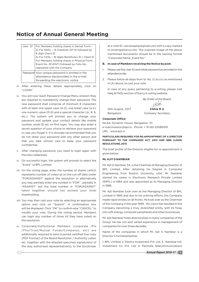| User ID | For Members holding shares in Demat Form:-<br>a) For NSDL :- 8 Character DP ID followed by<br>8 digit Client ID<br>b) For CDSL :- 16 digits Beneficiary ID / Client ID<br>For Members holding shares in Physical Form:<br>Event No. (EVENT) followed by Folio No.<br>registered with the Company |
|---------|--------------------------------------------------------------------------------------------------------------------------------------------------------------------------------------------------------------------------------------------------------------------------------------------------|
|         | Password Your unique password is printed in the<br>attendance slip/provided in the e-mail<br>forwarding the electronic notice                                                                                                                                                                    |

- iii. After entering these details appropriately, click on "LOGIN".
- iv. You will now reach Password Change Menu wherein they are required to mandatorily change their password. The new password shall comprise of minimum 8 characters with at least one upper case (A-Z), one lower case (a-z), one numeric value (0-9) and a special character (@, #, \$, etc.). The system will prompt you to change your password and update your contact details like mobile number, email ID etc on first login. You may also enter a secret question of your choice to retrieve your password in case you forget it. It is strongly recommended that you do not share your password with any other person and that you take utmost care to keep your password confidential.
- v. After changing password, you need to login again with the new credentials.
- vi. On successful login, the system will prompt to select the "Event" i.e BPL Limited.
- vii. On the voting page, enter the number of shares (which represents number of votes) as on the cut-off date under "FOR/AGAINST" against the resolution or alternatively you may partially enter any number in "FOR" , partially in "AGAINST" but the total number in "FOR/AGAINST" taken together should not exceed your total shareholding.
- viii. You may then cast your vote by selecting an appropriate option and click on "Submit". A confirmation box will be displayed. Click "OK" to confirm else "CANCEL" to modify your vote. During the voting period, Members can login any number of times till they have voted on the resolution.
- ix. Corporate/Institutional Members (corporate /Fls /Flls/Trust/Mutual Funds/Companys, etc) are additionally required to send scanned certified true copy (PDF Format) of the Board Resolution / Authority Letter, etc. together with the attested specimen signature(s) of the duly authorized representative(s), to the Scrutinizer

at e-mail ID: casivarajanp@gmail.com with a copy marked to evoting@karvy.com. The scanned image of the above mentioned documents should be in the naming format "Corporate Name\_Event No.".

#### **B. In case of Members receiving the Notice by post:**

- 1. Please use the User ID and initial password as provided in the attendanceslip.
- 2. Please follow all steps from Sr. No. (i) to (ix) as mentioned in (A) above, to cast your vote.

In case of any query pertaining to e-voting, please visit Help & FAQs section of Karvy e-voting website.

10th August, 2017 Bangalore

 $c$  de la $\sim$ **Chitra M A**

*By Order of the Board*

### *Company Secretary*

#### *Corporate Office:*

No.64, Dynamic House, Bangalore- 01. e-mail:investor@bpl.in, Phone: + 91-80-25589109 URL : www.bpl.in

#### **PARTICULARS REQUIRED FOR RE-APPOINTMENT OF A DIRECTOR PURSUANT TO THE COMPANIES ACT, 2013 AND SEBI (LODR) REGULATIONS, 2015**

The brief profile of the Director eligible for re-appointment is given below:

#### **Mr. AJIT G NAMBIAR**

Mr. Ajit G Nambiar, 54, is the Chairman & Managing Director of BPL Limited. After obtaining his Degree in Computer Engineering from Boston University, USA, Mr. Nambiar started his career in Electronic Research Private Limited (ERPL) in 1984 and was appointed as its Managing Director in 1986.

Mr. Ajit Nambiar took over as the Managing Director of BPL Limited in 1993 and due to his untiring efforts, the Company made rapid strides on all fronts. He took over as the Chairman of the Company in the year 1999. His vision has resulted in the Company becoming a truly diversified entity, with its foray into soft energy, computer peripherals and other businesses.

Mr. Ajit Nambiar holds directorships in many companies of the Group. He has rich and varied experience in management of companies for over three decades.

Name of the companies in which Mr. Ajit G Nambiar is a Director is furnished below:

1. BPL Limited, 2. Electro Investment Pvt. Ltd, 3. Nambiar Intl. Investment Co. Pvt. Ltd, 4. PanIndia Telecommunications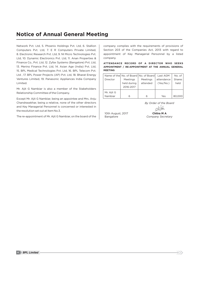Network Pvt. Ltd, 5. Phoenix Holdings Pvt. Ltd, 6. Stallion Computers Pvt. Ltd, 7. E R Computers Private Limited, 8. Electronic Research Pvt. Ltd, 9. NI Micro Technologies Pvt. Ltd, 10. Dynamic Electronics Pvt. Ltd, 11. Anan Properties & Finance Co., Pvt. Ltd, 12. Zyfax Systems (Bangalore) Pvt. Ltd, 13. Merino Finance Pvt. Ltd, 14. Asian Age (India) Pvt. Ltd, 15. BPL Medical Technologies Pvt. Ltd, 16. BPL Telecom Pvt. Ltd , 17. BPL Power Projects (AP) Pvt. Ltd, 18. Bharat Energy Ventures Limited, 19. Panasonic Appliances India Company Limited.

Mr. Ajit G Nambiar is also a member of the Stakeholders Relationship Committee of the Company.

Except Mr. Ajit G Nambiar, being an appointee and Mrs. Anju Chandrasekhar, being a relative, none of the other directors and Key Managerial Personnel is concerned or interested in the resolution set out at Item No.3.

The re-appointment of Mr. Ajit G Nambiar, on the board of the

company complies with the requirements of provisions of Section 203 of the Companies Act, 2013 with regard to appointment of Key Managerial Personnel by a listed company.

#### **ATTENDANCE RECORD OF A DIRECTOR WHO SEEKS APPOINTMENT / RE-APPOINTMENT AT THE ANNUAL GENERAL MEETING**

|            | Name of the No. of Board No. of Board |          | Last AGM   | No. of        |
|------------|---------------------------------------|----------|------------|---------------|
| Director   | <b>Meetings</b>                       | Meetings | attendance | <b>Shares</b> |
|            | held during                           | attended | (Yes/No.)  | held          |
|            | 2016-2017                             |          |            |               |
| Mr. Ajit G |                                       |          |            |               |
| Nambiar    | 6                                     | 6        | Yes        | 80,000        |

*By Order of the Board*

10th August, 2017 Bangalore

فعلناه **Chitra M A** *Company Secretary*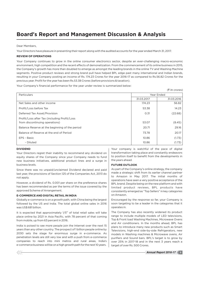#### Dear Members,

Your Directors have pleasure in presenting their report along with the audited accounts for the year ended March 31, 2017.

#### **REVIEW OF OPERATIONS**

Your Company continues to grow in the online consumer electronics sector, despite an ever-challenging macro-economic environment, high competition and the recent effects of demonetization. From the commencement of its online business in 2015, the Company's growth has more than doubled to emerge as amongst the leading brands in the online TV and Washing Machine segments. Positive product reviews and strong brand pull have helped BPL edge past many international and Indian brands, resulting in your Company posting an income of Rs. 174.23 Crores for the year 2016-17 as compared to Rs.56.82 Crores for the previous year. Profit for the year has been Rs.53.38 Crores (before provisions & taxation).

Your Company's financial performance for the year under review is summarized below:

|                                                                                |            | $(5$ in crores) |
|--------------------------------------------------------------------------------|------------|-----------------|
| Particulars                                                                    | Year Ended |                 |
|                                                                                | 31.03.2017 | 31.03.2016      |
| Net Sales and other income                                                     | 174.23     | 56.82           |
| Profit/Loss before Tax                                                         | 53.38      | 14.23           |
| Deferred Tax Asset/Provision                                                   | 0.31       | (22.68)         |
| Profit/Loss after Tax (including Profit/Loss<br>from discontinuing operations) | 53.07      | (8.45)          |
| Balance Reserve at the beginning of the period                                 | 20.71      | 29.16           |
| Balance of Reserve at the end of Period                                        | 73.78      | 20.17           |
| EPS - Basic                                                                    | 10.86      | (1.73)          |
| - Diluted                                                                      | 10.86      | (1.73)          |

#### **DIVIDEND**

U

Your Directors regret their inability to recommend any dividend on equity shares of the Company since your Company needs to fund new business initiatives, additional product lines and a surge in business levels.

Since there was no unpaid/unclaimed Dividend declared and paid last year, the provisions of Section 125 of the Companies Act, 2013 do not apply.

However, a dividend of Rs. 0.001 per share on the preference shares has been recommended as per the terms of the issue covered by the approved Scheme of Arrangement.

#### **E-COMMERCE AND DIGITAL RETAIL IN INDIA**

Globally e-commerce is on a growth path, with China being the largest followed by the US and India. The total global online sales in 2016 was US\$ 681 billion.

It is expected that approximately  $1/5<sup>th</sup>$  of total retail sales will take place online by 2021 in Asia Pacific, with 78 percent of that coming from mobile, up from 63 percent in 2016.

India is poised to see more people join the Internet over the next 15 years than any other country. The prospect of 1 billion people online by 2030 sets the stage for enormous surge in e-commerce. As penetration levels are still very low and with a push from e-commerce companies to reach into mini metros and rural areas, India's e-commerce business will be on a high growth path for the next 10 years. Your company is watchful of the pace of digital transformation taking place and constantly endeavors to position itself to benefit from the developments in the years ahead.

#### **FUTURE OUTLOOK**

As part of the Company's online strategy, the company made a strategic shift from its earlier channel partner to Amazon in May 2017. The initial months of operations have seen a very positive acceptance of the BPL brand. Despite being on the new platform and with limited product reviews, BPL products have consistently emerged as "Top Sellers" in key categories on Amazon.

Encouraged by the response so far, your Company is soon targeting to be a leader in the categories that it operates in.

The Company has also recently widened its product range to include multiple models of LED televisions, Top & Front load Washing Machines, Microwave Ovens and Air conditioners. In the months ahead, BPL has plans to introduce many new products such as Smart Televisions, high-end side-by-side Refrigerators, new models in Washing machines & Microwave ovens, Air purifiers and Sound bars. BPL's target is to grow by over 25% in 2017-18 and in the next 3 years reach a target of over Rs. 500 Crores.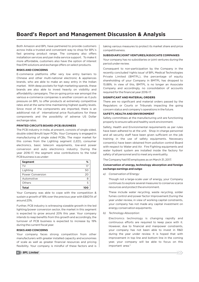Both Amazon and BPL have partnered to provide customers across India a trusted and convenient way to shop for BPL's fast growing product range. The company also offers installation services and pan India service support. To make it more affordable, customers also have the option of interest free EMI solutions and exchange offers on select products.

#### **RISKS AND CONCERNS**

E-commerce platforms offer very low entry barriers to Chinese and other multi-national electronic & appliances brands, who are able to make an easy entry in the Indian market. With deep pockets for high marketing spends, these brands are also able to invest heavily on visibility and affordability campaigns. The on-going price war amongst the various e-commerce companies is another concern as it puts pressure on BPL to offer products at extremely competitive rates and at the same time maintaining highest quality levels. Since most of the components are imported, there is an additional risk of international price fluctuations for these components and the possibility of adverse US Dollar exchange rates.

#### **PRINTED CIRCUITS BOARD (PCB) BUSINESS**

The PCB industry in India, at present, consists of single sided, double sided &multi layer PCBs. Your Company is engaged in manufacturing of single sided PCBs. The major market for this comes from the Lighting segment (LED), consumer electronics, basic telecom equipments, low-end power conversion and auto electronics industry. During the year 2016-17, the segment wise contributions to the total PCB business is as under:

| Segment          | ℅   |
|------------------|-----|
| TV               |     |
| Lighting         | 50  |
| Power Conversion | 20  |
| Automotive       | 8   |
| Others           | 5   |
| <b>Total</b>     | 100 |

Your Company was able to cope with the competition & sustain a growth of 18% over the previous year with EBIDTA of around 23%.

Further, PCB industry is witnessing sizeable growth in the led lighting/power conversion sector, the market in this segment is expected to grow around 20% this year. Your company intends to reap benefits from this growth and accordingly, the turnover of PCB business is expected to increase by 19% during the current fiscal year.

#### **RISKS AND CONCERNS**

Your company faces strong competition from other manufacturers with greater installed capacity and economies of scale as well as greater financial resources and pricing flexibility. Your company is mindful of these factors and is

**6 BPL Limited**

taking various measures to protect its market share and price competitiveness.

#### **SUBSIDIARY/JOINT VENTURES/ASSOCIATE COMPANIES**

Your company has no subsidiaries or joint ventures during the period under review.

Consequent to non-participation by the Company in the recently concluded 'rights issue' of BPL Medical Technologies Private Limited (BMTPL), the percentage of equity shareholding of your Company in BMTPL has dropped to 15.88%. In view of this, BMTPL is no longer an Associate Company and accordingly, no consolidation of accounts required for the financial year 2016-17.

#### **SIGNIFICANT AND MATERIAL ORDERS**

There are no significant and material orders passed by the Regulators or Courts or Tribunals impacting the going concern status and company's operations in the future.

#### **SAFETY, HEALTH AND ENVIRONMENT**

Safety committees at the manufacturing unit are functioning properly to ensure safe and healthy work environment.

Safety, Health and Environmental requirements as per rules have been adhered to at the unit. Shop in-charge personnel and all security staff have been given sufficient on the job training in the use of safety equipments. Necessary consent(s) have been obtained from pollution control Board with respect to Water and Air. Fire Fighting equipments and water hydrant system are installed inside the factory for safety of all personnel and to meet any eventuality.

The Company had 93 employees as on March 31, 2017.

#### **Conservation of energy, technology absorption and foreign exchange earnings and outgo**

*a) Conservation of Energy:*

Though not a large-scale user of energy, your Company continues to explore several measures to conserve scarce resources and protect the environment.

These include water recycling, waste recycling, solder fumes control and power factor Improvement.During the year under review, in view of working capital constraints, your company has not made any capital investment on energy conservation equipments.

*b) Technology Absorption:*

Electronics technology is changing rapidly and continuous efforts are required to keep pace with it. However, due to financial and manpower constraints, your company has not been able to invest in R&D during the year under review. It is hoped that with improvement in top line and bottom line in the coming year, your company will be able to focus on this important area."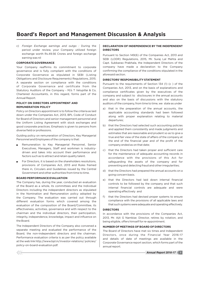c) Foreign Exchange earnings and outgo : During the period under review, your Company utilized foreign exchange worth Rs.49.56 Crores and foreign exchange earning was nil

#### **CORPORATE GOVERNANCE**

Your Company reaffirms its commitment to corporate governance and is fully compliant with the conditions of Corporate Governance as stipulated in SEBI (Listing Obligations and Disclosure Requirements) Regulations, 2015. A separate section on compliance with the conditions of Corporate Governance and certificate from the Statutory Auditors of the Company - M/s T Velupillai & Co, Chartered Accountants, in this regard, forms part of the Annual Report.

#### **POLICY ON DIRECTORS APPOINTMENT AND REMUNERATION POLICY**

Policy on Directors appointment is to follow the criteria as laid down under the Companies Act, 2013, BPL Code of Conduct for Board of Directors and senior management personnel and the Uniform Listing Agreement with stock exchanges and good corporate practices. Emphasis is given to persons from diverse field or professions.

Guiding policy on remuneration of Directors, Key Managerial Personnel and Employees of the company is that:

- Remuneration to Key Managerial Personnel, Senior Executives, Managers, Staff and workmen is industrydriven and takes into account their performance and factors such as to attract and retain quality talent. ■
- For Directors, it is based on the shareholders resolutions, provisions of Companies Act, 2013 and Rules framed there in, Circulars and Guidelines issued by the Central Government and other authorities from time to time. ■

#### **BOARD PERFORMANCE EVALUATION**

ZZ.

The Company has, during the year, conducted an evaluation of the Board as a whole, its committees and the Individual Directors including the independent directors as stipulated in the Nomination and Remuneration policy adopted by the Company. The evaluation was carried out through different evaluation forms which covered among the evaluation of the composition of the Board/Committee, its effectiveness, activities, governance and with respect to the chairman and the individual directors, their participation, integrity, independence, knowledge, impact and influence on the Board.

The Independent Directors of the Company also convened a separate meeting and evaluated the performance of the Board, the non-independent directors and the chairman. Performance evaluation criteria is as per the policy available at the web link http://www.bpl.in/investor-relations/ policies/ policy-on-board-evaluation.pdf.

#### **DECLARATION OF INDEPENDENCE BY THE INDEPENDENT DIRECTORS**

Pursuant to Section 149(6) of the Companies Act, 2013 and SEBI (LODR) Regulations, 2015, Mr. Suraj Lal Mehta and Capt. Subbarao Prabhala, the Independent Directors of the company have made a declaration to the Company confirming the compliance of the conditions stipulated in the aforesaid section.

#### **DIRECTORS' RESPONSIBILITY STATEMENT**

Pursuant to the requirements of Section 134 (1) (c ) of the Companies Act, 2013, and on the basis of explanations and compliance certificates given by the executives of the company and subject to disclosures in the annual accounts and also on the basis of discussions with the statutory auditors of the company, from time to time, we state as under

- a) that in the preparation of the annual accounts, the applicable accounting standards had been followed along with proper explanation relating to material departures;
- b) that the Directors had selected such accounting policies and applied them consistently and made judgments and estimates that are reasonable and prudent so as to give a true and fair view of the state of affairs of the company at the end of the financial year and of the profit of the company ended as on that date;
- c) that the Directors had taken proper and sufficient care for the maintenance of adequate accounting records in accordance with the provisions of this Act for safeguarding the assets of the company and for preventing and detecting fraud and other irregularities;
- d) that the Directors had prepared the annual accounts on a going concern basis.
- e) that the Directors had laid down internal financial controls to be followed by the company and that such internal financial controls are adequate and were operating effectively and
- f) that the Directors had devised proper systems to ensure compliance with the provisions of all applicable laws and that such systems were adequate and operating effectively.

#### **DIRECTORS**

In accordance with the provisions of the Companies Act, 2013, Mr. Ajit G Nambiar, Director, retires by rotation, and being eligible, offers himself for re-appointment.

#### **NUMBER OF MEETINGS OF BOARD OF DIRECTORS**

The Board of Directors have met six times and Independent Directors, once during the Financial Year 2016-17 and details of date of meetings are available in the Corporate Governance report section, which forms part of the annual report.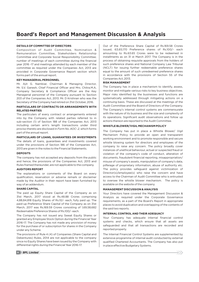#### **DETAILS OF COMMITTEE OF DIRECTORS**

Composition of Audit Committee, Nomination & Remuneration Committee, Stakeholders Relationship Committee and Corporate Social Responsibility Committee; number of meetings of each committee during the financial year 2016 -17 and meetings attended by each member of the committee as required under the Companies Act, 2013 are provided in Corporate Governance Report section which forms part of the annual report.

#### **KEY MANAGERIAL PERSONNEL**

Mr. Ajit G. Nambiar, Chairman & Managing Director, Mr. S.V. Ganesh, Chief Financial Officer and Mrs. Chitra.M.A, Company Secretary & Compliance Officer are the Key Managerial personnel of the Company pursuant to Section 203 of the Companies Act, 2013. Mr. D Krishnan who was the Secretary of the Company had retired on 31st October, 2016.

#### **PARTICULARS OF CONTRACTS OR ARRANGEMENTS WITH RELATED PARTIES**

The particulars of every contract or arrangements entered into by the Company with related parties referred to in sub-section (1) of Section 188 of the Companies Act, 2013 including certain arm's length transactions under third proviso thereto are disclosed in Form No. AOC-2, which forms part of the annual report.

#### **PARTICULARS OF LOANS, GUARANTEES OR INVESTMENTS**

The details of loans, guarantees and investments covered under the provisions of Section 186 of the Companies Act, 2013 are given in the notes to the Financial Statements.

#### **DEPOSITS**

The company has not accepted any deposits from the public and hence, the provisions of the Companies Act, 2013 and Rules framed thereunder, are not applicable to the company.

#### **AUDITORS REPORT**

The explanations or comments of the Board on every qualification, reservation or adverse remark or disclaimer made by the Auditor in their report have been furnished by way of an addendum.

#### **SHARE CAPITAL**

The paid up Equity Share Capital of the Company as on 31st March, 2017 stood at Rs.48.88 Crores comprising 4,88,84,818 Equity Shares of Rs.10/- each, fully paid up. The paid-up Preference Share Capital of the Company as on 31st March, 2017 was Rs.169.59 Crores consisting of 1,69,58,682 Redeemable Preference Shares of Rs.100/- each.

The Company has not issued any Sweat Equity Shares or granted any Employee Stock Option during the Financial Year 2016-17. The Company has not made any provision of money for the purchase of or subscription for shares in the Company under any Scheme.

The provisions of Rule 4 (4) of Companies (Share Capital and Debentures) Rules, 2014 are not applicable to the company since no Equity Shares have been issued by the Company with differential rights during the Financial Year 2016-17.

Out of the Preference Share Capital of Rs.169.58 Crores issued, 63,65,170 Preference shares of Rs.100/- each amounting to Rs.63.65 Crores were to be redeemed in installments as on 31 st March 2017. The Company is in the process of obtaining requisite approvals from the holders of such preference shares and National Company Law Tribunal (NCLT) for issuing further redeemable preference shares equal to the amount of such unredeemed preference shares in accordance with the provisions of Section 55 of the Companies Act, 2013.

#### **RISK MANAGEMENT**

The Company has in place a mechanism to identify, assess, monitor and mitigate various risks to key business objectives. Major risks identified by the businesses and functions are systematically addressed through mitigating actions on a continuing basis. These are discussed at the meetings of the Audit Committee and the Board of Directors of the Company. The Company's internal control systems are commensurate with the nature of its business and the size and complexity of its operations. Significant audit observations and follow up actions thereon are reported to the Audit Committee.

#### **WHISTLE BLOWER/VIGIL MECHANISM POLICY**

The Company has put in place a Whistle Blower/ Vigil Mechanism Policy to provide an open and transparent working environment and to promote responsible and secure whistle blowing system for directors and employees of the company to raise any concern. The policy broadly cover instances of unethical behaviour, actual or suspected fraud or violation of the company's code of conduct, alteration of documents, fraudulent financial reporting, misappropriation/ misuse of company's assets, manipulation of company's data, pilferage of proprietary information, abuse of authority etc. The policy provides safeguard against victimization of Director(s)/employee(s) who raise the concern and have access to the Chairman of Audit Committee who is entrusted to oversee the whistle blower mechanism. The policy is available on the website of the company.

#### **MANAGEMENT DISCUSSION & ANALYSIS**

Your Directors have covered the Management Discussion & Analysis as required under the Corporate Governance requirements, as a part of the Board's Report in appropriate places to avoid duplication and overlapping of the contents of the said two reports.

#### **INTERNAL CONTROL AND THEIR ADEQUACY**

Your Company has adequate internal financial control systems and checks, which ensure that all assets are safeguarded and that all transactions are recorded and reported properly.

The Internal Financial Control Systems are supplemented by extensive programme of internal audit conducted by external qualified Chartered Accountants. The Company has also put in place effective Budgetary Systems.

**8 BPL Limited**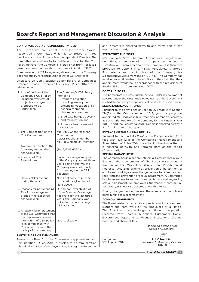#### **CORPORATE SOCIAL RESPONSIBILITY (CSR)**

The Company has constituted Corporate Social Responsibility Committee which is comprised of three members out of which one is an Independent Director. The Committee was set up to formulate and monitor the CSR Policy. However the Company's average net profit for last 3 years computed as per the provisions of Section 135(5) of Companies Act, 2013, being a negative amount, the Company does not qualify for contribution towards CSR Activities.

Disclosure on CSR Activities as per Rule 9 of Companies (Corporate Social Responsibility Policy) Rules 2014 are as tabled below:

| 1. A brief outline of the<br>Company's CSR Policy,<br>including overview of<br>projects or programs<br>proposed to be<br>undertaken                                                          | The Company's CSR Policy<br>intends to<br>Promote education<br>i.<br>including employment<br>enhancing vocation skills<br>especially among<br>children and women.<br>ii. Eradicate hunger, poverty<br>and malnutrition and |
|----------------------------------------------------------------------------------------------------------------------------------------------------------------------------------------------|----------------------------------------------------------------------------------------------------------------------------------------------------------------------------------------------------------------------------|
|                                                                                                                                                                                              | iii. Promote healthcare and<br>sanitation.                                                                                                                                                                                 |
| 2. The Composition of the<br><b>CSR Committee</b>                                                                                                                                            | Mrs. Anju Chandrasekhar-<br>Chairperson<br>Capt.S.Prabhala- Member<br>Mr. Ajit G Nambiar- Member                                                                                                                           |
| 3. Average net profit of the<br>Company for last three<br>financial years                                                                                                                    | $(Rs. 2,16,86,676/-)$                                                                                                                                                                                                      |
| 4. Prescribed CSR<br>Expenditure                                                                                                                                                             | Since the average net profit<br>of the Company for last three<br>years being negative, the<br>Company does not qualify<br>for spending on the CSR<br>activities.                                                           |
| 5. Details of CSR spent<br>during the year                                                                                                                                                   | Not Applicable as per the<br>explanations given in point<br>No.4 above.                                                                                                                                                    |
| 6. Reasons for not spending<br>2% of the average net<br>profit of the last three<br>financial years                                                                                          | Due to non-availability of<br>of the Company's average<br>net profit for the last three<br>years, the Company was<br>not able to spend on any<br>CSR activities.                                                           |
| 7. A responsibility Statement<br>of the CSR Committee that<br>the implementation and<br>monitoring of CSR policy<br>is in compliance with<br>CSR objectives and the<br>policy of the company | Not Applicable                                                                                                                                                                                                             |

#### **PARTICULARS OF EMPLOYEES**

Pursuant to Rule 5 of the Companies (Appointment and Remuneration) Rules, 2014, a disclosure on remuneration related information of employees, Key Managerial Personnel and Directors is annexed herewith and forms part of the report (Annexure-I).

#### **STATUTORY AUDITORS**

M/s T Velupillai & Co., Chartered Accountants, Bangalore will be retiring as auditors of the Company by the end of 53rd Annual General Meeting of the Company. It is therefore proposed to appoint M/s. MKUK Associates, Chartered Accountants, as the Auditors of the Company for 5 consecutive years from the FY 2017-18. The Company has received a certificate from the Auditors to the effect that their appointment would be in accordance with the provisions of Section 139 of the Companies Act, 2013.

#### **COST AUDITORS**

The Company's business during the year under review was not covered under the Cost Audit Rules nor had the Government notified the company to appoint a cost auditor for the said period. **SECRETARIAL AUDIT REPORT**

Pursuant to the provisions of Section 204 read with Section 134(3) of the Companies Act, 2013, your company has appointed Mr. Madhwesh.K, a Practicing Company Secretary as Secretarial Auditor of the Company for the Financial Year 2016-17 and the Secretarial Audit Report is annexed herewith and forming part of the report.

#### **EXTRACT OF THE ANNUAL RETURN**

Pursuant to Section 134 (3) (a) of the Companies Act, 2013 read with Rule 12(1) of the Companies (Management and Administration) Rules, 2014, the extract of the Annual Return is annexed herewith and forming part of the report (Annexure-II).

#### **SEXUAL HARASSMENT**

The Company has in place an AntiSexual Harassment Policy in line with the requirements of The Sexual Harassment of Women at the Workplace (Prevention, Prohibition & Redressal) Act, 2013, aiming at prevention of harassment of employees and lays down the guidelines for identification, reporting and prevention of sexual harassment. A Committee has been set up to redress complaints received regarding sexual harassment. All employees (permanent, contractual, temporary, trainees) are covered under this Policy.

During the year under review, there were no complaints pertaining to sexual harassment.

#### **ACKNOWLEDGEMENTS**

The Board wishes to record its appreciation of the continued support and hard work of the employees at all levels. The Board also acknowledges continued co-operation received from Dealers, Suppliers, Customers, Banks, Government Departments, Financial Institutions, Channel Partners and Shareholders.

> *For and on behalf of the Board of Directors,*

> > Am

Bangalore 10<sup>th</sup> August, 2017

DIN: 00228857 **Ajit G Nambiar Chairman & Managing Director** 

**Annual Report 2016-17 9**

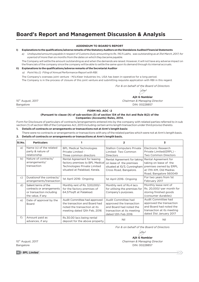#### **ADDENDUM TO BOARD'S REPORT**

#### **I) Explanations to the qualifications/adverse remarks of the Statutory Auditors on the Standalone Audited Financial Statements**

. *a period of more than six months from the dates on which they became payable a) Undisputed amounts payable in respect of Customs Duty amounting to Rs. 116.11 Lakhs, was outstanding as at 31st March, 2017, for*

The Company will settle the amount outstanding as and when the demands are raised. However, it will not have any adverse impact on the financials of the company since the company will be able to settle the same upon its demand through its internal accruals.

#### **II) Explanations to the qualifications/adverse remarks of the Secretarial Auditor**

. *a) Point No.(i) Filing of Annual Performance Report with RBI*

The Company's overseas joint venture - M/s.Kleer Industries Inc, USA has been in-operative for a long period. The Company is in the process of closure of this joint venture and submitting requisite application with RBI in this regard.

*For & on behalf of the Board of Directors*

10<sup>th</sup> August, 2017 Bangalore

DIN: 00228857 *Chairman & Managing Director* **Ajit G Nambiar**

#### **FORM NO. AOC -2**

#### **(Pursuant to clause (h) of sub-section (3) of section 134 of the Act and Rule 8(2) of the Companies (Accounts) Rules, 2014.**

Form for Disclosure of particulars of contracts/arrangements entered into by the company with related parties referred to in sub section (1) of section 188 of the Companies Act, 2013 including certain arms length transaction under third proviso thereto.

#### **1. Details of contracts or arrangements or transactions not at Arm's length basis:**

**2. Details of contracts or arrangements or transactions at Arm's length basis.** There were no contracts or arrangements or transactions with any of the related parties which were not at Arm's length basis.

| SI.No.         | <b>Particulars</b>                                                                                 |                                                                                                                                  | $\overline{2}$                                                                                                                  | 3                                                                                                                                   |
|----------------|----------------------------------------------------------------------------------------------------|----------------------------------------------------------------------------------------------------------------------------------|---------------------------------------------------------------------------------------------------------------------------------|-------------------------------------------------------------------------------------------------------------------------------------|
| a)             | Name (s) of the related<br>party & nature of<br>relationship                                       | <b>BPL Medical Technologies</b><br>Private Limited -<br>Three common directors                                                   | <b>Stallion Computers Private</b><br>Limited-Two Common<br><b>Directors</b>                                                     | Electronic Research<br>Private Limited(ERPL) -<br>Two Common Directors                                                              |
| b)             | Nature of contracts/<br>arrangements/<br>transaction                                               | Rental Agreement for leasing<br>factory premises to BPL Medical<br>Technologies Private Limited<br>situated at Palakkad, Kerala. | Rental Agreement for taking<br>on lease of the premises<br>situated at 10/3, Cunningham<br>Cross Road, Bangalore.               | Rental Agreement for<br>taking on lease of the<br>premises owned by ERPL<br>at 17th KM, Old Madras<br>Road, Bangalore 560049        |
| $\mathsf{C}$ ) | Duration of the contracts/<br>arrangements/transaction                                             | 1st April 2016- Ongoing                                                                                                          | 1st April 2016- Ongoing                                                                                                         | For two years from 1st<br>February 2017                                                                                             |
| d              | Salient terms of the<br>contracts or arrangements<br>or transaction including<br>the value, if any | Monthly rent of Rs. 3,00,000/-<br>for the factory premises of<br>64,571sqft at Palakkad.                                         | Monthly rent of Rs.4 lacs<br>for utilising the premises for<br>Company's purposes.                                              | Monthly lease rent of<br>Rs. 20,000/-per month for<br>storing finished goods<br>(consumer durables)                                 |
| e)             | Date of approval by the<br><b>Board</b>                                                            | Audit Committee had approved<br>the transaction and Board had<br>noted the transaction at its<br>meeting dated 12th Feb, 2016    | Audit Committee had<br>approved the transaction<br>and Board had noted the<br>transaction at its meeting<br>dated 12th Feb 2016 | Audit Committee had<br>approved the transaction<br>and Board had noted the<br>transaction at its meeting<br>dated 31st January 2017 |
| $f$ )          | Amount paid as<br>advances, if any                                                                 | Rs.30.00 lacs being rental<br>deposit for the above property.                                                                    | Nil                                                                                                                             | Nil                                                                                                                                 |

*For & on behalf of the Board of Directors*

Deny b

DIN: 00228857 *Chairman & Managing Director* **Ajit G Nambiar**

10<sup>th</sup> August, 2017 Bangalore

**10 BPL Limited**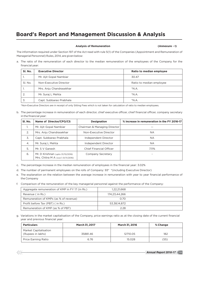#### **Analysis of Remuneration (Annexure - I)**

The information required under Section 197 of the Act read with rule 5(1) of the Companies (Appointment and Remuneration of Managerial Personnel) Rules, 2014, are given below:

a. The ratio of the remuneration of each director to the median remuneration of the employees of the Company for the financial year:

| SI. No. | <b>Executive Director</b> | Ratio to median employee |
|---------|---------------------------|--------------------------|
|         | Mr. Ajit Gopal Nambiar    | 30.47                    |
| SI. No. | Non-Executive Director    | Ratio to median employee |
|         | Mrs. Anju Chandrasekhar   | $*N.A.$                  |
| 2.      | Mr. Suraj L Mehta         | $*N.A.$                  |
| 3.      | Capt. Subbarao Prabhala   | $*N.A.$                  |

\*Non-Executive Directors are in receipt of only Sitting Fees which is not taken for calculation of ratio to median employees.

b. The percentage increase in remuneration of each director, chief executive officer, chief financial officer, company secretary in the financial year:

| SI. No. | Name of Director/CFO/CS                                                 | <b>Designation</b>           | % increase in remuneration in the FY 2016-17 |
|---------|-------------------------------------------------------------------------|------------------------------|----------------------------------------------|
| 1.      | Mr. Ajit Gopal Nambiar                                                  | Chairman & Managing Director | $- -$                                        |
| 2.      | Mrs. Anju Chandrasekhar                                                 | Non-Executive Director       | <b>NA</b>                                    |
| 3.      | Capt. Subbarao Prabhala                                                 | Independent Director         | <b>NA</b>                                    |
| 4.      | Mr. Suraj L Mehta                                                       | Independent Director         | <b>NA</b>                                    |
| 5.      | Mr. S V Ganesh                                                          | Chief Financial Officer      | 7.11%                                        |
| 6.      | Mr. D Krishnan (upto 31/10/2016)<br>Mrs. Chitra M A (w.e.f. 01/11/2016) | Company Secretary            | $\overline{\phantom{0}}$                     |

- c. The percentage increase in the median remuneration of employees in the financial year: 3.02%
- d. The number of permanent employees on the rolls of Company: 93\* \*(including Executive Director)
- e. The explanation on the relation between the average increase in remuneration with year to year financial performance of the Company
- f. Comparison of the remuneration of the key managerial personnel against the performance of the Company:

| Aggregate remuneration of KMP in FY 17 (in Rs.) | 1.22.21.668   |  |
|-------------------------------------------------|---------------|--|
| Revenue (in Rs.)                                | 174.23.44.266 |  |
| Remuneration of KMPs (as % of revenue)          | 0.70          |  |
| Profit before Tax (PBT) (in Rs.)                | 53.38.14.872  |  |
| Remuneration of KMP (as % of PBT)               | 2.28          |  |

g. Variations in the market capitalisation of the Company, price earnings ratio as at the closing date of the current financial year and previous financial year:

| <b>Particulars</b>                         | <b>March 31, 2017</b> | <b>March 31, 2016</b> | % Change |
|--------------------------------------------|-----------------------|-----------------------|----------|
| Market Capitalisation<br>(Rupees in lakhs) | 35881.46              | 12710.05              | 182      |
| Price Earning Ratio                        | 6.76                  | 15.028                | (55)     |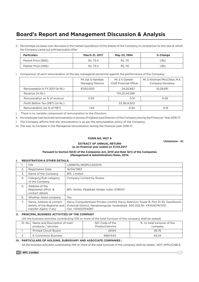**h. Percentage increase over decrease in the market quotations of the shares of the Company in comparison to the rate at which the Company came out with last public offer:**

| <b>Particulars</b> | <b>March 31, 2017</b> | May 23, 1994 | % Change |
|--------------------|-----------------------|--------------|----------|
| Market Price (BSE) | Rs. 73.4              | Rs. 115      | (36)     |
| Market Price (NSE) | Rs. 73.4              | Rs. 115      | (36)     |

**i. Comparison of each remuneration of the key managerial personnel against the performance of the Company:**

|                                  | Mr. Ajit G Nambiar,<br><b>Managing Director</b> | Mr. S V Ganesh<br><b>Chief Financial Officer</b> | Mr. D Krishnan/Mrs.Chitra. M.A<br>Company Secretary |
|----------------------------------|-------------------------------------------------|--------------------------------------------------|-----------------------------------------------------|
| Remuneration in FY 2017 (in Rs.) | 87,60,000                                       | 24.20.667                                        | 10.28.691                                           |
| Revenue (in Rs.)                 |                                                 | 174.23.44.266                                    |                                                     |
| Remuneration as % of revenue     | 0.50                                            | 0.14                                             | 0.06                                                |
| Profit Before Tax (PBT) (in Rs.) |                                                 | 53,38,14,872                                     |                                                     |
| Remuneration (as % of PBT)       | 1.64                                            | 0.45                                             | 0.19                                                |

**j.** There is no variable component of remuneration to the Directors

**k.** No employee had received remuneration in excess of highest paid Director of the Company during the Financial Year 2016-17

**l.** The Company affirms that the remuneration is as per the remuneration policy of the Company.

m. The was no increase in the Managerial remuneration during the financial year 2016-17.

### **FORM NO. MGT 9 EXTRACT OF ANNUAL RETURN**

**(Annexure - II)**

#### **as on financial year ended on 31.03.2017 Pursuant to Section 92(3) of the Companies Act, 2013 and Rule 12(1) of the Companies**

**(Management & Administration) Rules, 2014.**

#### **I. REGISTRATION & OTHER DETAILS:**

|                       | <b>CIN</b>                                                                        | L28997KL1963PLC002015                                                                                                                                                                   |
|-----------------------|-----------------------------------------------------------------------------------|-----------------------------------------------------------------------------------------------------------------------------------------------------------------------------------------|
| 2.                    | <b>Registration Date</b>                                                          | 16/04/1963                                                                                                                                                                              |
| 3.                    | Name of the Company                                                               | <b>BPL Limited</b>                                                                                                                                                                      |
| $\mathcal{A}_{\cdot}$ | Category/Sub-category<br>of the Company                                           | Company Limited by Shares                                                                                                                                                               |
| .5.                   | Address of the<br>Registered office &<br>contact details                          | BPL Works, Palakkad, Kerala, India- 678007.                                                                                                                                             |
| 6.                    | Whether listed company                                                            | Yes                                                                                                                                                                                     |
| 7.                    | Name, Address & contact<br>details of the Registrar and<br>transfer Agent, if any | Karvy Computershare Private Limited; Karvy Selenium Tower B, Plot 31-32, Gachibowli,<br>Financial District, Nanakramguda, Hyderabad- 500 032, Tel: +914067161700<br>Fax: +914023114087. |

#### **II. PRINCIPAL BUSINESS ACTIVITIES OF THE COMPANY**

(All the business activities contributing 10% or more of the total turnover of the company shall be stated)

| SI. No.I | Name and Description of main | NIC Code of the | % to total turnover of the |
|----------|------------------------------|-----------------|----------------------------|
|          | products / services          | Product/service | company                    |
|          | <b>Printed Circuit Board</b> | 26104           | 36.76                      |
|          | E-Commerce Business          | 99611440        | 63.24                      |

#### **III. PARTICULARS OF HOLDING, SUBSIDIARY AND ASSOCIATE COMPANIES :**

All the business activities contributing 10% or more of the total turnover of the company shall be stated : NOT APPLICABLE

**12 BPL Limited**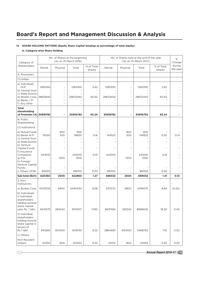#### **IV. SHARE HOLDING PATTERN (Equity Share Capital breakup as percentage of total equity)**

#### **A. Category-wise Share Holding**

 $\ll$ 

| Category of                                                                                            |          |          | No. of Shares at the beginning<br>(As on 31-March 2016) |                             | No. of Shares held at the end of the year<br>(As on 31-March 2017) |                          |          |                             |                    |
|--------------------------------------------------------------------------------------------------------|----------|----------|---------------------------------------------------------|-----------------------------|--------------------------------------------------------------------|--------------------------|----------|-----------------------------|--------------------|
| Shareholders                                                                                           | Demat    | Physical | Total                                                   | % of Total<br><b>Shares</b> | Demat                                                              | Physical                 | Total    | % of Total<br><b>Shares</b> | during<br>the year |
| A. Promoters                                                                                           |          |          |                                                         |                             |                                                                    |                          |          |                             |                    |
| (1) Indian                                                                                             |          |          |                                                         |                             |                                                                    |                          |          |                             |                    |
| a) Individual/<br><b>HUF</b>                                                                           | 1283350  |          | 1283350                                                 | 2.62                        | 1283350                                                            |                          | 1283350  | 2.62                        |                    |
| b) Central Govt                                                                                        |          |          |                                                         | ۰                           |                                                                    |                          |          |                             |                    |
| c) State Govt(s)                                                                                       |          |          |                                                         |                             |                                                                    |                          |          |                             |                    |
| d) Bodies Corp.<br>e) Banks / Fl                                                                       | 29633442 | ٠        | 29633442                                                | 60.62                       | 29633442                                                           | $\sim$                   | 29633442 | 60.62                       |                    |
| f) Any other                                                                                           |          |          |                                                         |                             | $\overline{\phantom{a}}$                                           |                          |          |                             |                    |
| <b>Total</b>                                                                                           |          |          |                                                         |                             |                                                                    |                          |          |                             |                    |
| shareholding<br>of Promoter (A) 30916792                                                               |          | ٠        | 30916792                                                | 63.24                       | 30916792                                                           | $\overline{\phantom{a}}$ | 30916792 | 63.24                       |                    |
| <b>B.</b> Public<br>Shareholding                                                                       |          |          |                                                         |                             |                                                                    |                          |          |                             |                    |
| (1) Institutions                                                                                       |          |          |                                                         |                             |                                                                    |                          |          |                             |                    |
| a) Mutual Funds                                                                                        |          | 900      | 900                                                     |                             |                                                                    | 900                      | 900      |                             |                    |
| b) Banks & FI                                                                                          | 78350    | 300      | 78650                                                   | 0.16                        | 144522                                                             | 300                      | 144822   | 0.30                        | 0.14               |
| c) Central Govt                                                                                        |          |          |                                                         | $\overline{a}$              |                                                                    |                          |          |                             |                    |
| d) State Govt(s)<br>e) Venture                                                                         |          |          |                                                         |                             |                                                                    |                          |          |                             |                    |
| Capital Funds                                                                                          |          |          |                                                         |                             | ٠                                                                  |                          |          |                             |                    |
| f) Insurance                                                                                           |          |          |                                                         |                             |                                                                    |                          |          |                             |                    |
| Companies                                                                                              | 443010   |          | 443010                                                  | 0.91                        | 443010                                                             |                          | 443010   | 0.91                        |                    |
| g) Flls<br>h) Foreign                                                                                  |          | 1300     | 1300                                                    |                             |                                                                    | 1300                     | 1300     |                             |                    |
| Venture Capital                                                                                        |          |          |                                                         |                             |                                                                    |                          |          |                             |                    |
| Funds                                                                                                  |          |          |                                                         |                             |                                                                    |                          |          |                             |                    |
| i) Others OCBs                                                                                         | 99000    |          | 99000                                                   | 0.20                        | 99000                                                              |                          | 99000    | 0.20                        |                    |
| Sub-total (B)(1):                                                                                      | 620360   | 2500     | 622860                                                  | 1.27                        | 686532                                                             | 2500                     | 689032   | 1.41                        | 0.14               |
| 2. Non-<br>Institutions                                                                                |          |          |                                                         |                             |                                                                    |                          |          |                             |                    |
| a) Bodies Corp.                                                                                        | 4433534  | 6900     | 4440434                                                 | 9.08                        | 4311270                                                            | 6800                     | 4318070  | 8.84                        | (0.24)             |
| b) Individuals<br>i) Individual<br>shareholders<br>holding nominal<br>share capital<br>upto Rs. 1 lakh | 8431575  | 269442   | 8701017                                                 | 17.80                       | 8631394                                                            | 265242                   | 8896636  | 18.20                       | 0.40               |
| ii) Individual<br>shareholders<br>holding nominal<br>share capital in<br>excess of<br>Rs 1 lakh        | 3412661  | 604100   | 4016761                                                 | 8.22                        | 2864683                                                            | 604100                   | 3468783  | 7.10                        | (1.12)             |
| c) Others                                                                                              |          |          |                                                         |                             |                                                                    |                          |          |                             |                    |
| Non-Resident<br>Indians                                                                                | 121250   | 800      | 122050                                                  | 0.25                        | 221112                                                             | 800                      | 221912   | 0.45                        | 0.20               |

**Annual Report 2016-17 13**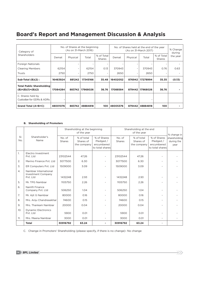| Category of                                             | No. of Shares at the beginning<br>(As on 31-March 2016) |          |          | No. of Shares held at the end of the year<br>(As on 31-March 2017) |          |          |          | % Change<br>during   |          |
|---------------------------------------------------------|---------------------------------------------------------|----------|----------|--------------------------------------------------------------------|----------|----------|----------|----------------------|----------|
| Shareholders                                            | Demat                                                   | Physical | Total    | % of Total<br><b>Shares</b>                                        | Demat    | Physical | Total    | % of Total<br>Shares | the year |
| Foreign Nationals                                       |                                                         |          |          |                                                                    |          |          |          |                      |          |
| <b>Clearing Members</b>                                 | 62154                                                   |          | 62154    | 0.13                                                               | 370943   | ٠        | 370943   | 0.76                 | 0.63     |
| <b>Trusts</b>                                           | 2750                                                    |          | 2750     |                                                                    | 2650     | ۰        | 2650     |                      |          |
| Sub-Total $(B)(2)$ :                                    | 16463924                                                | 881242   | 17345166 | 35.48                                                              | 16402052 | 876942   | 17278994 | 35.35                | (0.13)   |
| <b>Total Public Shareholding</b><br>$(B)=(B)(1)+(B)(2)$ | 17084284                                                | 883742   | 17968026 | 36.76                                                              | 17088584 | 879442   | 17968026 | 36.76                |          |
| C. Shares held by<br>Custodian for GDRs & ADRs          |                                                         |          |          |                                                                    |          |          |          |                      |          |
| Grand Total (A+B+C)                                     | 48001076                                                | 883742   | 48884818 | 100                                                                | 48005376 | 879442   | 48884818 | 100                  |          |

#### **B. Shareholding of Promoters**

|                |                                                                |                  | Shareholding at the beginning<br>of the year |                                                           | Shareholding at the end<br>of the year |                                        | % change in                                               |                                    |
|----------------|----------------------------------------------------------------|------------------|----------------------------------------------|-----------------------------------------------------------|----------------------------------------|----------------------------------------|-----------------------------------------------------------|------------------------------------|
| SI.<br>No.     | Shareholder's<br>Name                                          | No. of<br>Shares | % of total<br>Shares of<br>the company       | % of Shares<br>Pledged /<br>encumbered<br>to total shares | No. of<br><b>Shares</b>                | % of total<br>Shares of<br>the company | % of Shares<br>Pledged /<br>encumbered<br>to total shares | shareholding<br>during the<br>year |
| $\mathbb{1}$ . | Electro Investment<br>Pvt. Ltd                                 | 23102544         | 47.26                                        |                                                           | 23102544                               | 47.26                                  |                                                           |                                    |
| 2.             | Merino Finance Pyt. Ltd                                        | 3077500          | 6.30                                         |                                                           | 3077500                                | 6.30                                   |                                                           |                                    |
| 3.             | ER Computers Pvt. Ltd                                          | 1509000          | 3.09                                         |                                                           | 1509000                                | 3.09                                   |                                                           |                                    |
| 4.             | Nambiar International<br><b>Investment Company</b><br>Pvt. Ltd | 1432248          | 2.93                                         |                                                           | 1432248                                | 2.93                                   |                                                           |                                    |
| 5.             | Mr. TPG Nambiar                                                | 1105750          | 2.26                                         |                                                           | 1105750                                | 2.26                                   |                                                           |                                    |
| 6.             | Namfil Finance<br>Company Pvt. Ltd                             | 506250           | 1.04                                         |                                                           | 506250                                 | 1.04                                   |                                                           |                                    |
| 7.             | Mr. Ajit G Nambiar                                             | 80000            | 0.16                                         |                                                           | 80000                                  | 0.16                                   |                                                           |                                    |
| 8.             | Mrs. Anju Chandrasekhar                                        | 74600            | 0.15                                         |                                                           | 74600                                  | 0.15                                   |                                                           |                                    |
| 9.             | Mrs. Thankam Nambiar                                           | 20000            | 0.04                                         |                                                           | 20000                                  | 0.04                                   |                                                           |                                    |
| 10.            | <b>Dynamic Electronics</b><br>Pvt. Ltd                         | 5900             | 0.01                                         |                                                           | 5900                                   | 0.01                                   |                                                           |                                    |
| 11.            | Mrs. Meena Nambiar                                             | 3000             | 0.01                                         | ٠.                                                        | 3000                                   | 0.01                                   |                                                           |                                    |
|                | <b>Total</b>                                                   | 30916792         | 63.24                                        | ۰                                                         | 30916792                               | 63.24                                  |                                                           |                                    |

**C. Change in Promoters' Shareholding (please specify, if there is no change)- No change**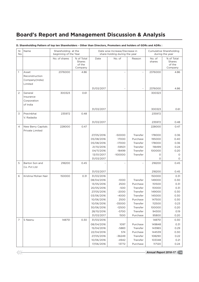| SI.<br>No.     | Name                                                 | Shareholding at the<br>beginning of the Year |                                                  |                          | Date wise Increase/Decrease in<br>share-holding during the year |                      |                   | Cumulative Shareholding<br>during the year       |
|----------------|------------------------------------------------------|----------------------------------------------|--------------------------------------------------|--------------------------|-----------------------------------------------------------------|----------------------|-------------------|--------------------------------------------------|
|                |                                                      | No. of shares                                | % of Total<br><b>Shares</b><br>of the<br>Company | Date                     | No. of                                                          | Reason               | No. of<br>shares  | % of Total<br><b>Shares</b><br>of the<br>Company |
| 1              | Asset<br>Reconstruction<br>Company(India)<br>Limited | 2376000                                      | 4.86                                             |                          |                                                                 |                      | 2376000           | 4.86                                             |
| 2              | General<br>Insurance<br>Corporation<br>of India      | 300323                                       | 0.61                                             | 31/03/2017               |                                                                 |                      | 2376000<br>300323 | 4.86                                             |
|                |                                                      |                                              |                                                  | 31/03/2017               |                                                                 |                      | 300323            | 0.61                                             |
| 3              | Pravinbhai<br>V. Radadia                             | 235972                                       | 0.48                                             |                          |                                                                 |                      | 235972            |                                                  |
|                |                                                      |                                              |                                                  | 31/03/2017               |                                                                 |                      | 235972            | 0.48                                             |
| $\overline{4}$ | New Berry Capitals<br>Private Limited                | 228000                                       | 0.47                                             |                          |                                                                 |                      | 228000            | 0.47                                             |
|                |                                                      |                                              |                                                  | 27/05/2016               | $-50000$                                                        | Transfer             | 178000            | 0.36                                             |
|                |                                                      |                                              |                                                  | 05/08/2016               | 17000                                                           | Purchase             | 195000            | 0.40                                             |
|                |                                                      |                                              |                                                  | 05/08/2016<br>21/10/2016 | $-17000$<br>$-59501$                                            | Transfer<br>Transfer | 178000<br>118499  | 0.36<br>0.24                                     |
|                |                                                      |                                              |                                                  | 04/11/2016               | $-18499$                                                        | Transfer             | 100000            | 0.20                                             |
|                |                                                      |                                              |                                                  | 13/01/2017               | $-100000$                                                       | Transfer             | $\circ$           | O                                                |
|                |                                                      |                                              |                                                  | 31/03/2017               |                                                                 |                      | $\Omega$          | O                                                |
| 5              | Barton Son and<br>Co. Pvt Ltd                        | 218200                                       | 0.45                                             |                          |                                                                 |                      | 218200            | 0.45                                             |
|                |                                                      |                                              |                                                  | 31/03/2017               |                                                                 |                      | 218200            | 0.45                                             |
| 6              | Krishna Mohan Nair                                   | 150000                                       | 0.31                                             | 31/03/2016               |                                                                 |                      | 150000            | 0.31                                             |
|                |                                                      |                                              |                                                  | 08/04/2016               | $-1000$                                                         | Transfer             | 149000            | 0.30                                             |
|                |                                                      |                                              |                                                  | 13/05/2016               | 2500                                                            | Purchase             | 151500            | 0.31                                             |
|                |                                                      |                                              |                                                  | 20/05/2016               | $-500$                                                          | Transfer             | 151000            | 0.31                                             |
|                |                                                      |                                              |                                                  | 27/05/2016               | $-2000$                                                         | Transfer             | 149000            | 0.30                                             |
|                |                                                      |                                              |                                                  | 03/06/2016               | $-4000$                                                         | Transfer             | 145000            | 0.30                                             |
|                |                                                      |                                              |                                                  | 10/06/2016               | 2500                                                            | Purchase             | 147500            | 0.30                                             |
|                |                                                      |                                              |                                                  | 10/06/2016               | $-35000$                                                        | Transfer             | 112500            | 0.23                                             |
|                |                                                      |                                              |                                                  | 30/06/2016               | $-12500$                                                        | Transfer             | 100000            | 0.20                                             |
|                |                                                      |                                              |                                                  | 28/10/2016               | $-5700$<br>1500                                                 | Transfer<br>Purchase | 94300             | 0.19                                             |
|                | S Neenu                                              | 148751                                       | 0.30                                             | 31/03/2017               |                                                                 |                      | 95800             | 0.20                                             |
| 7              |                                                      |                                              |                                                  | 31/03/2016               |                                                                 |                      | 148751            | 0.30                                             |
|                |                                                      |                                              |                                                  | 08/04/2016               | 1097                                                            | Purchase             | 149848            | 0.31                                             |
|                |                                                      |                                              |                                                  | 15/04/2016<br>22/04/2016 | $-5883$<br>574                                                  | Transfer<br>Purchase | 143965<br>144539  | 0.29<br>0.30                                     |
|                |                                                      |                                              |                                                  | 27/05/2016               | $-36249$                                                        | Transfer             | 108290            | 0.22                                             |
|                |                                                      |                                              |                                                  | 10/06/2016               | $-4942$                                                         | Transfer             | 103348            | 0.21                                             |
|                |                                                      |                                              |                                                  | 17/06/2016               | 13772                                                           | Purchase             | 117120            | 0.24                                             |

#### **D. Shareholding Pattern of top ten Shareholders - Other than Directors, Promoters and holders of GDRs and ADRs :**

**Annual Report 2016-17 15**

 $\ll$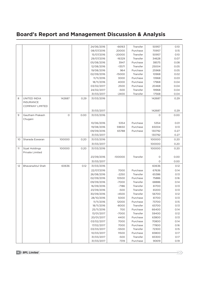|    |                                   |         |      | 24/06/2016 | $-66163$  | Transfer | 50957   | 0.10 |
|----|-----------------------------------|---------|------|------------|-----------|----------|---------|------|
|    |                                   |         |      | 08/07/2016 | 20000     | Purchase | 70957   | 0.15 |
|    |                                   |         |      | 15/07/2016 | $-20000$  | Transfer | 50957   | 0.10 |
|    |                                   |         |      | 29/07/2016 | $-16329$  | Transfer | 34628   | 0.07 |
|    |                                   |         |      | 05/08/2016 | 3947      | Purchase | 38575   | 0.08 |
|    |                                   |         |      | 12/08/2016 | $-13571$  | Transfer | 25004   | 0.05 |
|    |                                   |         |      | 19/08/2016 | 964       | Purchase | 25968   | 0.05 |
|    |                                   |         |      | 02/09/2016 | $-15000$  | Transfer | 10968   | 0.02 |
|    |                                   |         |      | 11/11/2016 | 3000      | Purchase | 13968   | 0.03 |
|    |                                   |         |      | 18/11/2016 | 4000      | Purchase | 17968   | 0.04 |
|    |                                   |         |      | 03/02/2017 | 2500      | Purchase | 20468   | 0.04 |
|    |                                   |         |      | 24/02/2017 | $-500$    | Transfer | 19968   | 0.04 |
|    |                                   |         |      | 31/03/2017 | $-2400$   | Transfer | 17568   | 0.04 |
| 8  | UNITED INDIA<br><b>INSURANCE</b>  | 142687  | 0.29 | 31/03/2016 |           |          | 142687  | 0.29 |
|    | <b>COMPANY LIMITED</b>            |         |      |            |           |          |         |      |
|    |                                   |         |      | 31/03/2017 |           |          | 142687  | 0.29 |
| 9  | Gautham Prakash                   | $\circ$ | 0.00 | 31/03/2016 |           |          | $\circ$ | 0.00 |
|    | Chugani                           |         |      |            |           |          |         |      |
|    |                                   |         |      | 10/06/2016 | 5354      | Purchase | 5354    | 0.01 |
|    |                                   |         |      | 19/08/2016 | 59650     | Purchase | 65004   | 0.13 |
|    |                                   |         |      | 09/09/2016 | 65788     | Purchase | 130792  | 0.27 |
|    |                                   |         |      | 31/03/2017 |           |          | 130792  | 0.27 |
| 10 | Sharada Eswaran                   | 100000  | 0.20 | 31/03/2016 |           |          | 100000  | 0.20 |
|    |                                   |         |      | 31/03/2017 |           |          | 100000  | 0.20 |
| 11 | Siyat Holdings<br>Private Limited | 100000  | 0.20 | 31/03/2016 |           |          | 100000  | 0.20 |
|    |                                   |         |      | 23/09/2016 | $-100000$ | Transfer | $\circ$ | 0.00 |
|    |                                   |         |      | 31/03/2017 |           |          | $\circ$ | 0.00 |
| 12 | BhavanaAtul Shah                  | 60636   | 0.12 | 31/03/2016 |           |          | 60636   | 0.12 |
|    |                                   |         |      | 22/07/2016 | 7000      | Purchase | 67636   | 0.14 |
|    |                                   |         |      | 26/08/2016 | $-2250$   | Transfer | 65386   | 0.13 |
|    |                                   |         |      | 02/09/2016 | 10500     | Purchase | 75886   | 0.16 |
|    |                                   |         |      | 09/09/2016 | $-7000$   | Transfer | 68886   | 0.14 |
|    |                                   |         |      | 16/09/2016 | $-7186$   | Transfer | 61700   | 0.13 |
|    |                                   |         |      | 23/09/2016 | $-500$    | Transfer | 61200   | 0.13 |
|    |                                   |         |      | 30/09/2016 | $-4500$   | Transfer | 56700   | 0.12 |
|    |                                   |         |      | 28/10/2016 | 5000      | Purchase | 61700   | 0.13 |
|    |                                   |         |      | 11/11/2016 | 12000     | Purchase | 73700   | 0.15 |
|    |                                   |         |      | 18/11/2016 | $-8000$   | Transfer | 65700   | 0.13 |
|    |                                   |         |      | 25/11/2016 | 700       | Purchase | 66400   | 0.14 |
|    |                                   |         |      | 13/01/2017 | $-7000$   | Transfer | 59400   | 0.12 |
|    |                                   |         |      | 20/01/2017 | 4400      | Purchase | 63800   | 0.13 |
|    |                                   |         |      | 03/02/2017 | 7000      | Purchase | 70800   | 0.14 |
|    |                                   |         |      | 17/02/2017 | 7000      | Purchase | 77800   | 0.16 |
|    |                                   |         |      | 03/03/2017 | $-5500$   | Transfer | 72300   | 0.15 |
|    |                                   |         |      | 10/03/2017 | 11500     | Purchase | 83800   | 0.17 |
|    |                                   |         |      | 31/03/2017 | $-500$    | Transfer | 83300   | 0.17 |
|    |                                   |         |      | 31/03/2017 | 7319      | Purchase | 90619   | 0.19 |

the control of the control of the control of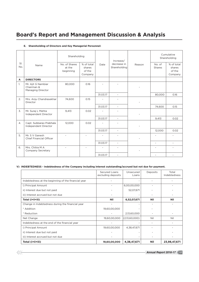|                | Name                                                         | Shareholding                         |                                           |                          | Increase/                   |        | Cumulative<br>Shareholding |                                           |
|----------------|--------------------------------------------------------------|--------------------------------------|-------------------------------------------|--------------------------|-----------------------------|--------|----------------------------|-------------------------------------------|
| SI.<br>No.     |                                                              | No. of Shares<br>at the<br>beginning | % of total<br>shares<br>of the<br>Company | Date                     | decrease in<br>Shareholding | Reason | No. of<br><b>Shares</b>    | % of total<br>shares<br>of the<br>Company |
| A              | <b>DIRECTORS</b>                                             |                                      |                                           |                          |                             |        |                            |                                           |
| $\mathbf{1}$ . | Mr. Ajit G Nambiar<br>Chairman &<br><b>Managing Director</b> | 80,000                               | 0.16                                      |                          |                             |        |                            |                                           |
|                |                                                              |                                      |                                           | 31.03.17                 | ÷                           |        | 80,000                     | 0.16                                      |
| 2.             | Mrs. Anju Chandrasekhar<br>Director                          | 74,600                               | 0.15                                      |                          |                             |        |                            |                                           |
|                |                                                              |                                      |                                           | 31.03.17                 | ÷                           |        | 74,600                     | 0.15                                      |
| 3.             | Mr. Suraj L Mehta<br>Independent Director                    | 9,413                                | 0.02                                      | ÷,                       |                             |        |                            |                                           |
|                |                                                              |                                      |                                           | 31.03.17                 | $\overline{\phantom{a}}$    |        | 9,413                      | 0.02                                      |
| 4.             | Capt. Subbarao Prabhala<br>Independent Director              | 12,000                               | 0.02                                      |                          |                             |        |                            |                                           |
|                |                                                              |                                      |                                           | 31.03.17                 | $\overline{\phantom{a}}$    |        | 12,000                     | 0.02                                      |
| 5.             | Mr. S V Ganesh<br><b>Chief Financial Officer</b>             |                                      |                                           | ٠                        | ÷,                          |        |                            | $\overline{\phantom{a}}$                  |
|                |                                                              |                                      |                                           | 31.03.17                 | ٠                           |        | $\overline{\phantom{a}}$   | $\sim$                                    |
| 6.             | Mrs. Chitra M A<br>Company Secretary                         |                                      | $\overline{a}$                            | $\overline{\phantom{a}}$ | ÷,                          |        |                            |                                           |
|                |                                                              |                                      |                                           | 31.03.17                 | $\overline{\phantom{a}}$    |        |                            |                                           |

#### **E. Shareholding of Directors and Key Managerial Personnel:**

 $\ll$ 

#### **V) INDEBTEDNESS - Indebtedness of the Company including interest outstanding/accrued but not due for payment.**

|                                                     | Secured Loans<br>excluding deposits | Unsecured<br>Loans | Deposits   | Total<br>Indebtedness |
|-----------------------------------------------------|-------------------------------------|--------------------|------------|-----------------------|
| Indebtedness at the beginning of the financial year |                                     |                    |            |                       |
| i) Principal Amount                                 |                                     | 6,00,00,000        |            |                       |
| ii) Interest due but not paid                       |                                     | 52,07,671          |            |                       |
| iii) Interest accrued but not due                   |                                     |                    |            |                       |
| Total (i+ii+iii)                                    | <b>Nil</b>                          | 6,52,07,671        | <b>Nil</b> | Nil                   |
| Change in Indebtedness during the financial year    |                                     |                    |            |                       |
| * Addition                                          | 19,60,00,000                        |                    |            |                       |
| * Reduction                                         |                                     | 2,13,60,000        |            |                       |
| Net Change                                          | 19,60,00,000                        | (2,13,60,000)      | Nil        | Nil                   |
| Indebtedness at the end of the financial year       |                                     |                    |            |                       |
| i) Principal Amount                                 | 19,60,00,000                        | 4,38,47,671        |            |                       |
| ii) Interest due but not paid                       |                                     |                    |            |                       |
| iii) Interest accrued but not due                   |                                     |                    |            |                       |
| Total (i+ii+iii)                                    | 19,60,00,000                        | 4,38,47,671        | Nil        | 23,98,47,671          |

**Annual Report 2016-17 17**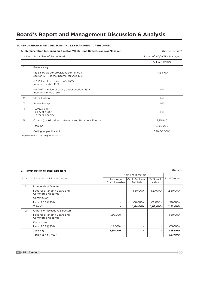#### **VI. REMUNERATION OF DIRECTORS AND KEY MANAGERIAL PERSONNEL**

### A. Remuneration to Managing Director, Whole-time Directors and/or Manager: **A. Remuneration (Rs. per annum)**

| SI.No. | Particulars of Remuneration                                                            | Name of MD/WTD/ Manager |
|--------|----------------------------------------------------------------------------------------|-------------------------|
|        |                                                                                        | Ajit G Nambiar          |
| 1.     | Gross salary                                                                           |                         |
|        | (a) Salary as per provisions contained in<br>section 17(1) of the Income-tax Act, 1961 | 77,84,160               |
|        | (b) Value of perquisites u/s 17(2)<br>Income-tax Act, 1961                             |                         |
|        | (c) Profits in lieu of salary under section 17(3)<br>Income-tax Act, 1961              | Nil                     |
| 2.     | <b>Stock Option</b>                                                                    | Nil                     |
| 3.     | Sweat Equity                                                                           | Nil                     |
| 4.     | Commission<br>- as % of profit<br>- others, specify                                    | Nil                     |
| 5.     | Others (contribution to Gratuity and Provident Funds)                                  | 9,75,840                |
|        | Total (A)                                                                              | 87,60,000               |
|        | Ceiling as per the Act                                                                 | 240,00,000*             |

\*as per schedule V of Companies Act, 2013

| <b>B. Remuneration to other Directors</b> |  |
|-------------------------------------------|--|
|                                           |  |

(Rupees)

|                |                                                           | Name of Directors          |                            |                      |                     |
|----------------|-----------------------------------------------------------|----------------------------|----------------------------|----------------------|---------------------|
| SI. No.        | Particulars of Remuneration                               | Mrs. Anju<br>Chandrasekhar | Capt. Subbarao<br>Prabhala | Mr. Suraj L<br>Mehta | <b>Total Amount</b> |
| $\mathbf{1}$ . | Independent Director                                      |                            |                            |                      |                     |
|                |                                                           |                            |                            |                      |                     |
|                | Fees for attending Board and<br><b>Committee Meetings</b> |                            | 1,60,000                   | 1,20,000             | 2,80,000            |
|                | Commission                                                |                            |                            |                      |                     |
|                | Less: TDS $@10\%$                                         |                            | (16,000)                   | (12,000)             | (28,000)            |
|                | Total (1)                                                 |                            | 1,44,000                   | 1,08,000             | 2,52,000            |
| 2.             | <b>Other Non-Executive Directors</b>                      |                            |                            |                      |                     |
|                | Fees for attending Board and<br><b>Committee Meetings</b> | 1,50,000                   |                            | ۰                    | 1,50,000            |
|                | Commission                                                |                            | -                          | ۰                    |                     |
|                | Less: TDS $@10\%$                                         | (15,000)                   | $\overline{\phantom{a}}$   | ٠                    | (15,000)            |
|                | Total (2)                                                 | 1,35,000                   | ٠                          | ۰                    | 1,35,000            |
|                | Total $(3) = (1) + (2)$                                   |                            |                            |                      | 3,87,000            |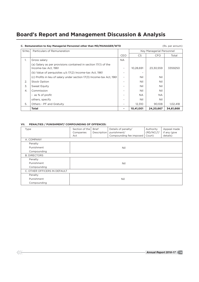#### **C. Remuneration to Key Managerial Personnel other than MD/MANAGER/WTD** (Rs. per annum)

| SI.No. | Particulars of Remuneration                                                            |                          | Key Managerial Personnel |            |           |
|--------|----------------------------------------------------------------------------------------|--------------------------|--------------------------|------------|-----------|
|        |                                                                                        | <b>CEO</b>               | <b>CS</b>                | <b>CFO</b> | Total     |
| 1.     | Gross salary                                                                           | <b>NA</b>                |                          |            |           |
|        | (a) Salary as per provisions contained in section 17(1) of the<br>Income-tax Act, 1961 |                          | 10,28,691                | 23,30,559  | 3359250   |
|        | (b) Value of perquisites u/s 17(2) Income-tax Act, 1961                                |                          |                          |            |           |
|        | (c) Profits in lieu of salary under section 17(3) Income-tax Act, 1961                 | $\overline{\phantom{a}}$ | Nil                      | Nil        |           |
| 2.     | <b>Stock Option</b>                                                                    |                          | Nil                      | Nil        |           |
| 3.     | <b>Sweat Equity</b>                                                                    |                          | Nil                      | Nil        |           |
| 4.     | Commission                                                                             |                          | Nil                      | Nil        |           |
|        | - as % of profit                                                                       |                          | <b>NA</b>                | NA.        |           |
|        | others, specify                                                                        |                          | Nil                      | Nil        |           |
| 5.     | Others - PF and Gratuity                                                               |                          | 12,310                   | 90.108     | 1,02,418  |
|        | <b>Total</b>                                                                           |                          | 10,41,001                | 24,20,667  | 34,61,668 |

#### **VII. PENALTIES / PUNISHMENT/ COMPOUNDING OF OFFENCES:**

 $\ll$ 

| Type                         | Section of the<br>Companies<br>Act | <b>Brief</b><br>Description | Details of penalty/<br>punishment/<br>Compounding fee imposed | Authority<br>(RD/NCLT/<br>Court) | Appeal made<br>if any (give<br>details) |  |
|------------------------------|------------------------------------|-----------------------------|---------------------------------------------------------------|----------------------------------|-----------------------------------------|--|
| A. COMPANY                   |                                    |                             |                                                               |                                  |                                         |  |
| Penalty                      |                                    |                             |                                                               |                                  |                                         |  |
| Punishment                   |                                    |                             | Nil                                                           |                                  |                                         |  |
| Compounding                  |                                    |                             |                                                               |                                  |                                         |  |
| <b>B. DIRECTORS</b>          |                                    |                             |                                                               |                                  |                                         |  |
| Penalty                      |                                    |                             |                                                               |                                  |                                         |  |
| Punishment                   |                                    |                             | Nil                                                           |                                  |                                         |  |
| Compounding                  |                                    |                             |                                                               |                                  |                                         |  |
| C. OTHER OFFICERS IN DEFAULT |                                    |                             |                                                               |                                  |                                         |  |
| Penalty                      |                                    |                             |                                                               |                                  |                                         |  |
| Punishment                   | Nil                                |                             |                                                               |                                  |                                         |  |
| Compounding                  |                                    |                             |                                                               |                                  |                                         |  |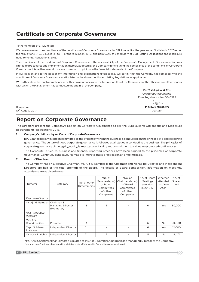### **Certificate on Corporate Governance**

#### To the Members of BPL Limited,

We have examined the compliance of the conditions of Corporate Governance by BPL Limited for the year ended 31st March, 2017 as per the regulations 17-27, Clauses (b) to (i) of the regulation 46(2) and para C,D,E of Schedule V of SEBI(Listing Obligations and Disclosure Requirements) Regulations, 2015.

The compliance of the conditions of Corporate Governance is the responsibility of the Company's Management. Our examination was limited to procedures and implementation thereof, adopted by the Company for ensuring the compliance of the conditions of Corporate Governance. It is neither an audit nor an expression of opinion on the financial statements of the Company.

In our opinion and to the best of my information and explanations given to me, We certify that the Company has complied with the conditions of Corporate Governance as stipulated in the above mentioned Listing Regulations as applicable.

We further state that such compliance is neither an assurance as to the future viability of the Company nor the efficiency or effectiveness with which the Management has conducted the affairs of the Company.

> Firm Registration No.0045925 **For T Velupillai & Co.,** *Chartered Accountants,*

> > **M S Ram (026687)**

Launa

Bangalore 10 August, 2017 th *Partner*

### **Report on Corporate Governance**

The Directors present the Company's Report on Corporate Governance as per the SEBI (Listing Obligations and Disclosure Requirements) Regulations, 2015.

#### **1. Company's philosophy on Code of Corporate Governance**

BPL Limited has always been committed to the system by which the business is conducted on the principle of good corporate governance. The culture of good corporate governance is followed at all stages in conducting the business. The principles of corporate governance viz. integrity, equity, fairness, accountability and commitment to values are promoted continuously.

The Corporate Structure, business and financial reporting practices have been aligned to the principles of corporate governance. Continuous Endeavour is made to improve these practices on an ongoing basis.

#### **2. Board of Directors**

The Company has an Executive Chairman. Mr. Ajit G Nambiar is the Chairman and Managing Director and Independent Directors are half of the total strength of the Board. The details of Board composition, information on meetings, attendance are as given below:

| Director                          | Category                        | No. of other<br>Directorships | *No. of<br>Membership(s)<br>of Board<br>Committees<br>of other<br>Companies | *No. of<br>Chairmanship(s)<br>of Board<br>Committees<br>of other<br>Companies | No. of Board<br>Meetings<br>attended<br>in 2016-17 | Whether<br>attended<br>Last Year<br><b>AGM</b> | No. of<br><b>Shares</b><br>held |
|-----------------------------------|---------------------------------|-------------------------------|-----------------------------------------------------------------------------|-------------------------------------------------------------------------------|----------------------------------------------------|------------------------------------------------|---------------------------------|
| <b>Executive Director</b>         |                                 |                               |                                                                             |                                                                               |                                                    |                                                |                                 |
| Mr. Ajit G Nambiar   Chairman &   | Managing Director<br>(Promoter) | 18                            |                                                                             |                                                                               | 6                                                  | Yes                                            | 80,000                          |
| Non-Executive<br><b>Directors</b> |                                 |                               |                                                                             |                                                                               |                                                    |                                                |                                 |
| Mrs. Anju<br>Chandrasekhar        | Promoter                        | 13                            |                                                                             |                                                                               | 6                                                  | <b>No</b>                                      | 74,600                          |
| Capt. Subbarao<br>Prabhala        | Independent Director            | 2                             |                                                                             |                                                                               | 6                                                  | Yes                                            | 12,000                          |
| Mr. Suraj L Mehta                 | Independent Director            | 3                             | 2                                                                           |                                                                               | 5                                                  | <b>No</b>                                      | 9,413                           |

Mrs. Anju Chandrasekhar, Director, is related to Mr. Ajit G Nambiar, Chairman and Managing Director of the Company. \*Membership/Chairmanship in Audit and stakeholders Relationship Committees are considered.

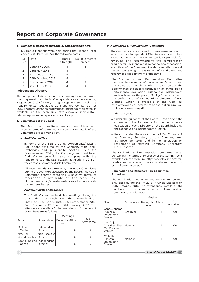### **Report on Corporate Governance**

#### *b) Number of Board Meetings held, dates on which held:*

Six Board Meetings were held during the Financial Year ended 31st March, 2017 on the following dates:

| SI.<br>No. | Date               | Board<br>Strength | No. of Directors<br>present |
|------------|--------------------|-------------------|-----------------------------|
|            | 28thApril, 2016    |                   |                             |
| 2          | 26th May, 2016     |                   |                             |
| 3          | 10th August, 2016  |                   |                             |
| 4          | 26th October, 2016 |                   |                             |
| 5          | 31st January, 2017 |                   |                             |
| 6          | 21st March, 2017   |                   |                             |

#### **Independent Directors**

The independent directors of the company have confirmed that they meet the criteria of independence as mandated by Regulation 16(b) of SEBI (Listing Obligations and Disclosure Requirements) Regulations 2015 and the Companies Act 2013. The familiarization program for independent directors is available at the web link http://www.bpl.in/investorrelations/policies/independent-directors.pdf

#### **3. Committees of the Board**

The Board has constituted various committees with specific terms of reference and scope. The details of the Committee are as given below.

#### *a. Audit Committee*

In terms of the SEBI's Listing Agreements/ Listing Regulations executed by the Company with Stock Exchanges and pursuant to Section 177 of the Companies Act, 2013, the Company has constituted Audit Committee which also complies with the requirements of the SEBI (LODR) Regulations, 2015 on the composition of the Audit Committee.

All recommendations made by the Audit Committee during the year were accepted by the Board. The Audit Committee charter containing exhaustive terms of reference is available on the web link, http://www.bpl.in/investor-relations/charters/auditcommittee-charter.pdf

#### *Audit Committee Attendance*

The Audit Committee held five meetings during the year ended 31st March, 2017. These were held on 26th May, 2016; 10th August, 2016; 26th October, 2016, 24th December 2016 and 31st January, 2017. The attendance details of the members of the Audit Committee are as follows:

|                                        |                         | Meetings                      |   |                      |
|----------------------------------------|-------------------------|-------------------------------|---|----------------------|
| Name                                   | Designation             | During the Attended<br>tenure |   | $%$ of<br>Attendance |
| Mr. Suraj<br>L Mehta                   | Independent<br>Director | 5                             | 5 | 100                  |
| Mrs. Anju<br>Chandrasekhar Director    | Non-Executivel          | 5                             | 5 | 100                  |
| Capt. Subbarao Independent<br>Prabhala | Director                | 5                             | 5 | 100                  |

#### *b. Nomination & Remuneration Committee*

The Committee is comprised of three members out of which two are Independent Directors and one is Non-Executive Director. The Committee is responsible for reviewing and recommending the compensation program for key managerial personnel and other senior executives of the Company. It reviews and discusses all matters pertaining to evaluation of candidates and recommends appointment of the same.

The Nomination and Remuneration Committee oversees the evaluation of the individual Directors and the Board as a whole. Further, it also reviews the performance of senior executives on an annual basis. Performance evaluation criteria for independent directors is as per the policy 'Policy for evaluation of the performance of the board of directors of BPL Limited' which is available at the web link http://www.bpl.in/investor-relations/policies/policyon-board-evaluation.pdf.

During the year,

- Under the guidance of the Board, it has framed the criteria and the framework for the performance evaluation of every Director on the Board, including the executive and independent director.
- Recommended the appointment of Mrs. Chitra. M.A as Company Secretary of the Company w.e.f 1st November, 2016 and her remuneration on retirement of existing Company Secretary, Mr. D. Krishnan.

The Nomination and Remuneration Committee charter containing the terms of reference of the Committee is available on the web link http://www.bpl.in/investorrelations/charters/nomination-and-remunerationcommittee-charter.pdf

#### **Nomination and Remuneration Committee Attendance**

The Nomination and Remuneration Committee met only once during the FY 2016-17 which was held on 26th October, 2016 The attendance details of the members of the Nomination and Remuneration Committee are as follows:

|                                                         |                                     | Meetings |  |                      |
|---------------------------------------------------------|-------------------------------------|----------|--|----------------------|
| Name                                                    | Designation   During the   Attended | tenure   |  | $%$ of<br>Attendance |
| Capt.Subbarao<br>Prabhala<br>Independent<br>Director    | Chairman                            |          |  | 100                  |
| Mrs. Anju<br>Chandrasekhar<br>Non-Executive<br>Director | Member                              |          |  | 100                  |
| Mr. Suraj<br>L Mehta<br>Independent<br>Director         | Member                              |          |  | 100                  |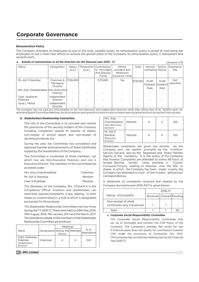#### **Remuneration Policy**

The Company considers its employees as one of the most valuable assets. Its remuneration policy is aimed at motivating the employees to put in their best efforts to achieve the growth plans of the Company. Its remuneration policy is transparent and rewards merit.

#### *a. Details of remuneration to all the directors for the financial year 2016 - 17*

 $(Amount in **7**)$ 

| Name                                  | Designation                        | Salary<br>(p.a.) | (p.a.) | Perquisites   Contribution  <br>to Provident<br>and Gratuity<br><b>Funds</b> | Others-<br>accident and<br>Mediclaim<br>l insurance cover | Total     | Service<br>contracts Period                   | <b>Notice</b>   | Severance<br>Fee |
|---------------------------------------|------------------------------------|------------------|--------|------------------------------------------------------------------------------|-----------------------------------------------------------|-----------|-----------------------------------------------|-----------------|------------------|
| Mr. Ajit G Nambiar                    | Chairman &<br>Managing<br>Director | 77.84.160        |        | 9.75.840                                                                     | Yes                                                       | 87,60,000 | As per<br>Company's Company's<br><b>Rules</b> | As per<br>Rules | Not<br>specified |
| Mrs. Anju Chandrasekhar Non-Executive | Director                           |                  |        |                                                                              |                                                           |           |                                               |                 |                  |
| Capt. Subbarao<br>Prabhala            | Independent<br>Director            |                  |        |                                                                              |                                                           |           |                                               |                 |                  |
| Suraj L Mehta                         | Independent<br>Director            |                  |        |                                                                              |                                                           |           |                                               |                 |                  |

The Company has not paid any remuneration to the non-executive and independent directors other than sitting fees of Rs. 10,000/-each, for attending Board/Committee Meetings. No stock options were granted to directors and no shares were issued at discount during the Financial year.

#### *b. Stakeholders Relationship Committee*

The role of the Committee is to consider and resolve the grievances of the security holders of the Company including complaints related to transfer of shares, non-receipt of annual report and non-receipt of declared dividends, etc.

During the year, the Committee has considered and approved transfer and transmission of Share Certificates lodged by the shareholders of the Company.

The Committee is comprised of three members, out which two are Non-Executive Directors and one is Executive Director. The members of the Committee are as stated under:

| Mrs. Aniu Chandrasekhar | Chairman |
|-------------------------|----------|
| Mr. Ajit G Nambiar      | Member   |
| Capt S Prabhala         | Member   |

The Secretary of the Company, Mrs. Chitra.M.A is the Compliance Officer. Investors and shareholders can send their queries/complaints, if any, relating to their shares to investor@bpl.in, a mail id which is designated exclusively for this purpose.

The Stakeholder Relationship Committee met four times during the FY 2016-17. These were held on 26th May, 2016, 10th August, 2016, 31st January, 2017 and 21st March, 2017. The attendance details of the members of the Stakeholder Relationship Committee are as follows:

|                                                         |                                     | Meetings |  |                    |
|---------------------------------------------------------|-------------------------------------|----------|--|--------------------|
| Name                                                    | Designation   During the   Attended | tenure   |  | % of<br>Attendance |
| Capt. Subbarao<br>Prabhala<br>(Independent<br>Director) | Chairman                            |          |  | 100                |

| Mrs. Anju<br>Chandrasekhar<br>(Non-Executive<br>Director) | Member |  | 100 |
|-----------------------------------------------------------|--------|--|-----|
| Mr. Ajit G<br>Nambiar<br>(Executive<br>Director)          | Member |  | 100 |

Shareholder complaints are given top priority by the Company and are replied promptly by the Investors' Service Cell and also by the Registrars and Share Transfer Agents of the Company. It is the policy of the Company that Investor Complaints are attended to within 48 hours of receipt. Barring certain cases pending in Courts/ Consumer Forums, relating to disputes over the title to shares, in which the Company has been made a party, the Company has attended to most of the investor grievances/ correspondences.

A statement of complaints received and cleared by the Company during the year 2016-2017 is given below:

|                               | 2016-17                      |  |     |  |
|-------------------------------|------------------------------|--|-----|--|
| Nature of Complaint           | Received   Cleared   Pending |  |     |  |
| Non-receipt of share          |                              |  |     |  |
| certificates duly transferred |                              |  |     |  |
| Total                         |                              |  | Nil |  |

*c. Corporate Social Responsibility Committee*

The Corporate Social Responsibility Committee was set up to formulate and monitor the CSR Policy of the Company. The Company's average Net profit for last 3 financial years does not qualify for contribution towards CSR under the provisions of Companies Act, 2013. The Company has not held any meeting during the Financial Year 2016-17.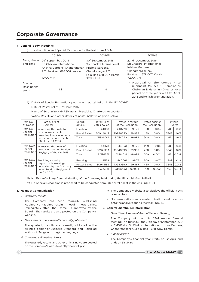#### **4) General Body Meetings**

i) Location, time and Special Resolution for the last three AGMs

|                                  | 2013-14                                                                                                                                       | 2014-15                                                                                                                                          | 2015-16                                                                                                                                                                                |
|----------------------------------|-----------------------------------------------------------------------------------------------------------------------------------------------|--------------------------------------------------------------------------------------------------------------------------------------------------|----------------------------------------------------------------------------------------------------------------------------------------------------------------------------------------|
| Date, Venue<br>and Time          | 29 <sup>th</sup> September, 2014<br>Sri Chackra International.<br>Krishna Gardens, Chandranagar<br>P.O. Palakkad 678 007, Kerala<br>10:00 A M | 30 <sup>th</sup> September, 2015<br>Sri Chackra International.<br>Krishna Gardens.<br>Chandranagar P.O.<br>Palakkad 678 007, Kerala<br>10:00 A M | 22nd December, 2016<br>Sri Chackra International<br>Krishna Gardens<br>Chandranagar P.O.<br>Palakkad 678 007, Kerala<br>10:00 A M                                                      |
| Special<br>Resolutions<br>passed | Nil                                                                                                                                           | Nil                                                                                                                                              | 1) Approval of the company to<br>re-appoint Mr. Ajit G Nambiar as<br>Chairman & Managing Director for a<br>period of three years w.e.f 1st April,<br>2016 and to fix his remuneration. |

ii) Details of Special Resolutions put through postal ballot in the FY 2016-17 Date of Postal ballot- 11<sup>th</sup> March 2017

Name of Scrutinizer- Mr.P.Sivarajan, Practising Chartered Accountant.

Voting Results and other details of postal ballot is as given below.

| Item No.<br>of Notice | Particulars of<br><b>Business</b>                                       | Voting<br>details | Total No of<br>Votes polled | Votes in favour<br>of the Resolution |        | Votes against<br>the Resolution |       | invalid<br>votes |       |
|-----------------------|-------------------------------------------------------------------------|-------------------|-----------------------------|--------------------------------------|--------|---------------------------------|-------|------------------|-------|
| Item No.1             | Increasing the limits for                                               | E-voting          | 441158                      | 440220                               | 99.79  | 150                             | 0.03  | 788              | 0.18  |
| Special<br>Resolution | making investments,<br>providing loans, guarantee                       | Postal Ballot     | 30944843                    | 30940550                             | 99.989 | 450                             | 0.001 | 3843             | 0.01  |
|                       | and security under Section<br>186 of the CA 2013.                       | Total             | 31386001                    | 31380770                             | 99.989 | 600                             | 0.001 | 4631             | 0.01  |
| Item No.2             | Increasing the limits of<br>borrowings under Section                    | E-voting          | 441178                      | 440131                               | 99.76  | 259                             | 0.06  | 788              | 0.18  |
| Special<br>Resolution |                                                                         | Postal Ballot     | 30945183                    | 30940890                             | 99.989 | 450                             | 0.001 | 3843             | 0.01  |
|                       | 180(1)(c) of the CA 2013.                                               | Total             | 31386361                    | 31381021                             | 99.984 | 709                             | 0.002 | 4631             | 0.014 |
| Item No.3             | Providing security in                                                   | E-voting          | 441158                      | 440061                               | 99.75  | 309                             | 0.07  | 788              | 0.18  |
| Special<br>Resolution | respect of borrowings to                                                | Postal Ballot     | 30945183                    | 30940890                             | 99.987 | 450                             | 0.001 | 3843             | 0.012 |
|                       | be availed by the Company<br>under Section 180(1)(a) of<br>the CA 2013. | Total             | 31386341                    | 31380951                             | 99.984 | 759                             | 0.002 | 4631             | 0.014 |

iii) No Extra-Ordinary General Meeting of the Company held during the Financial Year 2016-17.

iv) No Special Resolution is proposed to be conducted through postal ballot in the ensuing AGM.

#### **5. Means of Communication**

*i. Quarterly results*

The Company has been regularly publishing Audited / Un-audited results in leading news dailies, immediately after the same is approved by the Board. The results are also posted on the Company's website.

*ii. Newspapers wherein results normally published*

The quarterly results are normally published in the all India edition of Business Standard and Palakkad edition of Mangalam in regional language.

*iii. Company's Website address*

The quarterly results and other official news are posted on the Company's website at http://www.bpl.in

- iv. The Company's website also displays the official news releases too.
- No presentations were made to institutional investors *v.* or to the analysts during the year 2016-17.

#### **6. General Shareholder Information**

*i. Date, Time & Venue of Annual General Meeting*

The Company will hold its 53rd Annual General Meeting on Tuesday, the 26th day of September, 2017 at 2.45 P.M. at Sri Chakra International, Krishna Gardens, Chandranagar P.O., Palakkad - 678 007, Kerala.

*ii. Financial year*

The Company's financial year starts on 1st April and ends on 31st March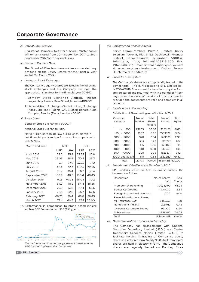#### *iii. Date of Book Closure*

Register of Members / Register of Share Transfer books will remain closed from 20th September 2017 to 26th September, 2017 (both days inclusive).

*iv. Dividend Payment Date*

The Board of Directors have not recommended any dividend on the Equity Shares for the financial year ended 31st March, 2017.

*v. Listing on Stock Exchanges*

The Company's equity shares are listed in the following stock exchanges and the Company has paid the appropriate listing fees for the financial year 2016-17:

- 1. Bombay Stock Exchange Limited, Phiroze Jeejeebhoy Towers, Dalal Street, Mumbai 400 001
- 2. National Stock Exchange of India Limited, "Exchange Plaza", 5th Floor, Plot No. C/1, G Block, Bandra-Kurla Complex, Bandra (East), Mumbai 400 051
- *vi. Stock Code*

Bombay Stock Exchange : 500074

National Stock Exchange : BPL

Market Price Data (high, low during each month in last financial year) and performance in comparison to BSE & NSE.

| Month and Year   |       | <b>NSE</b> |       | BSE   |
|------------------|-------|------------|-------|-------|
|                  | High  | Low        | High  | Low   |
| April 2016       | 33.6  | 25.8       | 33.35 | 25.8  |
| May 2016         | 29.05 | 26.9       | 30.5  | 26.3  |
| June 2016        | 38    | 27.6       | 37.75 | 27.2  |
| <b>July 2016</b> | 42.4  | 32.3       | 42.35 | 32.95 |
| August 2016      | 56.7  | 36.4       | 56.7  | 36.4  |
| September 2016   | 100.2 | 48.5       | 100.4 | 48.45 |
| October 2016     | 97.3  | 70.05      | 98.05 | 70.2  |
| November 2016    | 84.2  | 48.2       | 84.4  | 48.65 |
| December 2016    | 76.9  | 58.1       | 77.4  | 58.6  |
| January 2017     | 75.8  | 62.6       | 75.7  | 62.6  |
| February 2017    | 68.75 | 59.4       | 68.8  | 58.45 |
| March 2017       | 77.4  | 60.5       | 77.5  | 60.00 |

vii. Performance in comparison to broad based indices such as BSE Sensex index, NSE (Nifty) etc.,



**24 BPL Limited**

#### *viii. Registrar and Transfer Agents*

Karvy Computershare Private Limited, Karvy Selenium Tower B, Plot 31-32, Gachibowli, Financial District, Nanakramguda, Hyderabad- 500032, Telengana, India, Tel: +914067161700, Fax: +914023114087, E-mail: einward.ris@karvy.co, Website id: www.karvycomputershare.com, Contact Person: Mr. P N Rao / Mr. K S Reddy

*ix. Share Transfer System*

The Company's shares are compulsorily traded in the demat form. The ISIN allotted to BPL Limited is: - INE110A01019. Shares sent for transfer in physical form are registered and returned with in a period of fifteen days from the date of receipt of the documents, provided the documents are valid and complete in all respects.

*x. Distribution of Shareholding*

Distribution of Shareholding as on 31st March,2017

| Category<br>(Shares)          | No. of<br>holders | % $to$<br>Share<br>holders | No. of<br>Shares | % $to$<br>Equity |
|-------------------------------|-------------------|----------------------------|------------------|------------------|
| 500                           | 23909             | 86.08                      | 3353133          | 6.86             |
| 1000<br>501<br>$\overline{a}$ | 1902              | 6.85                       | 1583329          | 3.24             |
| 1001 - 2000                   | 928               | 3.34                       | 1461676          | 2.99             |
| 2001 - 3000                   | 353               | 1.27                       | 915890           | 1.87             |
| 3001 - 4000                   | 155               | 0.56                       | 563460           | 1.15             |
| 4001 - 5000                   | 140               | 0.50                       | 661540           | 1.35             |
| 5001 - 10000                  | 208               | 0.75                       | 1523671          | 3.12             |
| 10001 and above               | 178               | 0.64                       | 38822119         | 79.42            |
| Total                         | 27773             | 100.00                     | 48884818100.00   |                  |

*xi. Shareholders' Profile as on 31st March, 2017*

BPL Limited's shares are held by diverse entities. The break-up is as follows:

| Description                     | No. of Shares<br>held | % $to$<br>Equity |
|---------------------------------|-----------------------|------------------|
| Promoter Shareholding           | 309.16.792            | 63.25            |
| <b>Bodies Corporates</b>        | 43,18,070             | 8.83             |
| Foreign Institutional Investors | 1.300                 | 0.00             |
| Financial Institutions, Banks,  |                       |                  |
| MF, insurance Cos'              | 5.88.732              | 1.20             |
| Nonresident Indians             | 2,21,912              | 0.45             |
| Overseas Corporate Bodies       | 99.000                | 0.20             |
| Public others                   | 127,39,012            | 26.05            |
| Total                           | 4.88.84.818           | 100.00           |

*xii. Dematerialization of shares and liquidity*

The Company has arrangements with National Securities Depository Limited (NSDL) and Central Depository Services (India) Limited (CDSL), to facilitate holding & trading of Company's equity shares in electronic form. Nearly 98.03% of Company's shares are held in electronic form. The Company's shares are regularly traded on Bombay Stock

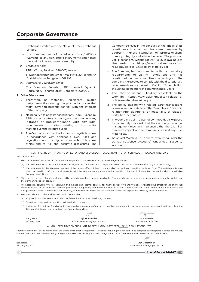Exchange Limited and the National Stock Exchange Limited.

- xiii. The Company has not issued any GDRs / ADRs / Warrants or any convertible instruments and hence, there will not be any impact on equity
- *xiv. Plant Locations*

i. BPL Works, Palakkad 678 007, Kerala

ii. Doddaballapur Industrial Area, Plot No28 B and 29, Doddaballapur, Bangalore. 561 203.

*xv. Address for Correspondence*

The Company Secretary, BPL Limited, Dynamic House, No.64, church Street, Bangalore 560 001.

#### **7. Other Disclosures**

- i. There were no materially significant related party transactions during the year under review that might have had potential conflict with the interests of the company.
- ii. No penalty has been imposed by any Stock Exchange, SEBI or any statutory authority, nor there hasbeen any instance of non-compliance with any legal requirements or matters relating to the capital markets over the last three years.
- iii. The Company is committed to conducting its business in accordance with applicable laws, rules and regulations and the highest standards of business ethics and to full and accurate disclosures. The

Company believes in the conduct of the affairs of its constituents in a fair and transparent manner by adopting highest standards of professionalism, honesty, integrity and ethical behavior. The policy on vigil Mechanism/Whistle Blower Policy is available at the web link http://www.bpl.in/investorrelations/policies/whistleblower-policy.pdf

- iv. The Company has duly complied with the mandatory requirements of Listing Regulations and has constituted various committees accordingly. The company is expected to comply with the discretionary requirements as prescribed in Part E of Schedule II to the Listing Regulations in coming financial years.
- v. The policy on material subsidiary is available on the web link http://www.bpl.in/investor-relations/ policies/material-subsidiary.pdf
- vi. The policy dealing with related party transactions is available on web link http://www.bpl.in/investorrelations/policies/policy-on-materiality-of-relatedparty-transactions.pdf
- vii. The Company being a user of commodities is exposed to commodity price risk. But the Company has a risk management mechanism to ensure that there is nil or minimum impact on the Company in case if any risks materialize.
- viii. As on 31st March 2017, no shares were lying under the Demat Suspense Account/ Unclaimed Suspense Account.

#### CERTIFICATE BY MANAGING DIRECTOR AND CFO UNDER REGULATION 17(8) OF SEBI (LODR) REGULATIONS, 2015

We confirm that

- We have reviewed the financial statement for the year and that to the best of our knowledge and belief:
	- (a) these statements do not contain any materially untrue statement or omit any material fact or contains statement that might be misleading;
	- (b) these statements give a true and fair view of the state of affairs of the company and of the results or operations and cash flows. These statements have been prepared in conformity, in all respects, with the existing generally accepted accounting principles including Accounting Standards, applicable laws and regulations.
- 2. There are, to the best of our knowledge and belief, no transactions entered into by the Company during the year which are fraudulent, illegal or violative of the Company's code of conduct.
- 3. We accept responsibility for establishing and maintaining internal controls for financial reporting and We have evaluated the effectiveness of internal control systems of the company pertaining to financial reporting and we have disclosed to the Auditors and the Audit Committee, deficiencies in the design or operation of such internal control if any, of which we are aware and the steps, we have taken or propose to rectify these deficiencies.
- 4. We have indicated to the Auditors and Audit Committee:
	- (a) Any significant changes in internal control over financial reporting during the year;
	- (b) Significant changes in accounting policies during the year;
	- (c) Instances of significant fraud of which we have become aware of and which involve management or other employees who has significant role in the Company's internal control system over financial reporting.

| Bangalore      | Ajit G Nambiar               | S V Ganesh                     |
|----------------|------------------------------|--------------------------------|
| 13th May, 2017 | Chairman & Managing Director | <b>Chief Financial Officer</b> |

#### ANNUAL DECLARATION PURSUANT TO REGULATION 26(3) SEBI (LODR) REGULATIONS, 2015.

I hereby confirm that all the members of the Board and Senior Management Personnel including me, have affirmed compliance to respective codes of conduct, in accordance with 26(3) SEBI (Listing Obligations and Disclosure Requirements) Regulations, 2015 for the Financial Year ended 31st March 2017.

Bangalore 10<sup>th</sup> August, 2017

(Bays **Ajit G Nambiar** th *Chairman & Managing Director*

**Annual Report 2016-17 25**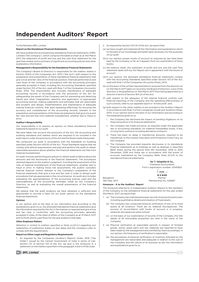## **Independent Auditors' Report**

#### To the Members BPL Limited

#### **Report on the Standalone Financial Statements**

We have audited the accompanying standalone financial statements of BPL Limited ('the Company'), which comprise the balance sheet as at 31st March 2017, the statement of profit and loss and the cash flow statement for the year then ended, and a summary of significant accounting policies and other explanatory information.

#### **Management's Responsibility for the Standalone Financial Statements**

The Company's Board of Directors is responsible for the matters stated in Section 134(5) of the Companies Act, 2013 ("the Act") with respect to the preparation and presentation of these standalone financial statements that give a true and fair view of the financial position, financial performance and cash flows of the Company in accordance with the accounting principles generally accepted in India, including the Accounting Standards specified under Section 133 of the Act, read with Rule 7 of the Companies (Accounts) Rules, 2014. This responsibility also includes maintenance of adequate accounting records in accordance with the provisions of the Act for safeguarding the assets of the Company and for preventing and detecting frauds and other irregularities; selection and application of appropriate accounting policies; making judgments and estimates that are reasonable and prudent; and design, implementation and maintenance of adequate internal financial controls, that were operating effectively for ensuring the accuracy and completeness of the accounting records, relevant to the preparation and presentation of the financial statements that give a true and fair view and are free from material misstatement, whether due to fraud or error.

#### **Auditor's Responsibility**

Our responsibility is to express an opinion on these standalone financial statements based on our audit.

We have taken into account the provisions of the Act, the accounting and auditing standards and matters which are required to be included in the audit report under the provisions of the Act and the Rules made thereunder.

We conducted our audit in accordance with the Standards on Auditing specified under Section 143(10) of the Act. Those Standards require that we comply with ethical requirements and plan and perform the audit to obtain reasonable assurance about whether the financial statements are free from material misstatement.

An audit involves performing procedures to obtain audit evidence about the amounts and the disclosures in the financial statements. The procedures selected depend on the auditor's judgment, including the assessment of the risks of material misstatement of the financial statements, whether due to fraud or error. In making those risk assessments, the auditor considers internal financial control relevant to the Company's preparation of the financial statements that give a true and fair view in order to design audit procedures that are appropriate in the circumstances. An audit also includes evaluating the appropriateness of the accounting policies used and the reasonableness of the accounting estimates made by the Company's Directors, as well as evaluating the overall presentation of the financial statements.

We believe that the audit evidence we have obtained is sufficient and appropriate to provide a basis for our audit opinion on the standalone financial statements.

#### **Opinion**

In our opinion and to the best of our information and according to the explanations given to us, the aforesaid standalone financial statements give the information required by the Act in the manner so required and give a true and fair view in conformity with the accounting principles generally accepted in India, of the state of affairs of the Company as at 31 March 2017 and its Profit and its cash flows for the year ended on that date.

#### **Other Emphasis Matters**

Attention is invited to matters specified in Note no:22.2.2 regarding non redemption of preference shares on due dates and the company's plan to comply with the requirements.

#### **Report on Other Legal and Regulatory Requirements**

As required by the Companies (Auditor's Report) Order, 2016 ("the Order") issued by the Central Government of India in terms of subsection (11) of Section 143 of the Act, we give in the Annexure A, a statement on the matters specified in the paragraph 3 and 4 of the order.

**26 BPL Limited**

- 2. As required by Section 143 (3) of the Act, we report that:
- (a) we have sought and obtained all the information and explanations which to the best of our knowledge and belief were necessary for the purposes of our audit.
- (b) in our opinion proper books of account as required by law have been kept by the Company so far as it appears from our examination of those books;
- (c) the balance sheet, the statement of profit and loss and the cash flow statement dealt with by this Report are in agreement with the books of account;
- (d) in our opinion, the aforesaid standalone financial statements comply with the Accounting Standards specified under Section 133 of the Act, read with Rule 7 of the Companies (Accounts) Rules, 2014;
- (e) on the basis of the written representations received from the directors as on 31st March 2017 taken on record by the Board of Directors, none of the directors is disqualified as on 31st March 2017 from being appointed as a director in terms of Section 164 (2) of the Act;
- (f) with respect to the adequacy of the internal financial controls over financial reporting of the Company and the operating effectiveness of such controls, refer to our separate report in "Annexure B"; and
- (g) with respect to the other matters to be included in the Auditor's Report in accordance with Rule 11 of the Companies (Audit and Auditors) Rules, 2014, in our opinion and to the best of our information and according to the explanations given to us:
	- i. the Company has disclosed the impact of pending litigations on its financial position in its financial statements;
	- the Company has made provision, as required under the applicable law or accounting standards, for material foreseeable losses, if any, on long-term contracts including derivative contracts;
	- iii. There has been no delay in transferring amounts, required to be transferred, to the Investor Education and Protection Fund if any, by the Company.
	- iv. The Company has provided requisite disclosures in its standalone financial statements as to holdings as well as dealings in Specified Bank Notes during the period from 8th November, 2016 to 30th December, 2016 and these are in accordance with the books of accounts maintained by the Company. Refer Note 22.2.10 to the standalone financial statements.

#### **for T. Velupillai & Co.,**

Firm's registration number: 004592S *Chartered Accountants*

> Launa **M S RAM** *Partner*

Bangalore 13th May, 2017 Membership No. 026687

#### **Annexure - A to the Auditors' Report**

The Annexure referred to in Independent Auditors' Report to the members of the Company on the standalone financial statements for the year ended 31st March, 2017, we report that:

- 1. (a) The Company has maintained proper records showing full particulars including quantitative details and situation of fixed assets.
	- (b) The company has conducted physical verification of any of its fixed assets at all locations. There are no material discrepancies. The process of reconciliation with books of account is in progress, wherever discrepancies were noticed
- (c) on the basis of our examination of records of the Company, the title deeds of all immovable properties are held in the name of the Company.
- 2. (a) Physical verification at reasonable periods in respect of finished goods, stores, spare parts and raw materials are reported to have been made by the management and certified by them accordingly. In our opinion, the frequency of verification is reasonable.
	- (b) the procedures of physical verification of inventory followed by the management are reasonable and adequate in relation to the size of the Company and the nature of its business as per the information and explanations given to us.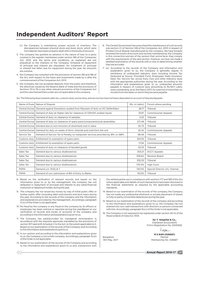### **Independent Auditors' Report**

- (c) the Company is maintaining proper records of inventory. The discrepancies between physical stock and book stock, which were not material, have been properly dealt with in the books of account
- 3. The company has granted an advance in the nature of loan to a party covered in the register maintained under section 189 of the Companies Act, 2013, and the terms and conditions, as explained are not prejudicial to the interests of the Company. Schedule of repayment of principal and interest are stipulated. No instalment of principal or interest has fallen due for repayment during the year. No amounts are overdue.
- 4. the Company has complied with the provisions of section 185 and 186 of the Act, with respect to the loans and investments made by it after the commencement of the Companies Act, 2013.
- 5. the Company has not accepted deposits from the public and therefore, the directives issued by the Reserve Bank of India and the provisions of Sections 73 to 76 or any other relevant provisions of the Companies Act and the rules framed there under are not applicable to the company.
- 6. The Central Government has prescribed the maintenance of cost records sub-section (1) of Section 148 of the Companies Act, 2013 in respect of Printed Circuit Boards manufactured by the company. We have broadly reviewed the books of account and records maintained by the Company in this connection and are of the opinion that, prima facie, they comply with the requirements of the said section. However, we have not made a detailed examination of the records with a view to determining whether they are accurate.
- 7. (a) According to the records of the Company and information and explanation given to us, the Company is generally regular in remittance of undisputed statutory dues including Income Tax Deducted at Source, Provident Fund, Employees State Insurance, Sales Tax, Service Tax, excise Duty, Cess and other statutory dues with the appropriate authorities during the year. According to the information and explanations given to us, undisputed amounts payable in respect of customs duty amounting to Rs.116.11 Lakhs were outstanding, as at 31st March 2017, for a period of more than six months from the dates on which they became payable.

(b) The following dues towards sales tax, customs duty, excise duty, and service tax have not been deposited on account of dispute/appeals:

| Name of Dues          | Nature of Dispute                                                            | (Rs. in Lakhs) | Forum where pending           |
|-----------------------|------------------------------------------------------------------------------|----------------|-------------------------------|
| Central Excise        | Demand against Exemption availed from Payment of duty on DC Defibrillator    | 28.71          | Tribunal                      |
| Central Excise        | Demand of duty at Higher rate for clearance of CENVAT availed inputs         | 19.87          | <b>Commissioner Appeals</b>   |
| <b>Central Excise</b> | Demand of duty on clearance of samples                                       | 3.33           | Tribunal                      |
| Central Excise        | Demand of duty on clearance of spare parts/components/sub-assemblies         | 271.48         | Tribunal                      |
| Central Excise        | Demand due to non-inclusion of amortised cost in value                       | 34.73          | Tribunal                      |
| Central Excise        | Demand for duty on waste of ferric chloride acid sold from the unit          | 25.32          | <b>Commissioner Appeals</b>   |
| Service Tax           | Demand of Service Tax & Penalty on manpower services provided by BPL to SBPL | 98.48          | Tribunal                      |
| Customs duty          | Entitlement to exemption of spare parts.                                     | 610.55         | Tribunal                      |
| Customs duty          | Entitlement to exemption of spare parts.                                     | 17.06          | <b>Commissioner Appeals</b>   |
| Customs duty          | Demand of duty on clearance of bonded goods                                  | 33.33          | Tribunal                      |
| Sales Tax             | Demand due to various disallowances                                          | 333.21         | <b>DCCT Appeals</b>           |
| Sales Tax             | Demand due to various disallowances                                          | 939.62         | <b>Revision Board</b>         |
| Sales Tax             | Demand due to various disallowances                                          | 335.33         | Tribunal                      |
| Sales Tax             | Demand due to various disallowances                                          | 1751.94        | <b>High Court</b>             |
| <b>FEMA</b>           | Demand u/s. 10(6) & 7                                                        | 140.00         | Special Director (A), Chennai |
| <b>FEMA</b>           | Demand of non submission of Bill of Entry to Banks                           | 50.00          | Tribunal                      |

- 8. Based on the verification of relevant records and based on the information given to us by the management, the company has not defaulted in repayment of principal and interest to any bank/financial institution or debenture holder, during the year.
- 9. The company has not raised any money by way of initial public offer or further public offer (including debt instruments) and term loans during the year. According to the records of the company and the information and explanations provided by the management. Accordingly, paragraph 3 (ix) of the Order is not applicable.
- 10. No fraud by the company or any fraud on the company by its officers or employees has been noticed or reported during the year.Based on our verification of records and books of accounts of the company and according to the information and explanations given to us.
- 11. The Company has paid/provided for managerial remuneration in accordance with the requisite approvals mandated by the provisions of section 197 read with Schedule V to the Act, to the extent applicable to it. Based on our examination of the records of the Company, and According to the information and explanations give to us
- 12. In our opinion and according to the information and explanations given to us, the Company is not a nidhi company. Accordingly, paragraph 3(xii) of the Order is not applicable.
- 13. Based on our examination of the records of the Company and according to the information and explanations given to us and, transactions with

the related parties are in compliance with sections 177 and 188 of the Act where applicable and details of such transactions have been disclosed in the financial statements as required by the applicable accounting standards.

- 14. Based on our examination of the records of the company, the Company has not made any preferential allotment or private placement of shares or fully or partly convertible debentures during the year.
- 15. Based on our examination of the records of the company and according to the information and explanations given to us, the Company has not entered into non-cash transactions with directors or persons connected with him. Accordingly, paragraph 3(xv) of the Order is not applicable.
- 16. The Company is not required to be registered under section 45-IA of the Reserve Bank of India Act, 1934.

Firm's Registration No. 004592S **for T. Velupillai & Co.,** *Chartered Accountants*

Launa

**M S RAM (026687)** *Partner*

Bangalore 13th May, 2017 Membership No. 026687

**Annual Report 2016-17 27**

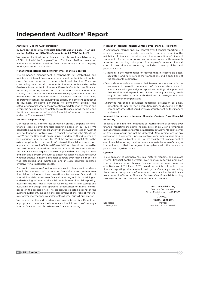## **Independent Auditors' Report**

#### **Annexure - B to the Auditors' Report**

#### **Report on the Internal Financial Controls under Clause (i) of Subsection 3 of Section 143 of the Companies Act, 2013 ("the Act")**

We have audited the internal financial controls over financial reporting of BPL Limited ("the Company") as of 31st March 2017 in conjunction with our audit of the standalone financial statements of the Company for the year ended on that date.

#### **Management's Responsibility for Internal Financial Controls**

The Company's management is responsible for establishing and maintaining internal financial controls based on the internal control over financial reporting criteria established by the Company considering the essential components of internal control stated in the Guidance Note on Audit of Internal Financial Controls over Financial Reporting issued by the Institute of Chartered Accountants of India (`ICAI'). These responsibilities include the design, implementation and maintenance of adequate internal financial controls that were operating effectively for ensuring the orderly and efficient conduct of its business, including adherence to company's policies, the safeguarding of its assets, the prevention and detection of frauds and errors, the accuracy and completeness of the accounting records, and the timely preparation of reliable financial information, as required under the Companies Act, 2013.

#### **Auditors' Responsibility**

Our responsibility is to express an opinion on the Company's internal financial controls over financial reporting based on our audit. We conducted our audit in accordance with the Guidance Note on Audit of Internal Financial Controls over Financial Reporting (the "Guidance Note") and the Standards on Auditing, issued by ICAI and deemed to be prescribed under section 143(10) of the Companies Act, 2013, to the extent applicable to an audit of internal financial controls, both applicable to an audit of Internal Financial Controls and, both issued by the Institute of Chartered Accountants of India. Those Standards and the Guidance Note require that we comply with ethical requirements and plan and perform the audit to obtain reasonable assurance about whether adequate internal financial controls over financial reporting was established and maintained and if such controls operated effectively in all material respects.

Our audit involves performing procedures to obtain audit evidence about the adequacy of the internal financial controls system over financial reporting and their operating effectiveness. Our audit of internal financial controls over financial reporting included obtaining an understanding of internal financial controls over financial reporting, assessing the risk that a material weakness exists, and testing and evaluating the design and operating effectiveness of internal control based on the assessed risk. The procedures selected depend on the auditor's judgment, including the assessment of the risks of material misstatement of the financial statements, whether due to fraud or error.

We believe that the audit evidence we have obtained is sufficient and appropriate to provide a basis for our audit opinion on the Company's internal financial controls system over financial reporting.

#### **Meaning of Internal Financial Controls over Financial Reporting**

A company's internal financial control over financial reporting is a process designed to provide reasonable assurance regarding the reliability of financial reporting and the preparation of financial statements for external purposes in accordance with generally accepted accounting principles. A company's internal financial control over financial reporting includes those policies and procedures that

- (1) pertain to the maintenance of records that, in reasonable detail accurately and fairly reflect the transactions and dispositions of the assets of the company;
- (2) provide reasonable assurance that transactions are recorded as necessary to permit preparation of financial statements in accordance with generally accepted accounting principles, and that receipts and expenditures of the company are being made only in accordance with authorisations of management and directors of the company; and
- (3) provide reasonable assurance regarding prevention or timely detection of unauthorised acquisition, use, or disposition of the company's assets that could have a material effect on the financial statements.

#### **Inherent Limitations of Internal Financial Controls Over Financial Reporting**

Because of the inherent limitations of internal financial controls over financial reporting, including the possibility of collusion or improper management override of controls, material misstatements due to error or fraud may occur and not be detected. Also, projections of any evaluation of the internal financial controls over financial reporting to future periods are subject to the risk that the internal financial control over financial reporting may become inadequate because of changes in conditions, or that the degree of compliance with the policies or procedures may deteriorate.

#### **Opinion**

In our opinion, the Company has, in all material respects, an adequate internal financial controls system over financial reporting and such internal financial controls over financial reporting were operating effectively as at 31st March 2017, based on the internal control over financial reporting criteria established by the Company considering the essential components of internal control stated in the Guidance Note on Audit of Internal Financial Controls Over Financial Reporting issued by the Institute of Chartered Accountants of India.

> f **or T. Velupillai & Co.,** Firm's Registration No.004592S *Chartered Accountants*

Bangalore 13th May, 2017 Membership No. 026687

L'aune **M S RAM (026687)** *Partner*

**28 BPL Limited**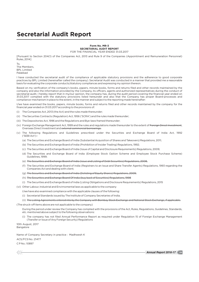### **Secretarial Audit Report**

#### **Form No. MR-3**

**SECRETARIAL AUDIT REPORT** FOR THE FINANCIAL YEAR ENDED 31.03.2017

[Pursuant to Section 204(1) of the Companies Act, 2013 and Rule 9 of the Companies (Appointment and Remuneration Personnel) Rules, 2014]

To, The Members, BPL Limited Palakkad

I have conducted the secretarial audit of the compliance of applicable statutory provisions and the adherence to good corporate practices by BPL Limited (hereinafter called the company). Secretarial Audit was conducted in a manner that provided me a reasonable basis for evaluating the corporate conducts/statutory compliances and expressing my opinion thereon.

Based on my verification of the company's books, papers, minute books, forms and returns filed and other records maintained by the company and also the information provided by the Company, its officers, agents and authorized representatives during the conduct of secretarial audit, I hereby report that in my/our opinion, the company has, during the audit period covering the financial year ended on 31.03.2017 complied with the statutory provisions listed hereunder and also that the Company has proper Board-processes and compliance-mechanism in place to the extent, in the manner and subject to the reporting made hereinafter:

I/we have examined the books, papers, minute books, forms and returns filed and other records maintained by the company for the financial year ended on 31.03.2017 according to the provisions of:

- (i) The Companies Act, 2013 (the Act) and the rules made thereunder;
- (ii) The Securities Contracts (Regulation) Act, 1956 ('SCRA') and the rules made thereunder;
- (iii) The Depositories Act, 1996 and the Regulations and Bye-laws framed thereunder;
- (iv) Foreign Exchange Management Act, 1999 and the rules and regulations made thereunder to the extent of <del>Foreign Direct Investment</del>, Overseas Direct Investment and external commercial borrowings.
- (v) The following Regulations and Guidelines prescribed under the Securities and Exchange Board of India Act, 1992 ('SEBI Act'):-
	- (a) The Securities and Exchange Board of India (Substantial Acquisition of Shares and Takeovers) Regulations, 2011;
	- (b) The Securities and Exchange Board of India (Prohibition of Insider Trading) Regulations, 1992;
	- (c) The Securities and Exchange Board of India (Issue of Capital and Disclosure Requirements) Regulations, 2009;
	- (d) The Securities and Exchange Board of India (Employee Stock Option Scheme and Employee Stock Purchase Scheme) Guidelines, 1999;
	- (e) The Securities and Exchange Board of India (issue and Listing of Debt Securities) Regulations, 2008,
	- (f) The Securities and Exchange Board of India (Registrars to an Issue and Share Transfer Agents) Regulations, 1993 regarding the Companies Act and dealing with client;
	- (g) The Securities and Exchange Board of India (Delisting of Equity Shares) Regulations, 2009;
	- (h) The Securities and Exchange Board Of India (buy back of Securities) Regulations, 1998
	- (i) The Securities and Exchange Board of India (Listing Obligations and Disclosure Requirements) Regulations, 2015
- (vi) Other Labour, Industrial and Envirnomental laws as applicable to the company

I/we have also examined compliance with the applicable clauses of the following:

(i) Secretarial Standards issued by The Institute of Company Secretaries of India.

(ii) The Listing Agreements entered into by the Company with Bombay Stock Exchange and National Stock Exchange, if applicable.

(The struck-off items above are not applicable to the company)

During the period under review the Company has complied with the provisions of the Act, Rules, Regulations, Guidelines, Standards, etc. mentioned above subject to the following observations:

(i) The company has not filed Annual Performance Report as required under Regulation 15 of Foreign Exchange Management (Transfer or Issue of Any Foreign Security) Regulations

10th August, 2017 Bangalore

Name of Company Secretary in practice : Madhwesh K  $ACS/FCS NO: 21477$ C P No.: 10897

111

**Annual Report 2016-17 29**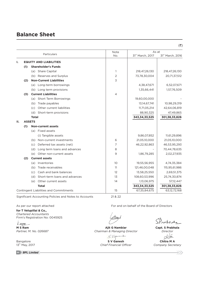### **Balance Sheet**

|    |     |                                               |      |                              | $\sqrt{ }$       |
|----|-----|-----------------------------------------------|------|------------------------------|------------------|
|    |     | Particulars                                   | Note | As at                        |                  |
|    |     |                                               | No.  | 31 <sup>st</sup> March, 2017 | 31st March, 2016 |
| т. |     | <b>EQUITY AND LIABILITIES</b>                 |      |                              |                  |
|    | (1) | <b>Shareholder's Funds</b>                    |      |                              |                  |
|    |     | (a) Share Capital                             | 1    | 218,47,26,130                | 218,47,26,130    |
|    |     | (b) Reserves and Surplus                      | 2    | 73,78,30,004                 | 20,71,37,512     |
|    | (2) | <b>Non-Current Liabilities</b>                | 3    |                              |                  |
|    |     | (a) Long-term borrowings                      |      | 4,38,47,671                  | 6,52,07,671      |
|    |     | (b) Long term provisions                      |      | 1,35,66,441                  | 1,57,76,509      |
|    | (3) | <b>Current Liabilities</b>                    | 4    |                              |                  |
|    |     | (a) Short Term Borrowings                     |      | 19,60,00,000                 |                  |
|    |     | Trade payables<br>(b)                         |      | 13, 14, 67, 741              | 10,98,29,319     |
|    |     | Other current liabilities<br>(c)              |      | 11,71,05,214                 | 42,64,06,819     |
|    |     | Short-term provisions<br>(d)                  |      | 88,90,325                    | 47,49,865        |
|    |     | <b>Total</b>                                  |      | 343,34,33,525                | 301, 38, 33, 826 |
| н. |     | <b>ASSETS</b>                                 |      |                              |                  |
|    | (1) | <b>Non-current assets</b>                     |      |                              |                  |
|    |     | (a) Fixed assets                              |      |                              |                  |
|    |     | (i) Tangible assets                           |      | 9,86,07,852                  | 11,61,29,896     |
|    |     | (b) Non-current investments                   | 6    | 21,05,10,000                 | 21,05,10,000     |
|    |     | Deferred tax assets (net)<br>(c)              | 7    | 46,22,92,863                 | 46,53,95,293     |
|    |     | (d) Long term loans and advances              | 8    |                              | 70,44,78,635     |
|    |     | Other non-current assets<br>(e)               | 9    | 1,86,79,285                  | 2,02,27,935      |
|    | (2) | <b>Current assets</b>                         |      |                              |                  |
|    |     | Inventories<br>(a)                            | 10   | 19,55,56,955                 | 4,74,35,384      |
|    |     | Trade receivables<br>(b)                      | 11   | 121,46,00,048                | 115,95,61,986    |
|    |     | Cash and bank balances<br>(c)                 | 12   | 13,58,25,550                 | 2,69,51,375      |
|    |     | Short-term loans and advances<br>(d)          | 13   | 108,60,53,996                | 25,74,30,874     |
|    |     | Other current assets<br>(e)                   | 14   | 1,13,06,975                  | 57,12,447        |
|    |     | <b>Total</b>                                  |      | 343, 34, 33, 525             | 301, 38, 33, 826 |
|    |     | <b>Contingent Liabilities and Commitments</b> | 15   | 67, 35, 84, 675              | 63, 12, 72, 168  |

Significant Accounting Policies and Notes to Accounts 21 & 22

As per our report attached For and on behalf of the Board of Directors

Firm's Registration No: 004592S **for T Velupillai & Co.,** *Chartered Accountants*

Lawry

Bangalore 13<sup>th</sup> May, 2017

**30 BPL Limited**

Francl

**M S Ram Ajit G Nambiar Capt. S Prabhala**<br>Partner, M. No. 026687 **Chairman & Managing Director** Chairman B Managing Director *Director Partner, M. No. 026687 Chairman & Managing Director Director*

 $5.11$ **Chief Financial Officer** 

Shabada

**S V Ganesh Chitra M A**<br> **Company Secretary** Company Secretary

⋙

 $(\bar{\tau})$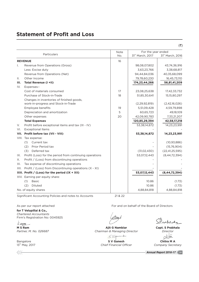### **Statement of Profit and Loss**

|                 |                                                         |             |                              | 17)                          |
|-----------------|---------------------------------------------------------|-------------|------------------------------|------------------------------|
|                 |                                                         | <b>Note</b> | For the year ended           |                              |
|                 | Particulars                                             | No.         | 31 <sup>st</sup> March, 2017 | 31 <sup>st</sup> March, 2016 |
|                 | <b>REVENUE</b>                                          | 16          |                              |                              |
| $\mathbf{L}$    | Revenue from Operations (Gross)                         |             | 98,08,07,802                 | 43,74,36,916                 |
|                 | Less: Excise duty                                       |             | 3,63,23,766                  | 3,38,68,817                  |
|                 | Revenue from Operations (Net)                           |             | 94,44,84,036                 | 40,35,68,099                 |
| $\mathbf{II}$ . | Other Income                                            |             | 79,78,60,230                 | 16,45,73,110                 |
| III.            | Total Revenue (I +II)                                   |             | 174,23,44,266                | 56,81,41,209                 |
| IV.             | Expenses:-                                              |             |                              |                              |
|                 | Cost of materials consumed                              | 17          | 23,08,25,638                 | 17,42,33,732                 |
|                 | Purchase of Stock-in-Trade                              | 18          | 51,85,30,641                 | 15, 15, 80, 297              |
|                 | Changes in inventories of finished goods,               |             |                              |                              |
|                 | work-in-progress and Stock-in-Trade                     |             | (2, 29, 92, 819)             | (2,42,16,026)                |
|                 | Employee benefits                                       | 19          | 5,51,09,428                  | 4,59,79,898                  |
|                 | Depreciation and amortization                           | 5           | 60,65,723                    | 49,18,109                    |
|                 | Other expenses                                          | 20          | 42,09,90,783                 | 7,33,21,207                  |
|                 | <b>Total Expenses</b>                                   |             | 120,85,29,394                | 42,58,17,218                 |
| V.              | Profit before exceptional items and tax (III - IV)      |             | 53,38,14,872                 | 14,23,23,991                 |
| VI.             | <b>Exceptional Items</b>                                |             |                              |                              |
|                 | VII. Profit before tax (VII - VIII)                     |             | 53,38,14,872                 | 14,23,23,991                 |
|                 | VIII. Tax expense:                                      |             |                              |                              |
|                 | Current tax<br>(1)                                      |             |                              | (10, 93, 886)                |
|                 | (2)<br>Prior Period tax                                 |             |                              | (15, 76, 904)                |
|                 | (3) Deferred tax                                        |             | (31,02,430)                  | (22, 41, 25, 595)            |
| IX.             | Profit (Loss) for the period from continuing operations |             | 53,07,12,443                 | (8,44,72,394)                |
| Х.              | Profit / (Loss) from discontinuing operations           |             |                              |                              |
| XI.             | Tax expense of discontinuing operations                 |             |                              |                              |
| XII.            | Profit / (Loss) from Discontinuing operations (X - XI)  |             |                              |                              |
|                 | XIII. Profit / (Loss) for the period (IX + XII)         |             | 53,07,12,443                 | (8, 44, 72, 394)             |
|                 | XIV. Earning per equity share:                          |             |                              |                              |
|                 | <b>Basic</b><br>(1)                                     |             | 10.86                        | (1.73)                       |
|                 | (2)<br>Diluted                                          |             | 10.86                        | (1.73)                       |
|                 | No. of equity shares                                    |             | 4,88,84,818                  | 4,88,84,818                  |
|                 |                                                         |             |                              |                              |

Significant Accounting Policies and notes to Accounts 21 & 22

As per our report attached For and on behalf of the Board of Directors

Firm's Registration No: 004592S **for T Velupillai & Co.,** *Chartered Accountants*

Launa

Bangalore 13<sup>th</sup> May, 2017

 $\ll$ 



**M S Ram Ajit G Nambiar Capt. S Prabhala**<br>Partner, M. No. 026687 **Chairman & Managing Director** *Director Director Partner, M. No. 026687 Chairman & Managing Director Director*

> $5.11$ **S V Ganesh Chitra M A**<br> **Company Secretary Chief Financial Officer**

Shabade

chilea

**Annual Report 2016-17 31**

 $(4)$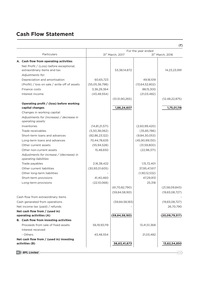### **Cash Flow Statement**

|  |                                                                                                                                      |                                                  |                                  |                    | $(\overline{\mathbf{z}})$        |  |
|--|--------------------------------------------------------------------------------------------------------------------------------------|--------------------------------------------------|----------------------------------|--------------------|----------------------------------|--|
|  |                                                                                                                                      |                                                  |                                  | For the year ended |                                  |  |
|  | Particulars                                                                                                                          | 31st March, 2017<br>31 <sup>st</sup> March, 2016 |                                  |                    |                                  |  |
|  | A. Cash flow from operating activities<br>Net Profit / (Loss) before exceptional,<br>extraordinary items and tax<br>Adjustments for: |                                                  | 53, 38, 14, 872                  |                    | 14,23,23,991                     |  |
|  | Depreciation and amortisation                                                                                                        | 60,65,723                                        |                                  | 49,18,109          |                                  |  |
|  | (Profit) / loss on sale / write off of assets                                                                                        | (55,05,36,798)                                   |                                  | (13, 64, 52, 802)  |                                  |  |
|  | Finance costs                                                                                                                        | 3,36,29,364                                      |                                  | 88,15,300          |                                  |  |
|  | Interest income                                                                                                                      | (43, 48, 554)                                    |                                  | (21, 03, 482)      |                                  |  |
|  | Operating profit / (loss) before working<br>capital changes                                                                          |                                                  | (51, 51, 90, 265)<br>1,86,24,607 |                    | (12, 48, 22, 875)<br>1,75,01,116 |  |
|  | Changes in working capital:                                                                                                          |                                                  |                                  |                    |                                  |  |
|  | Adjustments for (increase) / decrease in<br>operating assets:                                                                        |                                                  |                                  |                    |                                  |  |
|  | Inventories                                                                                                                          | (14, 81, 21, 571)                                |                                  | (2,60,99,420)      |                                  |  |
|  | Trade receivables                                                                                                                    | (5,50,38,062)                                    |                                  | (35,85,786)        |                                  |  |
|  | Short-term loans and advances                                                                                                        | (82,86,23,122)                                   |                                  | (9,84,30,053)      |                                  |  |
|  | Long-term loans and advances                                                                                                         | 70,44,78,635                                     |                                  | (45,90,99,130)     |                                  |  |
|  | Other current assets                                                                                                                 | (55, 94, 528)                                    |                                  | (31,59,800)        |                                  |  |
|  | Other non-current assets                                                                                                             | 15,48,650                                        |                                  | (22, 98, 371)      |                                  |  |
|  | Adjustments for increase / (decrease) in<br>operating liabilities:                                                                   |                                                  |                                  |                    |                                  |  |
|  | Trade payables                                                                                                                       | 2, 16, 38, 422                                   |                                  | 1,15,72,401        |                                  |  |
|  | Other current liabilities                                                                                                            | (30, 93, 01, 605)                                |                                  | 37,95,47,617       |                                  |  |
|  | Other long-term liabilities                                                                                                          |                                                  |                                  | (1,90,12,532)      |                                  |  |
|  | Short-term provisions                                                                                                                | 41,40,460                                        |                                  | 47,29,913          |                                  |  |
|  | Long-term provisions                                                                                                                 | (22,10,068)                                      |                                  | 25,318             |                                  |  |
|  |                                                                                                                                      |                                                  | (61,70,82,790)                   |                    | (21,58,09,843)                   |  |
|  |                                                                                                                                      |                                                  | (59, 84, 58, 183)                |                    | (19, 83, 08, 727)                |  |
|  | Cash flow from extraordinary items                                                                                                   |                                                  |                                  |                    |                                  |  |
|  | Cash generated from operations                                                                                                       |                                                  | (59, 84, 58, 183)                |                    | (19, 83, 08, 727)                |  |
|  | Net income tax (paid) / refunds                                                                                                      |                                                  |                                  |                    | 26,70,790                        |  |
|  | Net cash flow from / (used in)<br>operating activities (A)                                                                           |                                                  | (59, 84, 58, 183)                |                    | (20,09,79,517)                   |  |
|  | B. Cash flow from investing activities                                                                                               |                                                  |                                  |                    |                                  |  |
|  | Proceeds from sale of fixed assets                                                                                                   | 56, 19, 93, 119                                  |                                  | 13,41,51,368       |                                  |  |
|  | Interest received                                                                                                                    |                                                  |                                  |                    |                                  |  |
|  | - Others                                                                                                                             | 43,48,554                                        |                                  | 21,03,482          |                                  |  |
|  | Net cash flow from / (used in) investing<br>activities (B)                                                                           |                                                  | 56,63,41,673                     |                    | 13,62,54,850                     |  |

**32 BPL Limited**

 $\rightarrow$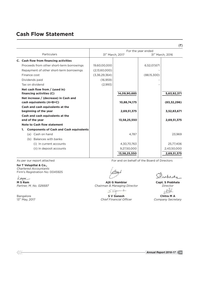### **Cash Flow Statement**

|                                                      |               |                              |                    | $(\leq)$                     |
|------------------------------------------------------|---------------|------------------------------|--------------------|------------------------------|
|                                                      |               |                              | For the year ended |                              |
| Particulars                                          |               | 31 <sup>st</sup> March, 2017 |                    | 31 <sup>st</sup> March, 2016 |
| C. Cash flow from financing activities               |               |                              |                    |                              |
| Proceeds from other short-term borrowings            | 19,60,00,000  |                              | 6,52,07,671        |                              |
| Repayment of other short-term borrowings             | (2,13,60,000) |                              |                    |                              |
| Finance cost                                         | (3,36,29,364) |                              | (88,15,300)        |                              |
| Dividends paid                                       | (16, 959)     |                              |                    |                              |
| Tax on dividend                                      | (2,993)       |                              |                    |                              |
| Net cash flow from / (used in)                       |               |                              |                    |                              |
| financing activities (C)                             |               | 14,09,90,685                 |                    | 5,63,92,371                  |
| Net increase / (decrease) in Cash and                |               |                              |                    |                              |
| cash equivalents (A+B+C)                             |               | 10,88,74,175                 |                    | (83, 32, 296)                |
| Cash and cash equivalents at the                     |               |                              |                    |                              |
| beginning of the year                                |               | 2,69,51,375                  |                    | 3,52,83,671                  |
| Cash and cash equivalents at the                     |               |                              |                    |                              |
| end of the year                                      |               | 13,58,25,550                 |                    | 2,69,51,375                  |
| <b>Note to Cash flow statement</b>                   |               |                              |                    |                              |
| <b>Components of Cash and Cash equivalents</b><br>1. |               |                              |                    |                              |
| (a) Cash on hand                                     |               | 4,787                        |                    | 23,969                       |
| <b>Balances with banks</b><br>(b)                    |               |                              |                    |                              |
| (i) In current accounts                              |               | 4,30,70,763                  |                    | 25,77,406                    |
| (ii) In deposit accounts                             |               | 9,27,50,000                  |                    | 2,43,50,000                  |
|                                                      |               | 13,58,25,550                 |                    | 2,69,51,375                  |
|                                                      |               |                              |                    |                              |

Firm's Registration No: 004592S **for T Velupillai & Co.,** *Chartered Accountants*

Launy

Bangalore 13<sup>th</sup> May, 2017

**LL** 

As per our report attached For and on behalf of the Board of Directors

Amil

**M S Ram Ajit G Nambiar Capt. S Prabhala**<br>Partner, M. No. 026687 **Chairman & Managing Director** *Director Director Partner, M. No. 026687 Chairman & Managing Director Director*

 $5.11$ 

**Chief Financial Officer** 

Shrabadg

 $\sqrt{2}$ 

**S V Ganesh Chitra M A**<br> **Company Secretary** 

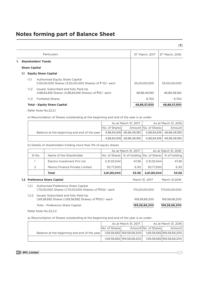|    |                                                            |       |                                                                                               |                              | $(\overline{\zeta})$         |
|----|------------------------------------------------------------|-------|-----------------------------------------------------------------------------------------------|------------------------------|------------------------------|
|    |                                                            |       | Particulars                                                                                   | 31 <sup>st</sup> March, 2017 | 31 <sup>st</sup> March, 2016 |
| 1. |                                                            |       | <b>Shareholders' Funds</b>                                                                    |                              |                              |
|    | <b>Share Capital</b><br><b>Equity Share Capital</b><br>1.1 |       |                                                                                               |                              |                              |
|    |                                                            |       |                                                                                               |                              |                              |
|    |                                                            | 1.1.1 | Authorised Equity Share Capital<br>5,50,00,000 Shares (5,50,00,000 Shares) of ₹10/- each      | 55,00,00,000                 | 55,00,00,000                 |
|    |                                                            | 1.1.2 | Issued, Subscribed and fully Paid-Up<br>4,88,84,818 Shares (4,88,84,818 Shares) of ₹10/- each | 48,88,48,180                 | 48,88,48,180                 |
|    |                                                            | 1.1.3 | <b>Forfeited Shares</b>                                                                       | 9,750                        | 9,750                        |
|    |                                                            |       | <b>Total - Equity Share Capital</b>                                                           | 48,88,57,930                 | 48,88,57,930                 |

Refer Note No.22.2.1

a) Reconciliation of Shares outstanding at the beginning and end of the year is as under:

|                                              | As at March 31, 2017 |                          |                      | As at March 31, 2016       |
|----------------------------------------------|----------------------|--------------------------|----------------------|----------------------------|
|                                              | No. of Shares        |                          | Amount No. of Shares | Amount                     |
| Balance at the beginning and end of the year |                      | 4,88,84,818 48,88,48,180 |                      | 4,88,84,818   48,88,48,180 |
|                                              |                      | 4,88,84,818 48,88,48,180 |                      | 4,88,84,818   48,88,48,180 |

b) Details of shareholders holding more than 5% of equity shares

|        |                                                                                                |               | As at March 31, 2017 |               | As at March 31, 2016 |
|--------|------------------------------------------------------------------------------------------------|---------------|----------------------|---------------|----------------------|
| SI No. | Name of the Shareholder                                                                        | No. of Shares | % of holding         | No. of Shares | % of holding         |
|        | Electro Investment Pyt Ltd                                                                     | 2,31,02,544   | 47.26                | 2,31,02,544   | 47.26                |
| 2      | Merino Finance Private Limited                                                                 | 30,77,500     | 6.30                 | 30,77,500     | 6.30                 |
|        | <b>Total</b>                                                                                   | 2,61,80,044   | 53.56                | 2,61,80,044   | 53.56                |
|        | 1.2 Preference Share Capital                                                                   |               | March 31, 2017       | March 31,2016 |                      |
| 1.2.1  | Authorised Preference Share Capital<br>1,70,00,000 Shares (1,70,00,000 Shares) of ₹100/- each  |               | 170,00,00,000        | 170.00.00.000 |                      |
| 1,2.2  | Issued, Subscribed and fully Paid-Up<br>1,69,58,682 Shares (1,69,58,682 Shares) of ₹100/- each |               | 169,58,68,200        | 169.58.68.200 |                      |
|        | Total - Preference Share Capital                                                               | 169,58,68,200 | 169,58,68,200        |               |                      |

Refer Note No.22.2.2

a) Reconciliation of Shares outstanding at the beginning and end of the year is as under:

|                                              | As at March 31, 2017 |                             |                      | As at March 31, 2016      |
|----------------------------------------------|----------------------|-----------------------------|----------------------|---------------------------|
|                                              | INo. of Shares       |                             | Amount No. of Shares | Amount                    |
| Balance at the beginning and end of the year |                      | 1,69,58,682   169,58,68,200 |                      | 1,69,58,682 169,58,68,200 |
|                                              |                      | 1,69,58,682   169,58,68,200 |                      | 1,69,58,682 169,58,68,200 |

**34 BPL Limited**

⋙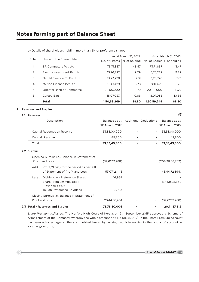|                | Name of the Shareholder     |               | As at March 31, 2017 | As at March 31, 2016        |       |  |
|----------------|-----------------------------|---------------|----------------------|-----------------------------|-------|--|
| SI No.         |                             | No. of Shares | % of holding         | No. of Shares  % of holding |       |  |
|                | <b>ER Computers Pvt Ltd</b> | 73,71,837     | 43.47                | 73,71,837                   | 43.47 |  |
| 2              | Electro Investment Pyt Ltd  | 15,76,222     | 9.29                 | 15,76,222                   | 9.29  |  |
| 3              | Namfil Finance Co Pyt Ltd   | 13,23,728     | 7.81                 | 13,23,728                   | 7.81  |  |
| $\overline{4}$ | Merino Finance Pyt Ltd      | 9,80,429      | 5.78                 | 9,80,429                    | 5.78  |  |
| 5              | Oriental Bank of Commerce   | 20,00,000     | 11.79                | 20,00,000                   | 11.79 |  |
| 6              | Canara Bank                 | 18,07,033     | 10.66                | 18,07,033                   | 10.66 |  |
|                | <b>Total</b>                | 1,50,59,249   | 88,80                | 1,50,59,249                 | 88.80 |  |

#### **2. Reserves and Surplus**

#### **2.1 Reserves**

| <b>Total</b>               | 53,33,49,800                           | - | 53, 33, 49, 800              |
|----------------------------|----------------------------------------|---|------------------------------|
| Capital Reserve            | 49,800                                 |   | 49,800                       |
| Capital Redemption Reserve | 53,33,00,000                           |   | 53,33,00,000                 |
|                            | 31 <sup>st</sup> March, 2017           |   | 31 <sup>st</sup> March, 2016 |
| Description                | Balance as at   Additions   Deductions |   | Balance as at                |
|                            |                                        |   |                              |

#### **2.2 Surplus**

UL

|                                               | 73,78,30,004                                                                                                                                                                        |  | 20,71,37,512       |
|-----------------------------------------------|-------------------------------------------------------------------------------------------------------------------------------------------------------------------------------------|--|--------------------|
| Profit and Loss                               | 20,44,80,204                                                                                                                                                                        |  | (32, 62, 12, 288)  |
|                                               |                                                                                                                                                                                     |  |                    |
| Tax on Preference Dividend                    | 2.993                                                                                                                                                                               |  |                    |
|                                               |                                                                                                                                                                                     |  |                    |
|                                               |                                                                                                                                                                                     |  | 184,09,28,868      |
| Less: Dividend on Preference Shares           | 16.959                                                                                                                                                                              |  |                    |
| of Statement of Profit and Loss               | 53,07,12,443                                                                                                                                                                        |  | (8,44,72,394)      |
|                                               |                                                                                                                                                                                     |  |                    |
| Profit and Loss                               | (32, 62, 12, 288)                                                                                                                                                                   |  | (208, 26, 68, 762) |
| Opening Surplus i.e., Balance in Statement of |                                                                                                                                                                                     |  |                    |
|                                               | Add: Profit/(Loss) for the period as per XIII<br>Share Premium Adjusted:<br>(Refer Note below)<br>Closing Surplus i.e., Balance in Statement of<br>2.3 Total - Reserves and Surplus |  |                    |

Share Premium Adjusted: The Hon'ble High Court of Kerala, on 9th September 2015 approved a Scheme of Arrangement of the Company, whereby the whole amount of ₹184,09,28,868/- in the Share Premium Account has been adjusted against the accumulated losses by passing requisite entries in the books of account as on 30th Sept. 2015.

 $(\overline{\zeta})$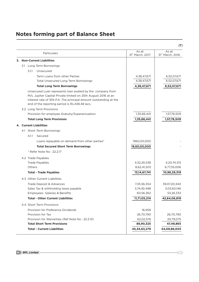|  |                                                                                                                                                                                                                                                     |                                       | (₹)                       |
|--|-----------------------------------------------------------------------------------------------------------------------------------------------------------------------------------------------------------------------------------------------------|---------------------------------------|---------------------------|
|  | Particulars                                                                                                                                                                                                                                         | As at<br>31 <sup>st</sup> March, 2017 | As at<br>31st March, 2016 |
|  | <b>3. Non-Current Liabilities</b>                                                                                                                                                                                                                   |                                       |                           |
|  | 3.1 Long Term Borrowings                                                                                                                                                                                                                            |                                       |                           |
|  | 3.1.1<br>Unsecured                                                                                                                                                                                                                                  |                                       |                           |
|  | Term Loans from other Parties                                                                                                                                                                                                                       | 4,38,47,671                           | 6,52,07,671               |
|  | <b>Total Unsecured Long Term Borrowings</b>                                                                                                                                                                                                         | 4,38,47,671                           | 6,52,07,671               |
|  | <b>Total Long Term Borrowings</b>                                                                                                                                                                                                                   | 4,38,47,671                           | 6,52,07,671               |
|  | Unsecured Loan represents loan availed by the company from<br>M/s. Jupiter Capital Private limited on 25th August 2016 at an<br>interest rate of 16% P.A. The principal amount outstanding at the<br>end of the reporting period is Rs.438.48 lacs. |                                       |                           |
|  | 3.2 Long Term Provisions                                                                                                                                                                                                                            |                                       |                           |
|  | Provision for employee Gratuity/Superannuation                                                                                                                                                                                                      | 1,35,66,441                           | 1,57,76,509               |
|  | <b>Total Long Term Provisions</b>                                                                                                                                                                                                                   | 1,35,66,441                           | 1,57,76,509               |
|  | 4. Current Liabilities                                                                                                                                                                                                                              |                                       |                           |
|  | 4.1 Short Term Borrowings                                                                                                                                                                                                                           |                                       |                           |
|  | 4.1.1<br>Secured                                                                                                                                                                                                                                    |                                       |                           |
|  | Loans repayable on demand from other parties*                                                                                                                                                                                                       | 1960,00,000                           |                           |
|  | <b>Total Secured Short Term Borrowings</b>                                                                                                                                                                                                          | 19,60,00,000                          |                           |
|  | * Refer Note No: 22.2.17                                                                                                                                                                                                                            |                                       |                           |
|  | 4.2 Trade Payables                                                                                                                                                                                                                                  |                                       |                           |
|  | <b>Trade Payables</b>                                                                                                                                                                                                                               | 4,52,26,538                           | 4,20,74,313               |
|  | Others                                                                                                                                                                                                                                              | 8,62,41,203                           | 6,77,55,006               |
|  | <b>Total - Trade Payables</b>                                                                                                                                                                                                                       | 13, 14, 67, 741                       | 10,98,29,319              |
|  | 4.3 Other Current Liabilities                                                                                                                                                                                                                       |                                       |                           |
|  | Trade Deposit & Advances                                                                                                                                                                                                                            | 7,35,56,354                           | 39,07,20,340              |
|  | Sales Tax & withholding taxes payable                                                                                                                                                                                                               | 3,74,92,498                           | 3,03,60,146               |
|  | Employees- Salaries & Benefits                                                                                                                                                                                                                      | 60,56,362                             | 53,26,333                 |
|  | <b>Total - Other Current Liabilities</b>                                                                                                                                                                                                            | 11,71,05,214                          | 42,64,06,819              |
|  | 4.4 Short Term Provisions                                                                                                                                                                                                                           |                                       |                           |
|  | Provision for Preference Dividends                                                                                                                                                                                                                  | 16,959                                |                           |
|  | Provision for Tax                                                                                                                                                                                                                                   | 26,70,790                             | 26,70,790                 |
|  | Provision for Warranties (Ref Note No: 22.2.13)                                                                                                                                                                                                     | 62,02,576                             | 20,79,075                 |
|  | <b>Total Short Term Provisions</b>                                                                                                                                                                                                                  | 88,90,325                             | 47,49,865                 |
|  | <b>Total - Current Liabilities</b>                                                                                                                                                                                                                  | 45,34,63,279                          | 54,09,86,003              |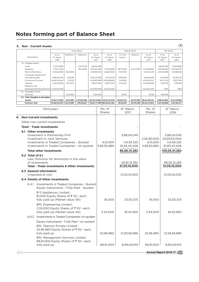### **5.** Non − Current Assets (₹)

 $\ll$ 

| <b>Gross Block</b> |                                                                                         |                                                                                                                                    |                                                                                         |                                   |                            |                                            |                         |                                                        |                                            | Depreciation                           |                                            |                                                            | Net Block                                 |  |  |
|--------------------|-----------------------------------------------------------------------------------------|------------------------------------------------------------------------------------------------------------------------------------|-----------------------------------------------------------------------------------------|-----------------------------------|----------------------------|--------------------------------------------|-------------------------|--------------------------------------------------------|--------------------------------------------|----------------------------------------|--------------------------------------------|------------------------------------------------------------|-------------------------------------------|--|--|
|                    |                                                                                         | Description                                                                                                                        | As at<br>31 <sup>st</sup> March,<br>2016                                                | Additions                         | Deletions                  | As at<br>31 <sup>st</sup> March,<br>2017   |                         | As at<br>31 <sup>st</sup> March,<br>2016               | For the<br>Period                          | Deletion                               | As at<br>31st March,<br>2017               | As at<br>31 <sup>st</sup> March,<br>2017                   | As at<br>31 <sup>st</sup> March,<br>2016  |  |  |
|                    |                                                                                         | 5.1 Tangible assets<br>Land<br><b>Buildings</b><br>Plant & Machinery                                                               | 2,78,31,896<br>17,52,71,912<br>8,53,66,190                                              | 55,23,914                         | 1,42,31,130<br>95,49,166   | 1,36,00,766<br>16,57,22,746<br>9,08,90,104 |                         | 11,45,16,839<br>6,36,67,825                            | 28,76,538<br>17,67,394                     | 40,07,094                              | 11,33,86,283<br>6,54,35,219                | 1,36,00,766<br>5,23,36,463<br>2,54,54,885                  | 2,78,31,896<br>6,07,55,073<br>2,16,98,365 |  |  |
|                    |                                                                                         | Computer, Equipments<br>and Networking<br>Furniture & Fixtures<br>Vehicles                                                         | 8,88,06,555<br>16,46,36,444<br>3,42,03,893                                              | 4,39,381<br>2,51,515<br>16,47,571 |                            | 8,92,45,936<br>16,48,87,959<br>3,58,51,464 |                         | 8,72,97,115<br>16,06,98,695<br>3,38,13,704             | 5,99,503<br>5,61,852<br>2,45,244           |                                        | 8,78,96,618<br>16,12,60,547<br>3,40,58,948 | 13,49,318<br>36,27,412<br>17,92,516                        | 15,09,440<br>39, 37, 749<br>3,90,189      |  |  |
|                    |                                                                                         | Research and<br>Developmental Expenditure 13,23,60,509                                                                             |                                                                                         |                                   |                            | 13,23,60,509                               |                         | 13,23,53,325                                           |                                            |                                        | 13,23,53,325                               | 7,184                                                      | 7,184                                     |  |  |
|                    |                                                                                         | 5.2 Intangible Assets<br>Software                                                                                                  |                                                                                         | 4,54,500                          |                            |                                            | 4,54,500                |                                                        | 15,192                                     |                                        | 15,192                                     | 439,308                                                    |                                           |  |  |
|                    |                                                                                         | 5.3 Total Tangible & Intangible<br>Assets<br><b>Previous Year</b>                                                                  | 70,84,77,399<br>70,82,52,033 1,81,17,993                                                | 83, 16, 881                       | 2,37,80,296<br>1,78,92,627 |                                            |                         | 69,30,13,984 59,23,47,503<br>70,84,77,399 58,95,05,462 | 60,65,723<br>49,18,109                     | 40,07,094<br>20,76,068                 | 59,44,06,132<br>59,23,47,503               | 9,86,07,852<br>11,61,29,896                                | 11,61,29,896<br>11,87,46,571              |  |  |
|                    |                                                                                         |                                                                                                                                    | Particulars                                                                             |                                   |                            |                                            |                         | No. of<br><b>Shares</b>                                | 31 <sup>st</sup> March,<br>2017            |                                        | No. of<br><b>Shares</b>                    |                                                            | 31 <sup>st</sup> March,<br>2016           |  |  |
|                    |                                                                                         | <b>6. Non-Current Investments</b>                                                                                                  |                                                                                         |                                   |                            |                                            |                         |                                                        |                                            |                                        |                                            |                                                            |                                           |  |  |
|                    |                                                                                         | Other non-current investments                                                                                                      |                                                                                         |                                   |                            |                                            |                         |                                                        |                                            |                                        |                                            |                                                            |                                           |  |  |
|                    |                                                                                         | <b>Total - Trade Investments</b>                                                                                                   |                                                                                         |                                   |                            |                                            |                         |                                                        |                                            |                                        |                                            |                                                            |                                           |  |  |
|                    | 6.1 Other Investments<br>Investment in Partnership Firm<br>Investment in Joint Ventures |                                                                                                                                    | Investments in Traded Companies - Quoted<br>Investments in Traded Companies - Un-quoted |                                   |                            |                                            | 4,15,000<br>3,68,50,980 |                                                        | 3,88,04,549<br>1,14,93,325<br>81,83,43,408 | 2,26,90,000<br>4.15.000<br>3,68,50,980 |                                            | 3,88,04,549<br>22,69,00,000<br>1,14,93,325<br>81,83,43,408 |                                           |  |  |
|                    |                                                                                         | <b>Total other Investments</b>                                                                                                     |                                                                                         |                                   |                            |                                            |                         |                                                        | 86,86,41,282                               |                                        |                                            |                                                            | 109,55,41,282                             |  |  |
|                    |                                                                                         | 6.2 Total of 6.1<br>Less: Provision for diminution in the value<br>of investments<br>Total - Trade Investments & Other Investments |                                                                                         |                                   |                            |                                            |                         |                                                        | 21,05,10,000                               | 65,81,31,282                           |                                            |                                                            | 88,50,31,282<br>21,05,10,000              |  |  |
|                    |                                                                                         | <b>6.3 General Information</b><br>Unquoted at cost                                                                                 |                                                                                         |                                   |                            |                                            |                         |                                                        |                                            | 21,05,10,000                           |                                            |                                                            | 21,05,10,000                              |  |  |
|                    |                                                                                         | <b>6.4 Details of Other Investments</b>                                                                                            |                                                                                         |                                   |                            |                                            |                         |                                                        |                                            |                                        |                                            |                                                            |                                           |  |  |
|                    |                                                                                         | 6.4.1 Investments in Traded Companies - Quoted<br>Equity Instruments - Fully Paid - Quoted                                         |                                                                                         |                                   |                            |                                            |                         |                                                        |                                            |                                        |                                            |                                                            |                                           |  |  |
|                    |                                                                                         | <b>B S Appliances Limited:</b><br>81,000 Equity Shares of ₹10/- each,<br>fully paid up (Market value: Nil)                         |                                                                                         |                                   |                            |                                            |                         | 81,000                                                 |                                            | 33,50,375                              | 81,000                                     |                                                            | 33,50,375                                 |  |  |
|                    |                                                                                         | <b>BPL Engineering Limited:</b><br>3,34,000 Equity Shares of ₹10/- each,<br>fully paid up (Market value: Nil)                      |                                                                                         |                                   |                            |                                            |                         | 3,34,000                                               |                                            | 81,42,950                              | 3,34,000                                   |                                                            | 81,42,950                                 |  |  |
|                    |                                                                                         | Investments in Traded Companies Un-quoted<br>6.4.2                                                                                 |                                                                                         |                                   |                            |                                            |                         |                                                        |                                            |                                        |                                            |                                                            |                                           |  |  |
|                    |                                                                                         | Equity Instruments - Fully Paid - Un-quoted                                                                                        |                                                                                         |                                   |                            |                                            |                         |                                                        |                                            |                                        |                                            |                                                            |                                           |  |  |
|                    |                                                                                         | <b>BPL Telecom Private Limited:</b><br>25,96,980 Equity Shares of ₹10/- each,<br>fully paid up                                     |                                                                                         |                                   |                            |                                            |                         | 25,96,980                                              |                                            | 21,59,58,986                           | 25,96,980                                  |                                                            | 21,59,58,986                              |  |  |
|                    |                                                                                         | <b>BPL Management Services Limited:</b><br>89,91,000 Equity Shares of ₹10/- each,<br>fully paid up                                 |                                                                                         |                                   |                            |                                            |                         | 89,91,000                                              |                                            | 8,99,09,910                            | 89,91,000                                  |                                                            | 8,99,09,910                               |  |  |

**Annual Report 2016-17 37**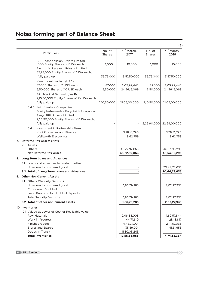|  |                      |                                                                                                                                                                             |                         |                                                                      |                         | $(\overline{\mathbf{z}})$                            |
|--|----------------------|-----------------------------------------------------------------------------------------------------------------------------------------------------------------------------|-------------------------|----------------------------------------------------------------------|-------------------------|------------------------------------------------------|
|  |                      | Particulars                                                                                                                                                                 | No. of<br><b>Shares</b> | 31 <sup>st</sup> March,<br>2017                                      | No. of<br><b>Shares</b> | 31 <sup>st</sup> March,<br>2016                      |
|  |                      | BPL Techno Vision Private Limited :<br>1000 Equity Shares of ₹10/- each<br>Electronic Research Private Limited :<br>35,75,000 Equity Shares of ₹10/- each,<br>fully paid up | 1,000<br>35,75,000      | 10,000<br>3,57,50,000                                                | 1,000<br>35,75,000      | 10,000<br>3,57,50,000                                |
|  |                      | Kleer Industries Inc. (USA) :<br>87,000 Shares of 7 USD each<br>5,50,000 Shares of 10 USD each                                                                              | 87,000<br>5,50,000      | 2,05,99,443<br>24,56,15,069                                          | 87,000<br>5,50,000      | 2,05,99,443<br>24,56,15,069                          |
|  |                      | BPL Medical Technologies Pvt Ltd<br>2,10,50,000 Equity Shares of Rs. 10/- each<br>fully paid up                                                                             | 2,10,50,000             | 21,05,00,000                                                         | 2,10,50,000             | 21,05,00,000                                         |
|  |                      | 6.4.3 Joint Venture Companies<br>Equity Instruments - Fully Paid - Un-quoted<br>Sanyo BPL Private Limited :<br>2,26,90,000 Equity Shares of ₹10/- each,<br>fully paid up    |                         |                                                                      | 2,26,90,000             | 22,69,00,000                                         |
|  |                      | 6.4.4 Investment in Partnership Firms<br>Kodi Properties and Finance<br><b>Wellworth Electronics</b>                                                                        |                         | 3,78,41,790<br>9,62,759                                              |                         | 3,78,41,790<br>9,62,759                              |
|  |                      | 7. Deferred Tax Assets (Net)                                                                                                                                                |                         |                                                                      |                         |                                                      |
|  | 7.1 Assets<br>Others | <b>Net Deferred Tax Asset</b>                                                                                                                                               |                         | 46,22,92,863<br>46,22,92,863                                         |                         | 46,53,95,293<br>46,53,95,293                         |
|  |                      | 8. Long Term Loans and Advances                                                                                                                                             |                         |                                                                      |                         |                                                      |
|  |                      | 8.1 Loans and advances to related parties<br>Unsecured, considered good<br>8.2 Total of Long Term Loans and Advances                                                        |                         |                                                                      |                         | 70,44,78,635<br>70,44,78,635                         |
|  |                      | 9. Other Non-Current Assets                                                                                                                                                 |                         |                                                                      |                         |                                                      |
|  |                      | 9.1 Others (Security Deposit)<br>Unsecured, considered good<br><b>Considered Doubtful</b><br>Less : Provision for doubtful deposits                                         |                         | 1,86,79,285                                                          |                         | 2,02,27,935                                          |
|  |                      | <b>Total Security Deposits</b>                                                                                                                                              |                         | 1,86,79,285                                                          |                         | 2,02,27,935                                          |
|  |                      | 9.2 Total of other non-current assets                                                                                                                                       |                         | 1,86,79,285                                                          |                         | 2,02,27,935                                          |
|  | 10. Inventories      |                                                                                                                                                                             |                         |                                                                      |                         |                                                      |
|  |                      | 10.1 Valued at Lower of Cost or Realisable value<br><b>Raw Materials</b><br>Work in Progress<br><b>Finished Goods</b><br><b>Stores and Spares</b><br>Goods in Transit       |                         | 2,46,84,008<br>44,71,610<br>4,48,37,091<br>35,59,001<br>11,80,05,245 |                         | 1,69,57,844<br>21,48,817<br>2,41,67,065<br>41,61,658 |
|  |                      | <b>Total Inventories</b>                                                                                                                                                    |                         | 19,55,56,955                                                         |                         | 4,74,35,384                                          |
|  |                      |                                                                                                                                                                             |                         |                                                                      |                         |                                                      |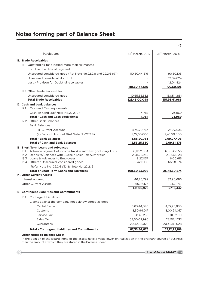|      |                                                                                |                              | $(\overline{\zeta})$         |
|------|--------------------------------------------------------------------------------|------------------------------|------------------------------|
|      | Particulars                                                                    | 31 <sup>st</sup> March, 2017 | 31 <sup>st</sup> March, 2016 |
|      | 11. Trade Receivables                                                          |                              |                              |
|      | 11.1 Outstanding for a period more than six months                             |                              |                              |
|      | from the due date of payment                                                   |                              |                              |
|      | Unsecured considered good (Ref Note No.22.2.8 and 22.2.6 (9))                  | 110,80,44,516                | 90,50,105                    |
|      | Unsecured considered doubtful                                                  |                              | 12,04,824                    |
|      | Less:- Provison for Doubtful receivables                                       |                              | 12,04,824                    |
|      |                                                                                | 110,80,44,516                | 90,50,105                    |
|      | 11.2 Other Trade Receivables                                                   |                              |                              |
|      | Unsecured considered good                                                      | 10,65,55,532                 | 115,05,11,881                |
|      | <b>Total Trade Receivables</b>                                                 | 121,46,00,048                | 115,95,61,986                |
|      | 12. Cash and bank balances                                                     |                              |                              |
| 12.1 | Cash and Cash equivalents                                                      |                              |                              |
|      | Cash on hand (Ref Note No.22.2.10)                                             | 4,787                        | 23,969                       |
|      | <b>Total - Cash and Cash equivalents</b>                                       | 4,787                        | 23,969                       |
|      | 12.2 Other Bank Balances                                                       |                              |                              |
|      | <b>Bank Balances:</b>                                                          |                              |                              |
|      | (i) Current Account                                                            | 4,30,70,763                  | 25,77,406                    |
|      | (ii) Deposit Account (Ref Note No.22.2.9)                                      | 9,27,50,000                  | 2,43,50,000                  |
|      | <b>Total - Bank Balances</b>                                                   | 13,58,20,763                 | 2,69,27,406                  |
|      | <b>Total of Cash and Bank Balances</b>                                         | 13,58,25,550                 | 2,69,51,375                  |
|      | 13. Short Term Loans and Advances                                              |                              |                              |
| 13.1 | Advance payment of income tax & wealth tax (including TDS)                     | 6, 11, 92, 804               | 6,06,35,556                  |
|      | 13.2 Deposits/Balances with Excise / Sales Tax Authorities                     | 2,98,22,969                  | 2,95,66,128                  |
|      | 13.3 Loans & Advances to Employees<br>13.4 Others: Unsecured, considered good* | 8,27,037<br>99,42,11,186     | 6,00,615<br>16,66,28,574     |
|      | *Refer Note No 22.2.6 (3) & Note No :22.2.16                                   |                              |                              |
|      | <b>Total of Short Term Loans and Advances</b>                                  | 108,60,53,997                | 25,74,30,874                 |
|      | 14. Other Current Assets                                                       |                              |                              |
|      | Interest accrued                                                               | 46,20,799                    | 32,90,686                    |
|      | <b>Other Current Assets</b>                                                    | 66,86,176                    | 24, 21, 761                  |
|      |                                                                                | 1,13,06,975                  | 57, 12, 447                  |
|      | 15. Contingent Liabilities and Commitments                                     |                              |                              |
| 15.1 | <b>Contingent Liabilities</b>                                                  |                              |                              |
|      | Claims against the company not acknowledged as debt                            |                              |                              |
|      | <b>Cental Excise</b>                                                           | 3,83,44,396                  | 4,77,26,880                  |
|      | Customs                                                                        | 8,50,94,017                  | 8,00,94,017                  |
|      | Service Tax                                                                    | 98,48,238                    | 1,01,52,110                  |
|      | Sales Tax                                                                      | 33,60,09,996                 | 28,90,11,133                 |
|      | Guarantees                                                                     | 20,42,88,028                 | 20,42,88,028                 |
|      | <b>Total - Contingent Liabilities and Commitments</b>                          | 67, 35, 84, 675              | 63, 12, 72, 168              |

#### **Other Notes to Balance Sheet**

 $\ll$ 

In the opinion of the Board, none of the assets have a value lower on realization in the ordinary course of business than the amount at which they are stated in the Balance Sheet.

**Annual Report 2016-17 39**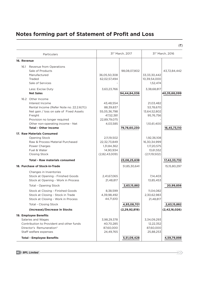### **Notes forming part of Statement of Profit and Loss**

|             |                                                                                                                                                                                                                                            |                                                                                 |                              |                                                                          | $\sqrt{ }$       |  |
|-------------|--------------------------------------------------------------------------------------------------------------------------------------------------------------------------------------------------------------------------------------------|---------------------------------------------------------------------------------|------------------------------|--------------------------------------------------------------------------|------------------|--|
|             | Particulars                                                                                                                                                                                                                                |                                                                                 | 31 <sup>st</sup> March, 2017 | 31 <sup>st</sup> March, 2016                                             |                  |  |
| 16. Revenue |                                                                                                                                                                                                                                            |                                                                                 |                              |                                                                          |                  |  |
| 16.1        | Revenue from Operations<br>Sale of Products<br>Manufactured<br><b>Traded</b><br>Sale of Services                                                                                                                                           | 36,05,50,308<br>62,02,57,494                                                    | 98,08,07,802                 | 33, 33, 30, 442<br>10,39,54,000<br>1,52,474                              | 43,72,84,442     |  |
|             | Less: Excise Duty<br><b>Net Sales</b>                                                                                                                                                                                                      | 3,63,23,766                                                                     | 94,44,84,036                 | 3,38,68,817                                                              | 40,35,68,099     |  |
|             | 16.2 Other Income<br>Interest Income<br>Rental Income (Refer Note no. 22.2.6(11))<br>Net gain / loss on sale of Fixed Assets<br>Freight<br>Provision no longer required<br>Other non-operating income - Net<br><b>Total - Other Income</b> | 43,48,554<br>88,39,837<br>55,05,36,798<br>47,52,381<br>22,89,79,075<br>4,03,585 | 79,78,60,230                 | 21,03,482<br>53,78,670<br>13,64,52,802<br>95,76,756<br>1,10,61,400       | 16,45,73,110     |  |
|             | 17. Raw Materials Consumed<br>Opening Stock<br>Raw & Process Material Purchased<br>Power Charges<br>Fuel & Water<br><b>Closing Stock</b>                                                                                                   | 2,11,19,502<br>22,32,73,849<br>1,31,84,362<br>14,90,934<br>(2,82,43,009)        |                              | 1,92,36,108<br>16,30,34,999<br>1,17,20,575<br>13,61,552<br>(2,11,19,502) |                  |  |
|             | <b>Total - Raw materials consumed</b>                                                                                                                                                                                                      |                                                                                 | 23,08,25,638                 |                                                                          | 17,42,33,732     |  |
|             | 18. Purchase of Stock-in-Trade                                                                                                                                                                                                             |                                                                                 | 51,85,30,641                 |                                                                          | 15, 15, 80, 297  |  |
|             | Changes in Inventories<br>Stock at Opening - Finished Goods<br>Stock at Opening - Work in Process<br>Total - Opening Stock                                                                                                                 | 2,41,67,065<br>21,48,817                                                        | 2,63,15,882                  | 7,14,403<br>13,85,453                                                    | 20,99,856        |  |
|             | Stock at Closing - Finished Goods<br>Stock at Closing - Stock in Trade<br>Stock at Closing - Work in Process                                                                                                                               | 8,38,599<br>4,39,98,492<br>44,71,610                                            |                              | 11,04,082<br>2,30,62,983<br>21,48,817                                    |                  |  |
|             | Total - Closing Stock                                                                                                                                                                                                                      |                                                                                 | 4,93,08,701                  |                                                                          | 2,63,15,882      |  |
|             | (Increase)/Decrease in Stocks                                                                                                                                                                                                              |                                                                                 | (2, 29, 92, 819)             |                                                                          | (2, 42, 16, 026) |  |
|             | 19. Employee Benefits<br>Salaries and Wages<br>Contribution to Provident and other funds<br>Director's Remuneration*<br>Staff welfare expenses                                                                                             | 3,98,29,378<br>40,70,285<br>87,60,000<br>24,49,765                              |                              | 3,34,09,293<br>12,22,352<br>87,60,000<br>25,88,253                       |                  |  |
|             | <b>Total - Employee Benefits</b>                                                                                                                                                                                                           |                                                                                 | 5,51,09,428                  |                                                                          | 4,59,79,898      |  |

**40 BPL Limited**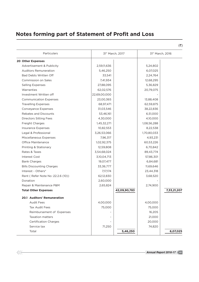## **Notes forming part of Statement of Profit and Loss**

| Particulars                       |              | 31 <sup>st</sup> March, 2017 |             | 31st March, 2016 |
|-----------------------------------|--------------|------------------------------|-------------|------------------|
| <b>20 Other Expenses</b>          |              |                              |             |                  |
| Advertisement & Publicity         | 2,59,11,636  |                              | 5,24,802    |                  |
| <b>Auditors Remuneration</b>      | 5,46,250     |                              | 6,07,025    |                  |
| <b>Bad Debts Written Off</b>      | 33,541       |                              | 2,24,764    |                  |
| <b>Commission on Sales</b>        | 7,41,934     |                              | 12,68,295   |                  |
| <b>Selling Expenses</b>           | 27,88,095    |                              | 5,36,829    |                  |
| Warranties                        | 62,02,576    |                              | 20,79,075   |                  |
| Investment Written off            | 22,69,00,000 |                              |             |                  |
| <b>Communication Expenses</b>     | 23,00,365    |                              | 13,88,408   |                  |
| <b>Travelling Expenses</b>        | 68,97,471    |                              | 62,59,875   |                  |
| Conveyance Expenses               | 31,03,546    |                              | 38,22,836   |                  |
| <b>Rebates and Discounts</b>      | 53,46,161    |                              | 6,51,000    |                  |
| <b>Directors Sitting Fees</b>     | 4,30,000     |                              | 4,10,000    |                  |
| <b>Freight Charges</b>            | 1,45,32,271  |                              | 1,08,56,288 |                  |
| <b>Insurance Expenses</b>         | 10,82,553    |                              | 8,22,538    |                  |
| Legal & Professional              | 3,26,53,066  |                              | 1,70,80,033 |                  |
| Miscellaneous Expenses            | 7,96,317     |                              | 4,93,231    |                  |
| Office Maintenance                | 1,02,92,375  |                              | 60,53,226   |                  |
| Printing & Stationary             | 12,59,808    |                              | 6,70,842    |                  |
| Rates & Taxes                     | 3,54,68,024  |                              | 89,43,774   |                  |
| <b>Interest Cost</b>              | 3,10,04,713  |                              | 57,86,301   |                  |
| <b>Bank Charges</b>               | 19,07,477    |                              | 6,84,681    |                  |
| <b>Bills Discounting Charges</b>  | 33, 36, 777  |                              | 11,69,646   |                  |
| Interest - Others*                | 7,17,174     |                              | 23,44,318   |                  |
| Rent (Refer Note No: 22.2.6 (10)) | 62,12,830    |                              | 3,68,520    |                  |
| Donation                          | 2,60,000     |                              |             |                  |
| Repair & Maintenance P&M          | 2,65,824     |                              | 2,74,900    |                  |
| <b>Total Other Expenses</b>       |              | 42,09,90,783                 |             | 7,33,21,207      |
| 20.1 Auditors' Remuneration       |              |                              |             |                  |
| <b>Audit Fees</b>                 | 4,00,000     |                              | 4,00,000    |                  |
| <b>Tax Audit Fees</b>             | 75,000       |                              | 75,000      |                  |
| Reimbursement of Expenses         |              |                              | 16,205      |                  |
| <b>Taxation matters</b>           |              |                              | 21,000      |                  |
| <b>Certification Charges</b>      |              |                              | 20,000      |                  |
| Service tax                       | 71,250       |                              | 74,820      |                  |
| Total                             |              | 5,46,250                     |             | 6,07,025         |

 $\ll$ 

 $(\overline{\zeta})$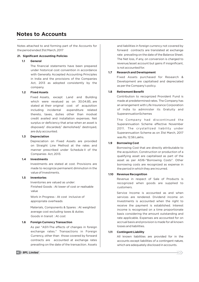Notes attached to and forming part of the Accounts for the period ended 31st March, 2017

#### **21. Significant Accounting Policies**

#### **1.1 General**

The financial statements have been prepared under historical cost convention in accordance with Generally Accepted Accounting Principles in India and the provisions of the Companies Act, 2013 as adopted consistently by the company.

#### **1.2 Fixed Assets**

Fixed Assets, except Land and Building which were revalued as on 30.04.85, are stated at their original cost of acquisition including incidental expenditure related thereto, taxes, duties other than modvat credit availed and installation expenses. Net surplus or deficiency that arise when an asset is disposed/ discarded/ demolished/ destroyed, are duly accounted.

#### **1.3 Depreciation**

Depreciation on Fixed Assets are provided on Straight Line Method at the rates and manner prescribed under Schedule II of the Companies Act, 2013.

#### **1.4 Investments**

Investments are stated at cost. Provisions are made to recognize permanent diminution in the value of Investments.

#### **1.5 Inventories**

Inventories are valued as under: Finished Goods : At lower of cost or realisable value

Work in Progress : At cost inclusive of appropriate overheads

Materials, Components & Spares : At weighted average cost excluding taxes & duties Goods in transit : At cost

#### **1.6 Foreign Currency Transaction**

As per "AS11-The effects of changes in foreign exchange rates." Transactions in Foreign Currency, other than those covered by forward contracts are accounted at exchange rates prevailing on the date of the transaction. Assets and liabilities in foreign currency not covered by forward contracts are translated at exchange rate prevailing on the date of the Balance Sheet. The Net loss, if any, on conversion is charged to revenue/asset account but gains if insignificant, is not accounted for.

#### **1.7 Research and Development**

Fixed Assets purchased for Research & Development are capitalised and depreciated as per the Company's policy.

#### **1.8 Retirement Benefit**

Contribution to recognized Provident Fund is made at predetermined rates. The Company has an arrangement with Life Insurance Corporation of India to administer its Gratuity and SuperannuationSchemes

The Company had discontinued the Superannuation Scheme effective November 2011. The crystallized liability under Superannuation Scheme as on 31st March, 2017 was Rs. 12.56 Lakhs.

#### **1.9 Borrowing Cost**

Borrowing Cost that are directly attributable to the acquisition, Construction or production of a qualifying asset are capitalised as part of the asset as per AS16-"Borrowing Costs". Other borrowing costs are recognized as expense in the period in which they are incurred.

#### **1.10 Revenue Recognition**

Revenue in respect of Sale of Products is recognized when goods are supplied to customers.

Service Income is accounted as and when services are rendered. Dividend income on Investments is accounted when the right to receive the payment is established. Interest income is recognised on a time proportionate basis considering the amount outstanding and rate applicable. Expenses are accounted for on accrual basis and provision is made for all known losses and liabilities.

#### **1.11 Contingent Liability**

All known liabilities are provided for in the accounts except liabilities of a contingent nature, which are adequately disclosed in accounts.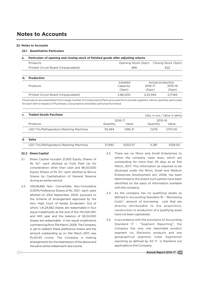#### **22. Notes to Accounts**

#### **22.1 Quantitative Particulars**

| а. | Particulars of opening and closing stock of finished goods after adjusting returns                                                                                                                                                                        |           |          |                                         |                   |  |  |
|----|-----------------------------------------------------------------------------------------------------------------------------------------------------------------------------------------------------------------------------------------------------------|-----------|----------|-----------------------------------------|-------------------|--|--|
|    | Products                                                                                                                                                                                                                                                  |           |          | Opening Stock (Sqm) Closing Stock (Sqm) |                   |  |  |
|    | Printed Circuit Board (Unpopulated)                                                                                                                                                                                                                       | 866       |          | 622                                     |                   |  |  |
| b. | <b>Production</b>                                                                                                                                                                                                                                         |           |          |                                         |                   |  |  |
|    |                                                                                                                                                                                                                                                           | Installed |          |                                         | Actual production |  |  |
|    | Products                                                                                                                                                                                                                                                  | Capacity  | 2016-17  |                                         | 2015-16           |  |  |
|    |                                                                                                                                                                                                                                                           | (Sgm)     | (Sgm)    |                                         | (Sqm)             |  |  |
|    | Printed Circuit Board (Unpopulated)                                                                                                                                                                                                                       | 2,88,000  | 2.24.594 |                                         | 2,17,184          |  |  |
|    | $\sim$ $\sim$ $\sim$<br>$\mathbf{r}$ . The set of the set of the set of the set of the set of the set of the set of the set of the set of the set of the set of the set of the set of the set of the set of the set of the set of the set of the set of t |           |          |                                         |                   |  |  |

The products are assembled from a large number of Components/Parts procured from outside suppliers. Hence, quantity particulars for each item in respect of Purchases, Consumption and Sales cannot be furnished.

| $c_{\cdot}$ | <b>Traded Goods Purchase</b>           |          |         | (Qty. in nos / Value in lakhs) |         |
|-------------|----------------------------------------|----------|---------|--------------------------------|---------|
|             |                                        | 2016-17  |         | 2015-16                        |         |
|             | <b>Products</b>                        | Quantity | Value   | Quantity                       | Value   |
|             | LED TVs/Refrigerators/Washing Machines | 55.494   | 5185.31 | 7.076                          | 1270.00 |

#### **d. Sales**

| LED TVs/Refrigerators/Washing Machines | 51.992 | . ഹാറാ | .381 | ን39.00 |
|----------------------------------------|--------|--------|------|--------|

- 2.1 Share Capital includes 21,930 Equity Shares of Rs 10/- each allotted as Fully Paid Up for consideration other than cash and 96,50,000 Equity Shares of Rs 10/- each allotted as Bonus Shares by Capitalisation of General Reserve during an earlier period.
- 2.2 1,69,58,682 Non- Convertible, Non-Cumulative 0.001% Preference Shares of Rs. 100/- each, were allotted on 23rd September, 2005, pursuant to the Scheme of Arrangement approved by the Hon. High Court of Kerala, Ernakulam. Out of which, 1,41,24,682 shares are redeemable in four equal installments at the end of the 11th,12th,13th and 14th year and the balance of 28,34,000 shares are redeemable in ten equal installments commencing from 31st March, 2008. The Company is yet to redeem these preference shares and the amount outstanding as on 31st March 2017, was Rs.63.65 crores. The Company is making arrangements for the redemption of the above and the same will be redeemed in due course.
- **22.2 Share Capital** 2.3 There are no Micro and Small Enterprises to whom the company owes dues, which are outstanding for more than 45 days as at 31st March, 2017. This information as required to be disclosed under the Micro, Small and Medium Enterprises Development Act, 2006, has been determined to the extent such parties have been identified on the basis of information available with the company.
	- 2.4 As the company has no qualifying assets as defined in Accounting Standard 16 - "Borrowing Costs", amount of borrowing cost that are directly attributable to the acquisition, construction or production of a qualifying asset have not been capitalised.
	- 2.5 In accordance with the provisions of Accounting Standard 17 - "Segment Reporting", the Company has only one reportable product segment viz, Electronic products and one geographical segment, India. Segmental reporting as defined by AS 17 is therefore not applicable to the Company.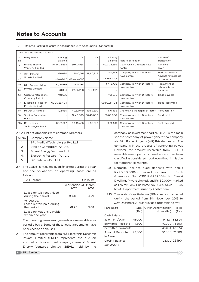|            | 2.6.1 Related Parties - 2016-17                 |                          |              |                          |                    |                                            |                                          |
|------------|-------------------------------------------------|--------------------------|--------------|--------------------------|--------------------|--------------------------------------------|------------------------------------------|
| SI.<br>No. | Party Name                                      | Opening<br>Balance       | Dr           | Cr                       | Closing<br>Balance | Nature of relation                         | Nature of<br>Transaction                 |
| 1)         | <b>Bharat Energy</b><br><b>Ventures Limited</b> | 70,44,78,635             | 59,00,058    | $\overline{\phantom{0}}$ | 71,03,78,693       | Co. in which Directors have<br>control     | Advance<br>given                         |
| 2)         | <b>BPL Telecom</b>                              | $-76,684$                | 31,80,261    | 28,60,829                | 2,42,748           | Company in which Directors<br>have control | Trade Receivable<br>Advance for purchase |
| 3)         | <b>Private Limited</b>                          | 13, 17, 82, 217          | 12,50,00,000 |                          | 25,67,82,217       |                                            | of property                              |
| 4)         | <b>BPL Techno Vision</b>                        | $-87,46,989$             | 29,71,286    |                          | $-57,75,702$       | Company in which Directors<br>have control | Repayment of<br>advance taken            |
| 5)         | Private Limited                                 | 28,854                   | 23,05,268    | 23,34,122                |                    |                                            | for Trade                                |
| 6)         | <b>Orion Constructions</b><br>Company Pvt Ltd   | $-7,01,696$              |              |                          | $-7,01,696$        | Company in which Directors<br>have control | Trade payable                            |
| 7)         | Electronic Research<br>Private Limited          | 109,99,28,404            |              | $\overline{\phantom{a}}$ | 109,99,28,404      | Company in which Directors<br>have control | Trade Receivable                         |
| 8)         | Mr. Ajit G Nambiar                              | $-4,12,985$              | 49,62,079    | 49,59,530                | $-4,10,436$        | Chairman & Managing Director               | Remuneration                             |
| 9)         | <b>Stallion Computers</b><br>Pvt. Ltd.          | $\overline{\phantom{a}}$ | 32,40,000    | 50,40,000                | 18,00,000          | Company in which Directors<br>have control | Rend paid                                |
| 10)        | <b>BPL Medical</b><br>Technologies Pvt. Ltd     | $-1,05,61,227$           | 98,45,456    | 11,86,870                | $-19,02,641$       | Company in which Directors<br>have control | Rent received                            |

#### 2.6 Related Party disclosure in accordance with Accounting Standard 18:

2.6.2 List of Companies with common Directors

| SI. No. | Company Name                       |
|---------|------------------------------------|
| 1.      | BPL Medical Technologies Pvt. Ltd. |
| 2.      | Stallion Computers Pvt. Ltd.       |
| 3.      | Bharat Energy Ventures Ltd.        |
| 4.      | Flectronic Research Pyt. Ltd.      |
| 5.      | BPL Telecom Pyt. Ltd.              |

2.7 The Lease Rentals received/charged during the year and the obligations on operating leases are as follows:

| As Lessor:                                            | $(3\overline{5})$ in lakhs)               |       |  |
|-------------------------------------------------------|-------------------------------------------|-------|--|
|                                                       | Year ended 31 <sup>st</sup> March<br>2017 | 2016  |  |
| Lease rentals recognized<br>during the period         | 88.40                                     | 53.79 |  |
| As Lessee:<br>Lease rentals paid during<br>the period | 61.96                                     | 3.68  |  |
| Lease obligations payable<br>within one year          |                                           |       |  |

The operating lease arrangements are renewable on a periodic basis. Some of these lease agreements have price escalation clauses.

2.8 The amount receivable from M/s Electronic Research Private Limited (ERPL) represents the due on account of disinvestment of equity shares of Bharat Energy Ventures Limited (BEVL) held by the company as investment earlier. BEVL is the main sponsor company of power generating company viz. BPL Power Projects (AP) Private Limited. The company is in the process of generating power. However, the amount receivable from ERPL is realizable over a period of time hence, it has been classified as considered good, even though it is due for more than six months.

- 2.9 Deposits includes fixed deposits with banks Rs.20,00,000/- marked as lien for Bank Guarantee No: 039217IGPER0014 to Mantri Dwellings Private Limited., and Rs. 50,000/- marked as lien for Bank Guarantee No : 0392151GPER0045 to VAT Department issued by Andhra bank.
- 2.10 The details of specified notes (SBN) held and transacted during the period from 8th November, 2016 to 30th December, 2016 as provided in the table below:

| Particulars             | <b>SBN</b> | Other Denomination | Total         |
|-------------------------|------------|--------------------|---------------|
|                         | (Rs.)      | Notes (Rs.)        | (Rs.)         |
| Cash Balance            |            |                    |               |
| as on 8/11/2016         | 41,000     |                    | 14,824 55,824 |
| permitted Receipts      | 1,500      | 70,000             | 71,500        |
| permitted Payments      |            |                    | 48,634 48,634 |
| <b>Amount Deposited</b> | 42.500     |                    | 10,000 52,500 |
| in Banks                |            |                    |               |
| <b>Closing Balance</b>  |            |                    | 26.190 26.190 |
| 30/12/2016              |            |                    |               |

**44 BPL Limited**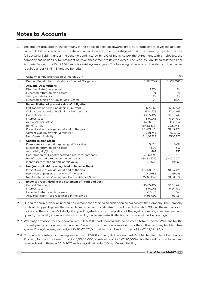2.11 The amount provided by the company in the books of account towards gratuity is sufficient to cover the actuarial value of liability as certified by an external valuer. However, due to shortage of funds, the company is yet to fund the full actuarial liability under the scheme administered by LIC of India. As per the agreement with employees, the company has no liability for payment of leave encashment to its employees. The Gratuity liability calculated as per Actuarial Valuation is Rs. 123.09 Lakhs for existing employees. The following table sets out the status of the plan as required under AS 15 - "Employee Benefits"

|             | Gratuity computations as on 31 <sup>st</sup> March, 2017                                                                                                                                                                                                                                                                                                               |                                                                                                                          | $(\overline{\zeta})$                                                                                                |
|-------------|------------------------------------------------------------------------------------------------------------------------------------------------------------------------------------------------------------------------------------------------------------------------------------------------------------------------------------------------------------------------|--------------------------------------------------------------------------------------------------------------------------|---------------------------------------------------------------------------------------------------------------------|
|             | Defined Benefit Plans - Gratuity - Funded Obligation                                                                                                                                                                                                                                                                                                                   | 31.03.2017                                                                                                               | 31.03.2016                                                                                                          |
| j.          | <b>Actuarial Assumptions</b><br>Discount Rate (per annum)<br>Expected return on plan assets<br>Salary escalation rate*<br>Expected average future service (years)                                                                                                                                                                                                      | 7.31%<br>8%<br>5%<br>18.26                                                                                               | 8%<br>8%<br>5%<br>18.23                                                                                             |
| ii.         | Reconciliation of present value of obligation<br>Obligations at period beginning - Current<br>Obligations at period beginning - Non-current<br><b>Current Service Cost</b><br><b>Interest Cost</b><br>Actuarial (gain)/loss<br><b>Benefits Paid</b><br>Present value of obligation at end of the year<br>Current Liability (within 12 months)<br>Non Current Liability | 6,73,152<br>85, 10, 273<br>30,65,427<br>5,97,018<br>14,96,579<br>(20, 32, 574)<br>1,23,09,875<br>9,01,746<br>1,14,08,129 | 5,96,734<br>77,24,913<br>10,65,743<br>6,24,730<br>1,96,352<br>(10, 25, 046)<br>91,83,425<br>6,73,152<br>85, 10, 273 |
| iii.        | Change in plan assets<br>Plans assets at period beginning, at fair value<br>Expected return on plan assets<br>Actuarial gain/(loss)<br>Contribution for Benefits settled directly by company<br>Benefits settled directly by the company<br>Plans assets at period end, at fair value                                                                                  | 9,526<br>1,508<br>1.487<br>20.60.741<br>(20, 32, 574)<br>40,688                                                          | 9,617<br>357<br>235<br>1,001,700<br>(10, 01, 700)<br>19,053                                                         |
| iv          | Net (Asset)/Liability recognised in Balance Sheet<br>Present value of obligation at end of the year<br>Fair value of plan assets at end of the year<br>Net Asset/(Liability) recognized in the Balance Sheet                                                                                                                                                           | 1,23,09,875<br>40,688<br>(1, 22, 69, 187)                                                                                | 91,83,425<br>19,053<br>91,64,372                                                                                    |
| $\mathbf v$ | <b>Expenses recognised in the Statement of Profit and Loss</b><br><b>Current Service Cost</b><br>Interest Cost<br>Expected return on plan assets<br>Actuarial (gain) / loss recognised in the period                                                                                                                                                                   | 30,65,427<br>5,97,018<br>(1,508)<br>14,95,092                                                                            | 10,65,743<br>6,24,730<br>(357)<br>1,96,351                                                                          |

2.12 During the current year, an unsecured claimant has obtained an arbitration award against the Company. The Company has filed an appeal against the said order as provided for in Arbitration and Conciliation Act, 1996. As the matter is subjudice and the company's liability, if any, will crystallize upon completion of the legal proceedings, we are unable to quantity the liability as on date. Hence no liability has been created in the books nor reconsigned as contingent.

- 2.13 Warranty provision for the financial year 2015-2016 had been calculated at 2% on total turnover. Whereas for the current year, provision has calculated at 1 % on total turnover, since supplier has offered the company for 1 % of free spares. During the year, warranty of Rs.62,02,575/- provided from 1% of turnover of Rs. 62,02,57,494/-.
- 2.14 Company has entered into an agreement with PVK Koramangala Development Pvt Ltd., for the sale of Coimbatore Property for the consideration of Rs.15,00,00,000/- . Advance of Rs.5,62,20,000/- for the said transfer have been received during the year 2016-2017 and categorized under "Other Current liability " .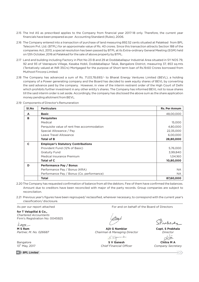- 2.15 The Ind AS as prescribed applies to the Company from financial year 2017-18 only. Therefore, the current year financials have been prepared as per Accounting Standard (Rules), 2006.
- 2.16 The Company entered into a transaction of purchase of land measuring 892.52 cents situated at Palakkad from BPL Telecom Pvt. Ltd. (BTPL) for an approximate value of Rs. 40 crores. Since this transaction attracts Section 188 of the companies Act, 2013, a special resolution has been passed by BTPL at its Extra-ordinary General Meeting (EGM) held on 12th October, 2016 at Palakkad for the sale of above property by BTPL.
- 2.17 Land and building including Factory in Plot No 23-B and 29 at Doddaballapur Industrial Area situated in SY NOS 79, 92 and 93 of Veerapura Village, Kasaba Hobli, Doddaballapur Taluk, Bangalore District, measuring 37, 853 sq.mts (Tentatively valued at INR 35Crs) Mortgaged for the purpose of Short term loan of Rs.19.60 Crores borrowed from Muthoot Fincorp Limited.
- 2.18 The Company has advanced a sum of Rs. 71,03,78,693/- to Bharat Energy Ventures Limited (BEVL), a holding company of a Power generating company and the Board has decided to seek equity shares of BEVL by converting the said advance paid by the company. However, in view of the interim restraint order of the High Court of Delhi which prohibits further investment in any other entity's shares. The Company has informed BEVL not to issue shares till the said interim order is set aside. Accordingly, the company has disclosed the above sum as the share application money pending allotment from BEVL.
- 2.19 Components of Director's Remuneration

| Sl.No | <b>Particulars</b>                          | <b>Rs. Per Annum</b> |
|-------|---------------------------------------------|----------------------|
| A     | <b>Basic</b>                                | 48,00,000            |
| в     | <b>Perquisites</b>                          |                      |
|       | Medical                                     | 15,000               |
|       | Perquisite value of rent free accommodation | 4,80,000             |
|       | Special Allowance / Pay                     | 22,35,000            |
|       | Leave Travel Allowance                      | 6,00,000             |
|       | <b>Total of B</b>                           | 28,80,000            |
| C     | <b>Employer's Statutory Contributions</b>   |                      |
|       | Provident Fund (12% of Basic)               | 5,76,000             |
|       | <b>Gratuity Fund</b>                        | 3,99,840             |
|       | Medical Insurance Premium                   | 1,04,160             |
|       | <b>Total of C</b>                           | 10,80,000            |
| D     | Performance Pay / Bonus                     |                      |
|       | Performance Pay / Bonus (KRA)               | <b>NA</b>            |
|       | Performance Pay / Bonus (Co. performance)   | <b>NA</b>            |
|       | <b>Total</b>                                | 87,60,000            |

- 2.20 The Company has requested confirmation of balance from all the debtors. Few of them have confirmed the balances. Amount due to creditors have been reconciled with major of the party records. Group companies are subject to reconcilation.
- 2.21 Previous year's figures have been regrouped/ reclassified, wherever necessary, to correspond with the current year's classification/ disclosure.

As per our report attached For and on behalf of the Board of Directors

Firm's Registration No: 004592S **for T Velupillai & Co.,** *Chartered Accountants*

Launy

Bangalore 13<sup>th</sup> May, 2017

**46 BPL Limited**

**M S Ram Ajit G Nambiar Capt. S Prabhala**<br>Partner, M. No. 026687 **Chairman & Managing Director** Chairman B Managing Director *Director Partner, M. No. 026687 Chairman & Managing Director Director*

 $5.11$ 

**S V Ganesh Chitra M A Chief Financial Officer Company Secretary** 

abade

حداثهم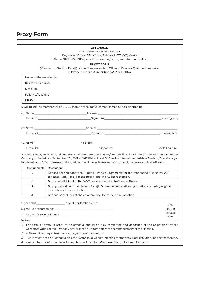### **Proxy Form**

|                        | <b>BPL LIMITED</b><br>CIN: L28997KL1963PLC002015                                                                                                                                                                                                                |                  |
|------------------------|-----------------------------------------------------------------------------------------------------------------------------------------------------------------------------------------------------------------------------------------------------------------|------------------|
|                        | Registered Office: BPL Works, Palakkad -678 007, Kerala                                                                                                                                                                                                         |                  |
|                        | Phone: 91-80-25589109, email id: investor@bpl.in, website: www.bpl.in                                                                                                                                                                                           |                  |
|                        | <b>PROXY FORM</b>                                                                                                                                                                                                                                               |                  |
|                        | (Pursuant to Section 105 (6) of the Companies Act, 2013 and Rule 19 (3) of the Companies<br>(Management and Administration) Rules, 2014)                                                                                                                        |                  |
| Name of the member(s): |                                                                                                                                                                                                                                                                 |                  |
| Registered address:    |                                                                                                                                                                                                                                                                 |                  |
| E-mail Id:             |                                                                                                                                                                                                                                                                 |                  |
| Folio No/ Client Id:   |                                                                                                                                                                                                                                                                 |                  |
| DP/ID:                 |                                                                                                                                                                                                                                                                 |                  |
|                        | I/We, being the member (s) of  shares of the above named company, hereby appoint                                                                                                                                                                                |                  |
|                        |                                                                                                                                                                                                                                                                 |                  |
|                        |                                                                                                                                                                                                                                                                 |                  |
|                        |                                                                                                                                                                                                                                                                 |                  |
|                        |                                                                                                                                                                                                                                                                 |                  |
|                        |                                                                                                                                                                                                                                                                 |                  |
|                        |                                                                                                                                                                                                                                                                 |                  |
|                        |                                                                                                                                                                                                                                                                 |                  |
|                        | as my/our proxy to attend and vote (on a poll) for me/us and on my/our behalf at the 53 <sup>rd</sup> Annual General Meeting of the<br>Company, to be held on September 26, 2017 at 2.45 P.M. at Hotel Sri Chackra International, Krishna Gardens, Chandranagar |                  |
|                        | P.O, Palakkad -678 007, Kerala and at any adjournment thereof in respect of such resolutions as are indicated below:                                                                                                                                            |                  |
| Resolution No.         | Resolutions                                                                                                                                                                                                                                                     |                  |
| 1.                     | To consider and adopt the Audited Financial Statements for the year ended 31st March, 2017<br>together with Report of the Board and the Auditors thereon.                                                                                                       |                  |
| 2.                     | To declare dividend of Rs. 0.001 per share on the Preference Shares.                                                                                                                                                                                            |                  |
| 3.                     | To appoint a director in place of Mr Ajit G Nambiar, who retires by rotation and being eligible,<br>offers himself for re-election.                                                                                                                             |                  |
| 4.                     | To appoint auditors of the company and to fix their remuneration.                                                                                                                                                                                               |                  |
| Signed this            | day of September, 2017                                                                                                                                                                                                                                          |                  |
|                        |                                                                                                                                                                                                                                                                 | Affix<br>Re.0.30 |
|                        |                                                                                                                                                                                                                                                                 | Revenue          |
|                        |                                                                                                                                                                                                                                                                 | Stamp            |
| Notes:                 |                                                                                                                                                                                                                                                                 |                  |
|                        | 1. This form of proxy in order to be effective should be duly completed and deposited at the Registered Office/<br>Corporate Office of the Company, not less than 48 hours before the commencement of the Meeting.                                              |                  |
|                        | 2. A Shareholder may vote either for or against each resolution.                                                                                                                                                                                                |                  |
|                        | 3. Please refer to the Notice convening the 53rd Annual General Meeting for the details of Resolutions and Notes thereon.                                                                                                                                       |                  |

4. Please fill all the information including details of member(s) in the above box before submission.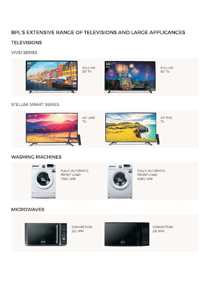### BPL'S EXTENSIVE RANGE OF TELEVISIONS AND LARGE APPLICANCES

### **TELEVISIONS**

**VIVID SERIES** 



STELLAR SMART SERIES



### **WASHING MACHINES**



**FULLY-AUTOMATIC** FRONT LOAD 7.5KC WM



FULLY-AUTOMATIC FRONT LOAD 6.5KC WM

### **MICROWAVES**



CONVECTION 30L MW



**CONVECTION** 25L MW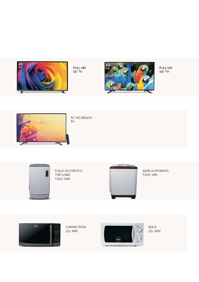

FULL HD<br>43" TV



FULL HD<br>40" TV



32" HD READY



FULLY-AUTOMATIC TOP LOAD 7.2KG WM



SEMI-AUTOMATIC 7.2KC WM



CONVECTION 20L MW



SOLO 20L MW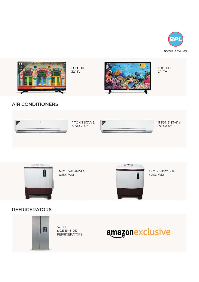

**520 LTS** SIDE BY SIDE **REFRIGERATORS** 

# amazonexclusive

### **REFRIGERATORS**



SEMI-AUTOMATIC 6.5KG WM



SEMI-AUTOMATIC 6.2KC WM



**AIR CONDITIONERS** 

1 TON 3 STAR & 5 STAR AC



1.5 TON 3 STAR & 5 STAR AC



**FULL HD** 32" TV



**FULL HD** 24" TV